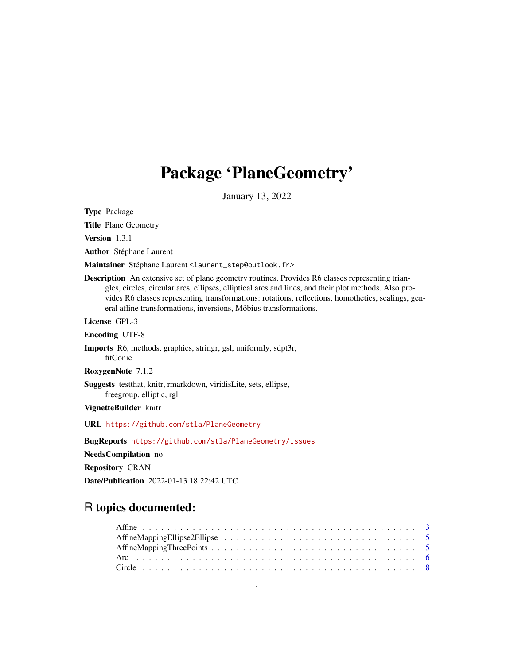# Package 'PlaneGeometry'

January 13, 2022

<span id="page-0-0"></span>Type Package

Title Plane Geometry

Version 1.3.1

Author Stéphane Laurent

Maintainer Stéphane Laurent <laurent\_step@outlook.fr>

Description An extensive set of plane geometry routines. Provides R6 classes representing triangles, circles, circular arcs, ellipses, elliptical arcs and lines, and their plot methods. Also provides R6 classes representing transformations: rotations, reflections, homotheties, scalings, general affine transformations, inversions, Möbius transformations.

License GPL-3

Encoding UTF-8

Imports R6, methods, graphics, stringr, gsl, uniformly, sdpt3r, fitConic

RoxygenNote 7.1.2

Suggests testthat, knitr, rmarkdown, viridisLite, sets, ellipse, freegroup, elliptic, rgl

VignetteBuilder knitr

URL <https://github.com/stla/PlaneGeometry>

BugReports <https://github.com/stla/PlaneGeometry/issues>

NeedsCompilation no

Repository CRAN

Date/Publication 2022-01-13 18:22:42 UTC

## R topics documented: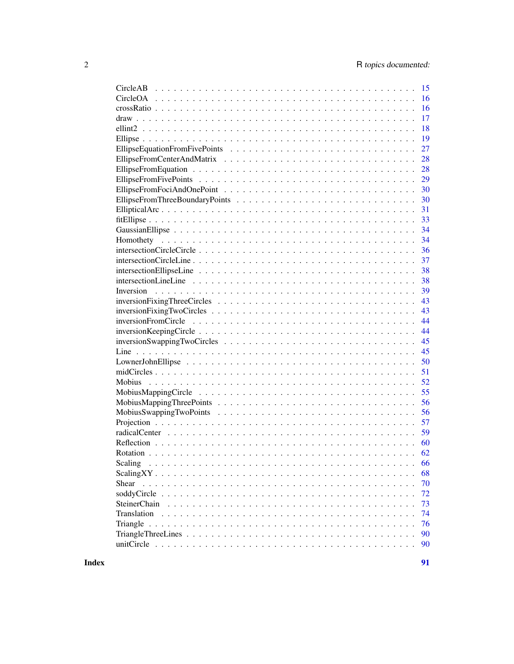| CircleAB<br>15            |
|---------------------------|
| 16                        |
| 16                        |
| 17                        |
| 18                        |
| 19                        |
| 27                        |
| 28                        |
| 28                        |
| 29                        |
| 30                        |
| 30                        |
| 31                        |
| 33                        |
| 34                        |
| 34                        |
| 36                        |
| 37                        |
| 38                        |
| 38                        |
| 39                        |
| 43                        |
| 43                        |
| 44                        |
|                           |
| 44                        |
| 45                        |
| 45                        |
| 50                        |
| 51                        |
| 52                        |
| 55                        |
| 56                        |
| 56                        |
| 57                        |
| 59                        |
| 60                        |
| 62                        |
| Scaling<br>66             |
| 68                        |
| 70<br>Shear               |
| 72                        |
| <b>SteinerChain</b><br>73 |
| 74<br>Translation         |
| 76<br>Triangle            |
| 90                        |
| 90                        |
|                           |

**Index** [91](#page-90-0)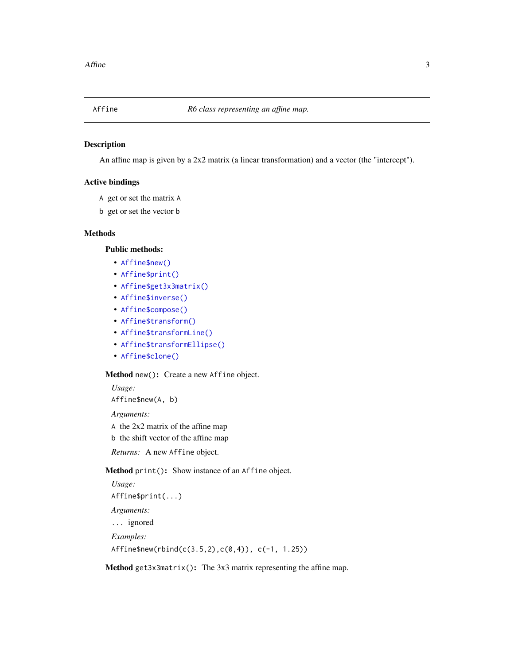<span id="page-2-0"></span>

### Description

An affine map is given by a 2x2 matrix (a linear transformation) and a vector (the "intercept").

### Active bindings

- A get or set the matrix A
- b get or set the vector b

### Methods

### Public methods:

- [Affine\\$new\(\)](#page-2-1)
- [Affine\\$print\(\)](#page-2-2)
- [Affine\\$get3x3matrix\(\)](#page-2-3)
- [Affine\\$inverse\(\)](#page-3-0)
- [Affine\\$compose\(\)](#page-3-1)
- [Affine\\$transform\(\)](#page-3-2)
- [Affine\\$transformLine\(\)](#page-3-3)
- [Affine\\$transformEllipse\(\)](#page-3-4)
- [Affine\\$clone\(\)](#page-3-5)

### <span id="page-2-1"></span>Method new(): Create a new Affine object.

*Usage:* Affine\$new(A, b) *Arguments:* A the 2x2 matrix of the affine map

b the shift vector of the affine map

*Returns:* A new Affine object.

<span id="page-2-2"></span>Method print(): Show instance of an Affine object.

```
Usage:
Affine$print(...)
Arguments:
... ignored
Examples:
Affine$new(rbind(c(3.5,2),c(0,4)), c(-1, 1.25))
```
<span id="page-2-3"></span>Method get3x3matrix(): The 3x3 matrix representing the affine map.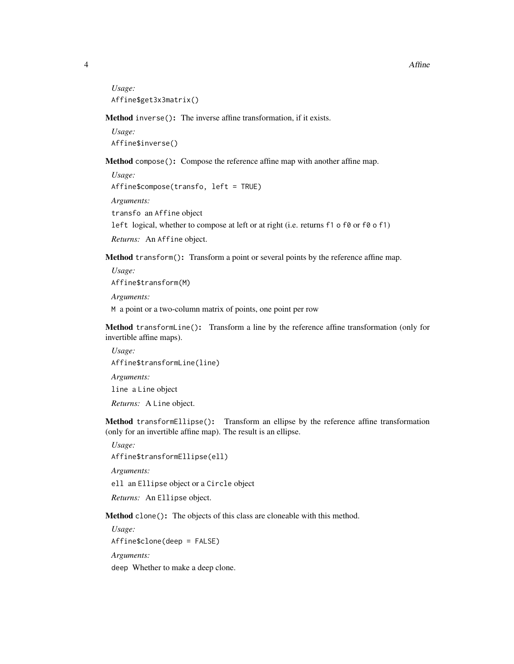*Usage:* Affine\$get3x3matrix()

<span id="page-3-0"></span>Method inverse(): The inverse affine transformation, if it exists.

*Usage:* Affine\$inverse()

<span id="page-3-1"></span>Method compose(): Compose the reference affine map with another affine map.

*Usage:*

Affine\$compose(transfo, left = TRUE)

*Arguments:*

transfo an Affine object

left logical, whether to compose at left or at right (i.e. returns f1 o f0 or f0 o f1)

*Returns:* An Affine object.

<span id="page-3-2"></span>Method transform(): Transform a point or several points by the reference affine map.

*Usage:* Affine\$transform(M) *Arguments:* M a point or a two-column matrix of points, one point per row

<span id="page-3-3"></span>Method transformLine(): Transform a line by the reference affine transformation (only for invertible affine maps).

*Usage:* Affine\$transformLine(line) *Arguments:* line a Line object *Returns:* A Line object.

<span id="page-3-4"></span>Method transformEllipse(): Transform an ellipse by the reference affine transformation (only for an invertible affine map). The result is an ellipse.

*Usage:*

Affine\$transformEllipse(ell)

*Arguments:*

ell an Ellipse object or a Circle object

*Returns:* An Ellipse object.

<span id="page-3-5"></span>Method clone(): The objects of this class are cloneable with this method.

*Usage:* Affine\$clone(deep = FALSE)

*Arguments:*

deep Whether to make a deep clone.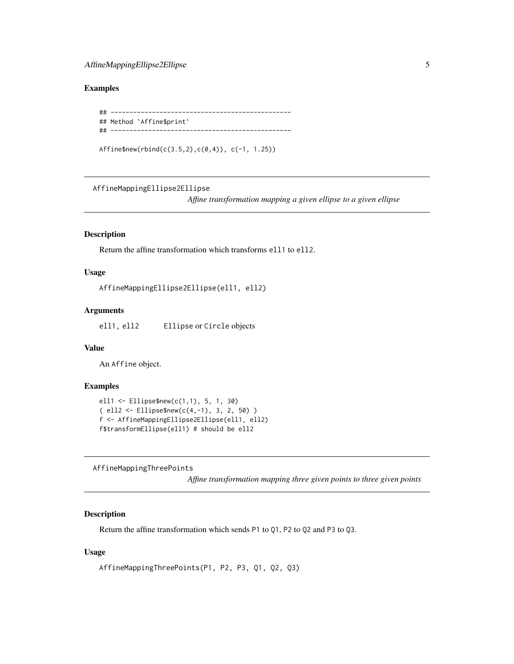### <span id="page-4-0"></span>Examples

```
## ------------------------------------------------
## Method `Affine$print`
## ------------------------------------------------
```
Affine\$new(rbind(c(3.5,2),c(0,4)), c(-1, 1.25))

AffineMappingEllipse2Ellipse

*Affine transformation mapping a given ellipse to a given ellipse*

### Description

Return the affine transformation which transforms ell1 to ell2.

### Usage

```
AffineMappingEllipse2Ellipse(ell1, ell2)
```
### Arguments

ell1, ell2 Ellipse or Circle objects

### Value

An Affine object.

#### Examples

```
ell1 <- Ellipse$new(c(1,1), 5, 1, 30)
( ell2 <- Ellipse$new(c(4,-1), 3, 2, 50) )
f <- AffineMappingEllipse2Ellipse(ell1, ell2)
f$transformEllipse(ell1) # should be ell2
```
AffineMappingThreePoints

*Affine transformation mapping three given points to three given points*

### Description

Return the affine transformation which sends P1 to Q1, P2 to Q2 and P3 to Q3.

#### Usage

```
AffineMappingThreePoints(P1, P2, P3, Q1, Q2, Q3)
```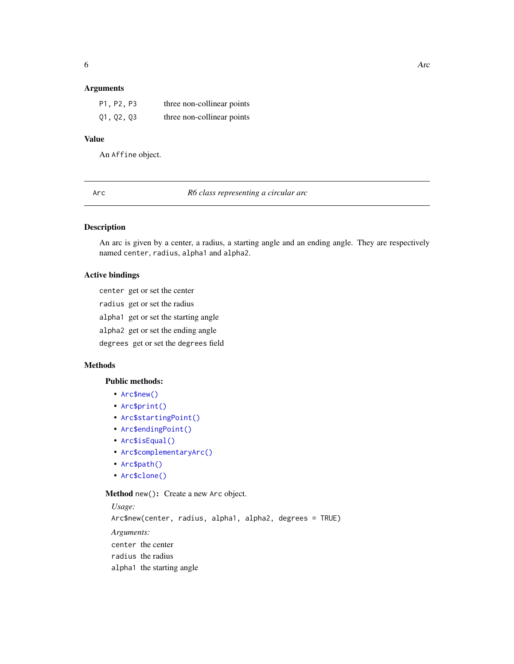### <span id="page-5-0"></span>Arguments

| P1, P2, P3 | three non-collinear points |
|------------|----------------------------|
| Q1, Q2, Q3 | three non-collinear points |

### Value

An Affine object.

Arc *R6 class representing a circular arc*

### Description

An arc is given by a center, a radius, a starting angle and an ending angle. They are respectively named center, radius, alpha1 and alpha2.

### Active bindings

center get or set the center

- radius get or set the radius
- alpha1 get or set the starting angle

alpha2 get or set the ending angle

degrees get or set the degrees field

### Methods

#### Public methods:

- [Arc\\$new\(\)](#page-2-1)
- [Arc\\$print\(\)](#page-2-2)
- [Arc\\$startingPoint\(\)](#page-6-0)
- [Arc\\$endingPoint\(\)](#page-6-1)
- [Arc\\$isEqual\(\)](#page-6-2)
- [Arc\\$complementaryArc\(\)](#page-6-3)
- [Arc\\$path\(\)](#page-6-4)
- [Arc\\$clone\(\)](#page-3-5)

### Method new(): Create a new Arc object.

*Usage:* Arc\$new(center, radius, alpha1, alpha2, degrees = TRUE) *Arguments:* center the center radius the radius alpha1 the starting angle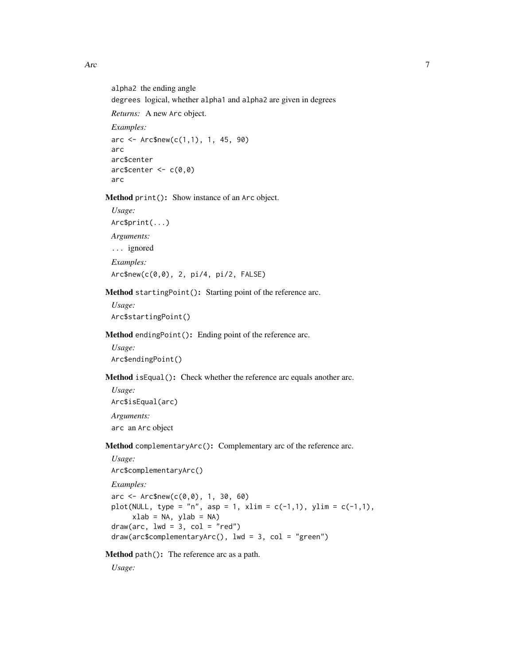Arc 7

alpha2 the ending angle degrees logical, whether alpha1 and alpha2 are given in degrees *Returns:* A new Arc object. *Examples:*  $\text{arc} <$  Arc\$new(c(1,1), 1, 45, 90) arc arc\$center  $arc$center < -c(0,0)$ arc

Method print(): Show instance of an Arc object.

*Usage:* Arc\$print(...) *Arguments:* ... ignored *Examples:* Arc\$new(c(0,0), 2, pi/4, pi/2, FALSE)

<span id="page-6-0"></span>Method startingPoint(): Starting point of the reference arc.

*Usage:* Arc\$startingPoint()

<span id="page-6-1"></span>Method endingPoint(): Ending point of the reference arc.

*Usage:* Arc\$endingPoint()

<span id="page-6-2"></span>Method isEqual(): Check whether the reference arc equals another arc.

*Usage:* Arc\$isEqual(arc) *Arguments:* arc an Arc object

<span id="page-6-3"></span>Method complementaryArc(): Complementary arc of the reference arc.

```
Usage:
Arc$complementaryArc()
Examples:
\text{arc} < Arc$new(c(0,0), 1, 30, 60)
plot(NULL, type = "n", asp = 1, xlim = c(-1,1), ylim = c(-1,1),
     xlab = NA, ylab = NA)
draw(arc, lwd = 3, col = "red")draw(arc$complementaryArc(), lwd = 3, col = "green")
```
<span id="page-6-4"></span>Method path(): The reference arc as a path.

*Usage:*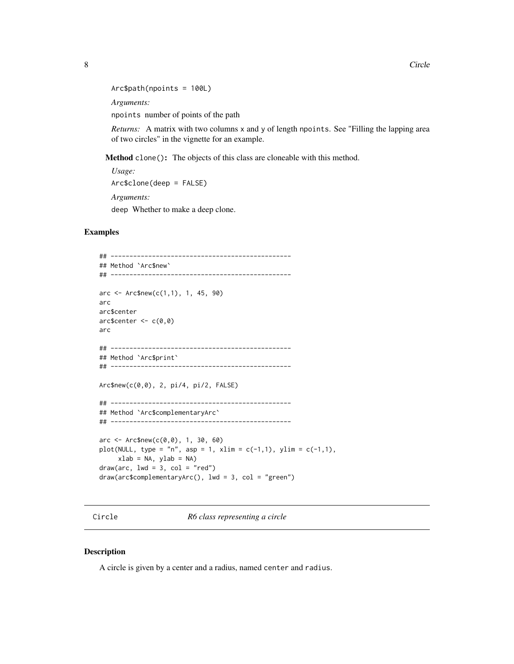```
Arc$path(npoints = 100L)
Arguments:
```
npoints number of points of the path

*Returns:* A matrix with two columns x and y of length npoints. See "Filling the lapping area of two circles" in the vignette for an example.

Method clone(): The objects of this class are cloneable with this method.

```
Usage:
Arc$clone(deep = FALSE)
Arguments:
deep Whether to make a deep clone.
```
#### Examples

```
## ------------------------------------------------
## Method `Arc$new`
## ------------------------------------------------
arc < - Arc$new(c(1,1), 1, 45, 90)
arc
arc$center
arc$center < -c(0,0)arc
## ------------------------------------------------
## Method `Arc$print`
## ------------------------------------------------
Arc$new(c(0,0), 2, pi/4, pi/2, FALSE)
## ------------------------------------------------
## Method `Arc$complementaryArc`
## ------------------------------------------------
arc < - Arc$new(c(0,0), 1, 30, 60)
plot(NULL, type = "n", asp = 1, xlim = c(-1,1), ylim = c(-1,1),
    xlab = NA, ylab = NA)
draw(arc, lwd = 3, col = "red")draw(arc$complementaryArc(), 1wd = 3, col = "green")
```
Circle *R6 class representing a circle*

### Description

A circle is given by a center and a radius, named center and radius.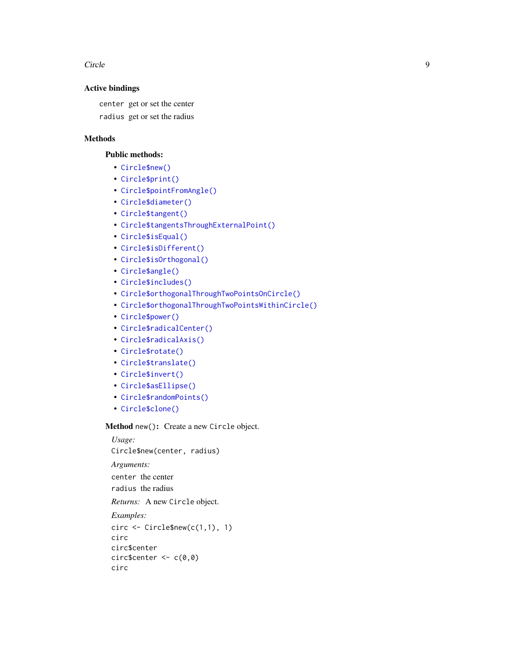Circle **9** 

### Active bindings

center get or set the center

radius get or set the radius

### Methods

### Public methods:

- [Circle\\$new\(\)](#page-2-1)
- [Circle\\$print\(\)](#page-2-2)
- [Circle\\$pointFromAngle\(\)](#page-9-0)
- [Circle\\$diameter\(\)](#page-9-1)
- [Circle\\$tangent\(\)](#page-9-2)
- [Circle\\$tangentsThroughExternalPoint\(\)](#page-9-3)
- [Circle\\$isEqual\(\)](#page-6-2)
- [Circle\\$isDifferent\(\)](#page-10-0)
- [Circle\\$isOrthogonal\(\)](#page-10-1)
- [Circle\\$angle\(\)](#page-10-2)
- [Circle\\$includes\(\)](#page-10-3)
- [Circle\\$orthogonalThroughTwoPointsOnCircle\(\)](#page-10-4)
- [Circle\\$orthogonalThroughTwoPointsWithinCircle\(\)](#page-11-0)
- [Circle\\$power\(\)](#page-11-1)
- [Circle\\$radicalCenter\(\)](#page-12-0)
- [Circle\\$radicalAxis\(\)](#page-12-1)
- [Circle\\$rotate\(\)](#page-12-2)
- [Circle\\$translate\(\)](#page-12-3)
- [Circle\\$invert\(\)](#page-12-4)
- [Circle\\$asEllipse\(\)](#page-12-5)
- [Circle\\$randomPoints\(\)](#page-12-6)
- [Circle\\$clone\(\)](#page-3-5)

Method new(): Create a new Circle object.

*Usage:* Circle\$new(center, radius)

*Arguments:*

center the center radius the radius

*Returns:* A new Circle object.

```
Examples:
circ \leftarrow Circle$new(c(1,1), 1)
circ
circ$center
circ$center <- c(0,0)circ
```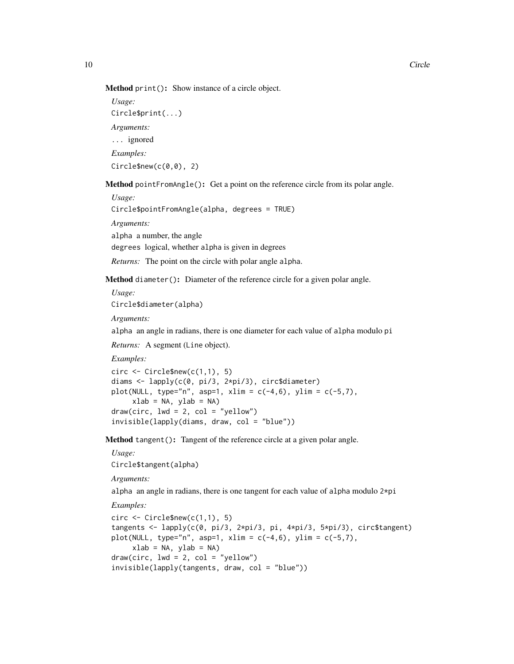```
Usage:
Circle$print(...)
Arguments:
... ignored
Examples:
Circle$new(c(<math>\theta</math>, <math>\theta</math>), 2)
```
<span id="page-9-0"></span>Method pointFromAngle(): Get a point on the reference circle from its polar angle.

*Usage:*

Circle\$pointFromAngle(alpha, degrees = TRUE)

*Arguments:*

alpha a number, the angle

degrees logical, whether alpha is given in degrees

*Returns:* The point on the circle with polar angle alpha.

<span id="page-9-1"></span>Method diameter(): Diameter of the reference circle for a given polar angle.

*Usage:* Circle\$diameter(alpha)

*Arguments:*

alpha an angle in radians, there is one diameter for each value of alpha modulo pi

*Returns:* A segment (Line object).

*Examples:*

```
circ \le Circle$new(c(1,1), 5)
diams <- lapply(c(0, pi/3, 2*pi/3), circ$diameter)
plot(NULL, type="n", asp=1, xlim = c(-4, 6), ylim = c(-5, 7),
     xlab = NA, ylab = NA)
draw(circ, lwd = 2, col = "yellow")invisible(lapply(diams, draw, col = "blue"))
```
<span id="page-9-2"></span>Method tangent(): Tangent of the reference circle at a given polar angle.

*Usage:* Circle\$tangent(alpha)

*Arguments:*

alpha an angle in radians, there is one tangent for each value of alpha modulo 2\*pi

*Examples:*

<span id="page-9-3"></span> $circ \leftarrow$  Circle\$new( $c(1,1)$ , 5) tangents <- lapply(c(0, pi/3, 2\*pi/3, pi, 4\*pi/3, 5\*pi/3), circ\$tangent) plot(NULL, type="n", asp=1, xlim =  $c(-4, 6)$ , ylim =  $c(-5, 7)$ ,  $xlab = NA$ ,  $ylab = NA$ )  $draw(circ, lwd = 2, col = "yellow")$ invisible(lapply(tangents, draw, col = "blue"))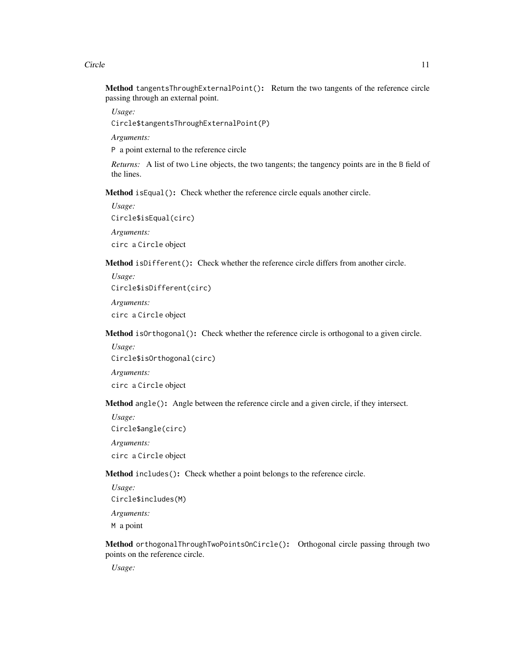Circle 2008 2012 2022 2023 2024 2022 2022 2023 2024 2022 2023 2024 2022 2023 2024 2022 2023 2024 2022 2023 202

Method tangentsThroughExternalPoint(): Return the two tangents of the reference circle passing through an external point.

*Usage:*

Circle\$tangentsThroughExternalPoint(P)

*Arguments:*

P a point external to the reference circle

*Returns:* A list of two Line objects, the two tangents; the tangency points are in the B field of the lines.

Method isEqual(): Check whether the reference circle equals another circle.

*Usage:* Circle\$isEqual(circ) *Arguments:* circ a Circle object

<span id="page-10-0"></span>Method isDifferent(): Check whether the reference circle differs from another circle.

*Usage:* Circle\$isDifferent(circ) *Arguments:* circ a Circle object

<span id="page-10-1"></span>Method isOrthogonal(): Check whether the reference circle is orthogonal to a given circle.

*Usage:* Circle\$isOrthogonal(circ) *Arguments:* circ a Circle object

<span id="page-10-2"></span>Method angle(): Angle between the reference circle and a given circle, if they intersect.

*Usage:* Circle\$angle(circ) *Arguments:* circ a Circle object

<span id="page-10-3"></span>Method includes(): Check whether a point belongs to the reference circle.

*Usage:* Circle\$includes(M) *Arguments:* M a point

<span id="page-10-4"></span>Method orthogonalThroughTwoPointsOnCircle(): Orthogonal circle passing through two points on the reference circle.

*Usage:*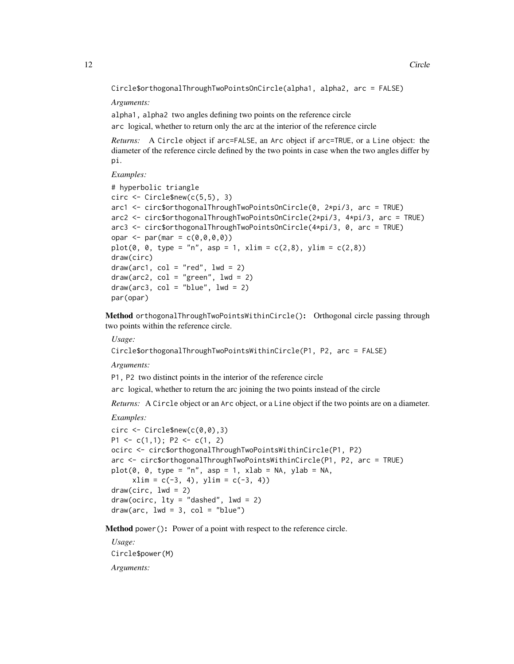```
Circle$orthogonalThroughTwoPointsOnCircle(alpha1, alpha2, arc = FALSE)
```
*Arguments:*

alpha1, alpha2 two angles defining two points on the reference circle

arc logical, whether to return only the arc at the interior of the reference circle

*Returns:* A Circle object if arc=FALSE, an Arc object if arc=TRUE, or a Line object: the diameter of the reference circle defined by the two points in case when the two angles differ by pi.

*Examples:*

```
# hyperbolic triangle
circ \leftarrow Circle$new(c(5,5), 3)
arc1 <- circ$orthogonalThroughTwoPointsOnCircle(0, 2*pi/3, arc = TRUE)
arc2 <- circ$orthogonalThroughTwoPointsOnCircle(2*pi/3, 4*pi/3, arc = TRUE)
arc3 <- circ$orthogonalThroughTwoPointsOnCircle(4*pi/3, 0, arc = TRUE)
opar <- par(mar = c(\emptyset, \emptyset, \emptyset, \emptyset))
plot(0, 0, type = "n", asp = 1, xlim = c(2,8), ylim = c(2,8))draw(circ)
draw(arc1, col = "red", lwd = 2)draw(arc2, col = "green", lwd = 2)draw(arc3, col = "blue", lwd = 2)par(opar)
```
<span id="page-11-0"></span>Method orthogonalThroughTwoPointsWithinCircle(): Orthogonal circle passing through two points within the reference circle.

*Usage:*

Circle\$orthogonalThroughTwoPointsWithinCircle(P1, P2, arc = FALSE)

*Arguments:*

P1, P2 two distinct points in the interior of the reference circle

arc logical, whether to return the arc joining the two points instead of the circle

*Returns:* A Circle object or an Arc object, or a Line object if the two points are on a diameter.

*Examples:*

```
circ \leq Circle$new(c(0,0),3)
P1 \leq c(1,1); P2 \leq c(1, 2)
ocirc <- circ$orthogonalThroughTwoPointsWithinCircle(P1, P2)
arc <- circ$orthogonalThroughTwoPointsWithinCircle(P1, P2, arc = TRUE)
plot(0, 0, type = "n", asp = 1, xlab = NA, ylab = NA,xlim = c(-3, 4), ylim = c(-3, 4)draw(circ, lwd = 2)draw(ocirc, lty = "dashed", lwd = 2)draw(arc, lwd = 3, col = "blue")
```
<span id="page-11-1"></span>Method power(): Power of a point with respect to the reference circle.

*Usage:* Circle\$power(M) *Arguments:*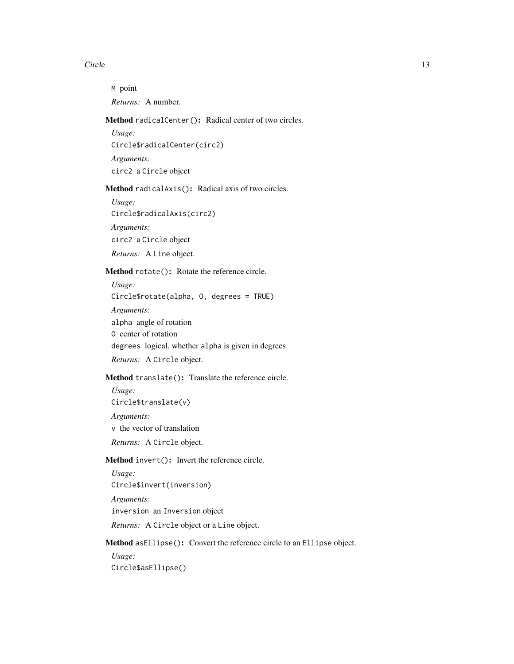#### Circle 13

M point *Returns:* A number.

### <span id="page-12-0"></span>Method radicalCenter(): Radical center of two circles.

*Usage:* Circle\$radicalCenter(circ2) *Arguments:* circ2 a Circle object

### <span id="page-12-1"></span>Method radicalAxis(): Radical axis of two circles.

*Usage:* Circle\$radicalAxis(circ2) *Arguments:* circ2 a Circle object

*Returns:* A Line object.

### <span id="page-12-2"></span>Method rotate(): Rotate the reference circle.

*Usage:* Circle\$rotate(alpha, O, degrees = TRUE) *Arguments:* alpha angle of rotation O center of rotation degrees logical, whether alpha is given in degrees *Returns:* A Circle object.

### <span id="page-12-3"></span>Method translate(): Translate the reference circle.

*Usage:* Circle\$translate(v) *Arguments:* v the vector of translation *Returns:* A Circle object.

#### <span id="page-12-4"></span>Method invert(): Invert the reference circle.

*Usage:* Circle\$invert(inversion) *Arguments:* inversion an Inversion object *Returns:* A Circle object or a Line object.

<span id="page-12-5"></span>Method asEllipse(): Convert the reference circle to an Ellipse object.

<span id="page-12-6"></span>*Usage:* Circle\$asEllipse()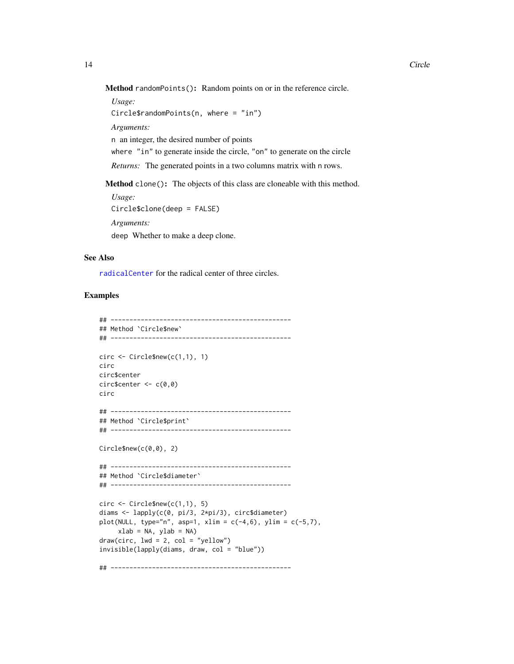Method randomPoints(): Random points on or in the reference circle.

*Usage:* Circle\$randomPoints(n, where = "in") *Arguments:* n an integer, the desired number of points where "in" to generate inside the circle, "on" to generate on the circle

*Returns:* The generated points in a two columns matrix with n rows.

Method clone(): The objects of this class are cloneable with this method.

*Usage:* Circle\$clone(deep = FALSE) *Arguments:* deep Whether to make a deep clone.

### See Also

[radicalCenter](#page-58-1) for the radical center of three circles.

### Examples

```
## ------------------------------------------------
## Method `Circle$new`
## ------------------------------------------------
circ \leftarrow Circle$new(c(1,1), 1)
circ
circ$center
circ$center <- c(0,0)
circ
## ------------------------------------------------
## Method `Circle$print`
## ------------------------------------------------
Circle$new(c(0,0), 2)
## ------------------------------------------------
## Method `Circle$diameter`
## ------------------------------------------------
circ \leftarrow Circle$new(c(1,1), 5)
diams <- lapply(c(0, pi/3, 2*pi/3), circ$diameter)
plot(NULL, type="n", asp=1, xlim = c(-4, 6), ylim = c(-5, 7),xlab = NA, ylab = NA)
draw(circ, lwd = 2, col = "yellow")invisible(lapply(diams, draw, col = "blue"))
## ------------------------------------------------
```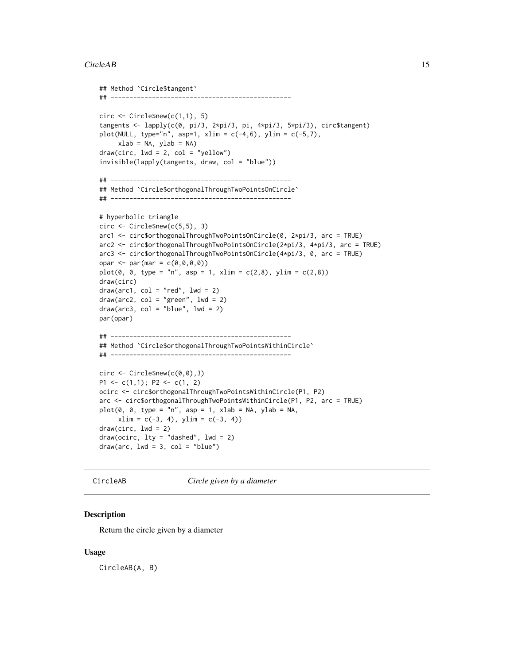#### <span id="page-14-0"></span>CircleAB 15

```
## Method `Circle$tangent`
## ------------------------------------------------
circ \leftarrow Circle$new(c(1,1), 5)
tangents <- lapply(c(0, pi/3, 2*pi/3, pi, 4*pi/3, 5*pi/3), circ$tangent)
plot(NULL, type="n", asp=1, xlim = c(-4, 6), ylim = c(-5, 7),xlab = NA, ylab = NA)
draw(circ, lwd = 2, col = "yellow")invisible(lapply(tangents, draw, col = "blue"))
## ------------------------------------------------
## Method `Circle$orthogonalThroughTwoPointsOnCircle`
## ------------------------------------------------
# hyperbolic triangle
circ <- Circle$new(c(5,5), 3)
arc1 <- circ$orthogonalThroughTwoPointsOnCircle(0, 2*pi/3, arc = TRUE)
arc2 <- circ$orthogonalThroughTwoPointsOnCircle(2*pi/3, 4*pi/3, arc = TRUE)
arc3 <- circ$orthogonalThroughTwoPointsOnCircle(4*pi/3, 0, arc = TRUE)
opar <- par(mar = c(\emptyset, \emptyset, \emptyset, \emptyset))
plot(0, 0, type = "n", asp = 1, xlim = c(2,8), ylim = c(2,8))draw(circ)
draw(arc1, col = "red", lwd = 2)draw(arc2, col = "green", lwd = 2)draw(arc3, col = "blue", lwd = 2)par(opar)
## ------------------------------------------------
## Method `Circle$orthogonalThroughTwoPointsWithinCircle`
## ------------------------------------------------
circ \le Circle$new(c(0,0),3)
P1 <- c(1,1); P2 <- c(1, 2)
ocirc <- circ$orthogonalThroughTwoPointsWithinCircle(P1, P2)
arc <- circ$orthogonalThroughTwoPointsWithinCircle(P1, P2, arc = TRUE)
plot(0, 0, type = "n", asp = 1, xlab = NA, ylab = NA,xlim = c(-3, 4), ylim = c(-3, 4)draw(circ, lwd = 2)draw(ocirc, 1ty = "dashed", 1wd = 2)draw(arc, lwd = 3, col = "blue")
```
CircleAB *Circle given by a diameter*

### Description

Return the circle given by a diameter

### Usage

CircleAB(A, B)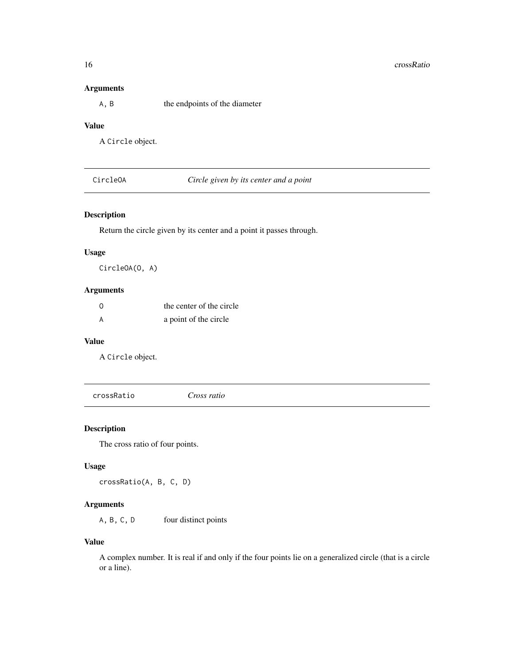### <span id="page-15-0"></span>Arguments

A, B the endpoints of the diameter

### Value

A Circle object.

CircleOA *Circle given by its center and a point*

### Description

Return the circle given by its center and a point it passes through.

#### Usage

CircleOA(O, A)

### Arguments

| $\Omega$ | the center of the circle |
|----------|--------------------------|
|          | a point of the circle    |

### Value

A Circle object.

crossRatio *Cross ratio*

### Description

The cross ratio of four points.

### Usage

crossRatio(A, B, C, D)

### Arguments

A, B, C, D four distinct points

#### Value

A complex number. It is real if and only if the four points lie on a generalized circle (that is a circle or a line).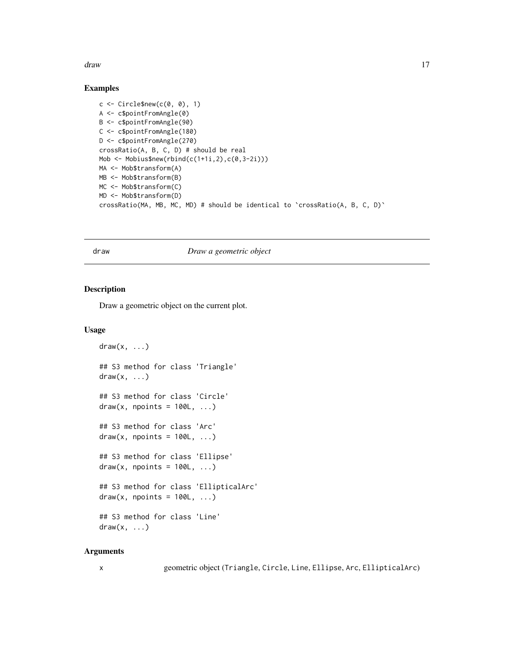<span id="page-16-0"></span>draw 17

#### Examples

```
c \le Circle$new(c(0, 0), 1)
A <- c$pointFromAngle(0)
B <- c$pointFromAngle(90)
C <- c$pointFromAngle(180)
D <- c$pointFromAngle(270)
crossRatio(A, B, C, D) # should be real
Mob \leq Mobius$new(rbind(c(1+1i,2),c(0,3-2i)))
MA <- Mob$transform(A)
MB <- Mob$transform(B)
MC <- Mob$transform(C)
MD <- Mob$transform(D)
crossRatio(MA, MB, MC, MD) # should be identical to `crossRatio(A, B, C, D)`
```
#### draw *Draw a geometric object*

#### Description

Draw a geometric object on the current plot.

#### Usage

```
draw(x, \ldots)## S3 method for class 'Triangle'
draw(x, \ldots)## S3 method for class 'Circle'
draw(x, npoints = 100L, ...)## S3 method for class 'Arc'
draw(x, npoints = 100L, ...)## S3 method for class 'Ellipse'
draw(x, \text{ npoints} = 100L, \ldots)## S3 method for class 'EllipticalArc'
draw(x, npoints = 100L, ...)## S3 method for class 'Line'
draw(x, \ldots)
```
#### Arguments

x geometric object (Triangle, Circle, Line, Ellipse, Arc, EllipticalArc)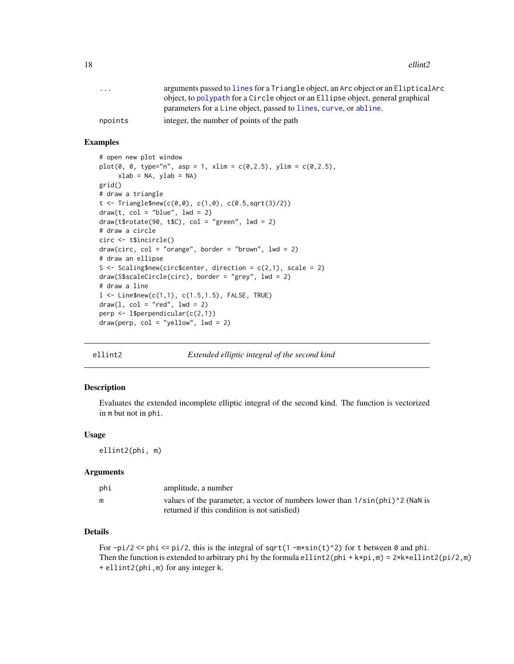<span id="page-17-0"></span>18 ellint2

| $\ddotsc$ | arguments passed to lines for a Triangle object, an Arc object or an ElipticalArc |
|-----------|-----------------------------------------------------------------------------------|
|           | object, to polypath for a Circle object or an Ellipse object, general graphical   |
|           | parameters for a Line object, passed to lines, curve, or abline.                  |
| npoints   | integer, the number of points of the path                                         |
|           |                                                                                   |

### Examples

```
# open new plot window
plot(0, 0, type="n", asp = 1, xlim = c(0, 2.5), ylim = c(0, 2.5),xlab = NA, ylab = NA)
grid()
# draw a triangle
t < - Triangle$new(c(0,0), c(1,0), c(0.5,sqrt(3)/2))
draw(t, col = "blue", lwd = 2)draw(t*)rotate(90, t*C), col = "green", lwd = 2)# draw a circle
circ <- t$incircle()
draw(circ, col = "orange", border = "brown", lwd = 2)# draw an ellipse
S \leq Scaling$new(circ$center, direction = c(2,1), scale = 2)
draw(S$scaleCircle(circ), border = "grey", lwd = 2)
# draw a line
1 < - Line$new(c(1,1), c(1.5,1.5), FALSE, TRUE)
draw(1, col = "red", lwd = 2)perp <- l$perpendicular(c(2,1))
draw(perp, col = "yellow", lwd = 2)
```
#### ellint2 *Extended elliptic integral of the second kind*

#### **Description**

Evaluates the extended incomplete elliptic integral of the second kind. The function is vectorized in m but not in phi.

#### Usage

ellint2(phi, m)

#### Arguments

| phi | amplitude, a number                                                                 |
|-----|-------------------------------------------------------------------------------------|
| m   | values of the parameter, a vector of numbers lower than $1/\sin(\pi h i)^2$ (NaN is |
|     | returned if this condition is not satisfied)                                        |

### Details

For  $-pi/2 \leq phi \leq pi/2$ , this is the integral of sqrt(1 -m\*sin(t)^2) for t between 0 and phi. Then the function is extended to arbitrary phi by the formula ellint2(phi + k\*pi,m) =  $2*k*ellint2(pi/2,m)$ + ellint2(phi,m) for any integer k.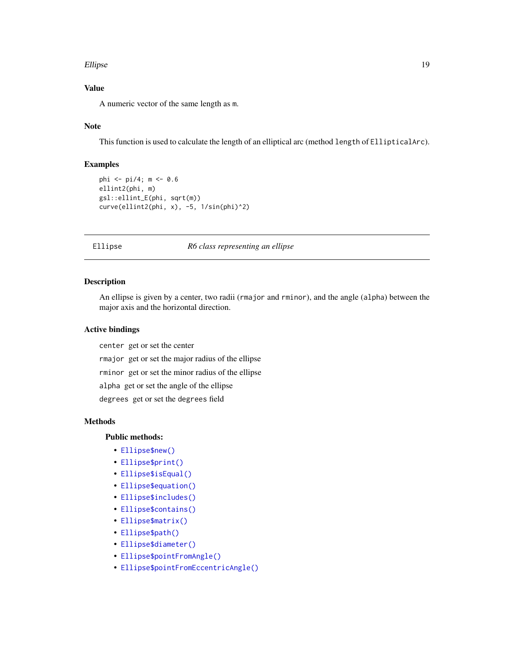#### <span id="page-18-0"></span>Ellipse and the set of the set of the set of the set of the set of the set of the set of the set of the set of the set of the set of the set of the set of the set of the set of the set of the set of the set of the set of t

### Value

A numeric vector of the same length as m.

#### Note

This function is used to calculate the length of an elliptical arc (method length of EllipticalArc).

### Examples

```
phi <- pi/4; m <- 0.6
ellint2(phi, m)
gsl::ellint_E(phi, sqrt(m))
curve(ellint2(phi, x), -5, 1/sin(phi)^2)
```
#### Ellipse *R6 class representing an ellipse*

### Description

An ellipse is given by a center, two radii (rmajor and rminor), and the angle (alpha) between the major axis and the horizontal direction.

#### Active bindings

center get or set the center

rmajor get or set the major radius of the ellipse

rminor get or set the minor radius of the ellipse

alpha get or set the angle of the ellipse

degrees get or set the degrees field

### Methods

### Public methods:

- [Ellipse\\$new\(\)](#page-2-1)
- [Ellipse\\$print\(\)](#page-2-2)
- [Ellipse\\$isEqual\(\)](#page-6-2)
- [Ellipse\\$equation\(\)](#page-19-0)
- [Ellipse\\$includes\(\)](#page-10-3)
- [Ellipse\\$contains\(\)](#page-20-0)
- [Ellipse\\$matrix\(\)](#page-20-1)
- [Ellipse\\$path\(\)](#page-6-4)
- [Ellipse\\$diameter\(\)](#page-9-1)
- [Ellipse\\$pointFromAngle\(\)](#page-9-0)
- [Ellipse\\$pointFromEccentricAngle\(\)](#page-21-0)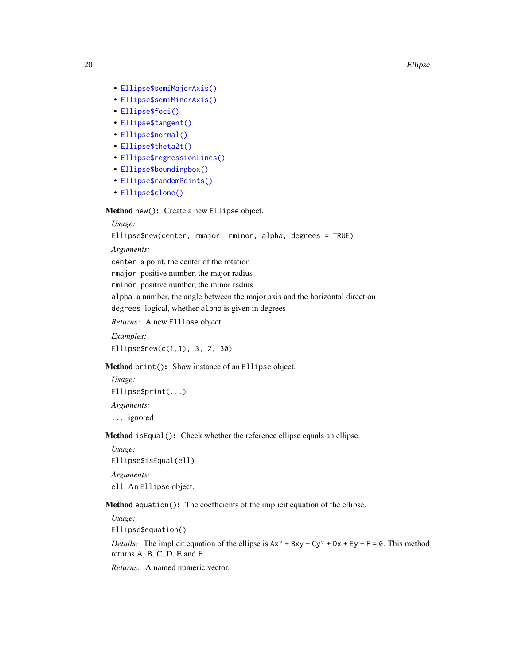20 Ellipse

- [Ellipse\\$semiMajorAxis\(\)](#page-21-1)
- [Ellipse\\$semiMinorAxis\(\)](#page-21-2)
- [Ellipse\\$foci\(\)](#page-21-3)
- [Ellipse\\$tangent\(\)](#page-9-2)
- [Ellipse\\$normal\(\)](#page-22-0)
- [Ellipse\\$theta2t\(\)](#page-22-1)
- [Ellipse\\$regressionLines\(\)](#page-23-0)
- [Ellipse\\$boundingbox\(\)](#page-23-1)
- [Ellipse\\$randomPoints\(\)](#page-12-6)
- [Ellipse\\$clone\(\)](#page-3-5)

Method new(): Create a new Ellipse object.

#### *Usage:*

Ellipse\$new(center, rmajor, rminor, alpha, degrees = TRUE)

*Arguments:*

center a point, the center of the rotation

rmajor positive number, the major radius

rminor positive number, the minor radius

alpha a number, the angle between the major axis and the horizontal direction degrees logical, whether alpha is given in degrees

*Returns:* A new Ellipse object.

*Examples:*

Ellipse\$new(c(1,1), 3, 2, 30)

Method print(): Show instance of an Ellipse object.

*Usage:* Ellipse\$print(...) *Arguments:* ... ignored

Method isEqual(): Check whether the reference ellipse equals an ellipse.

*Usage:*

Ellipse\$isEqual(ell)

*Arguments:*

ell An Ellipse object.

<span id="page-19-0"></span>Method equation(): The coefficients of the implicit equation of the ellipse.

*Usage:*

Ellipse\$equation()

*Details:* The implicit equation of the ellipse is  $Ax^2 + Bxy + Cy^2 + Dx + Ey + F = 0$ . This method returns A, B, C, D, E and F.

*Returns:* A named numeric vector.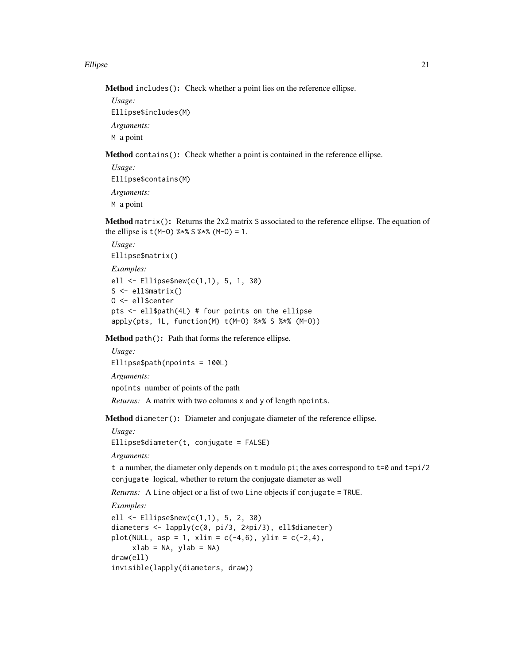#### Ellipse 21

Method includes(): Check whether a point lies on the reference ellipse.

*Usage:* Ellipse\$includes(M) *Arguments:* M a point

<span id="page-20-0"></span>Method contains(): Check whether a point is contained in the reference ellipse.

*Usage:* Ellipse\$contains(M) *Arguments:* M a point

<span id="page-20-1"></span>Method matrix(): Returns the 2x2 matrix S associated to the reference ellipse. The equation of the ellipse is  $t(M-0)$  %  $*$  \$  $*$  \$  $(M-0) = 1$ .

```
Usage:
Ellipse$matrix()
Examples:
ell <- Ellipse$new(c(1,1), 5, 1, 30)
S \leftarrow ell$matrix()
O <- ell$center
pts <- ell$path(4L) # four points on the ellipse
apply(pts, 1L, function(M) t(M-O) %*% S %*% (M-O))
```
Method path(): Path that forms the reference ellipse.

```
Usage:
Ellipse$path(npoints = 100L)
Arguments:
npoints number of points of the path
```
*Returns:* A matrix with two columns x and y of length npoints.

Method diameter(): Diameter and conjugate diameter of the reference ellipse.

*Usage:*

Ellipse\$diameter(t, conjugate = FALSE)

*Arguments:*

```
t a number, the diameter only depends on t modulo pi; the axes correspond to t=0 and t=pi/2conjugate logical, whether to return the conjugate diameter as well
```
*Returns:* A Line object or a list of two Line objects if conjugate = TRUE.

*Examples:*

```
ell <- Ellipse$new(c(1,1), 5, 2, 30)
diameters <- lapply(c(0, pi/3, 2*pi/3), ell$diameter)
plot(NULL, asp = 1, xlim = c(-4, 6), ylim = c(-2, 4),xlab = NA, ylab = NA)
draw(ell)
invisible(lapply(diameters, draw))
```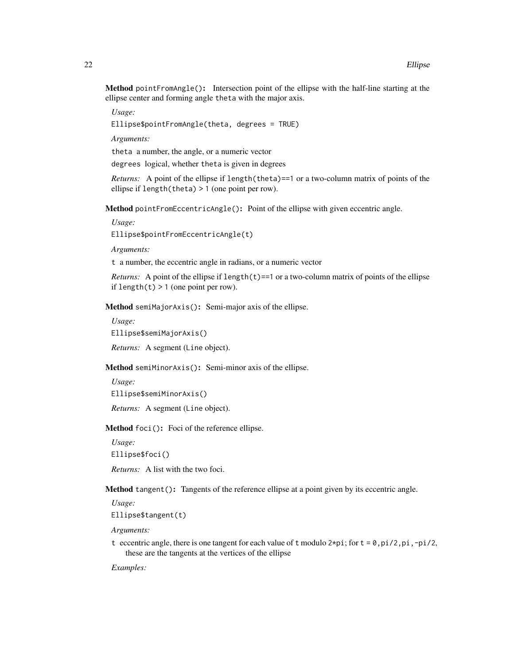Method pointFromAngle(): Intersection point of the ellipse with the half-line starting at the ellipse center and forming angle theta with the major axis.

*Usage:*

Ellipse\$pointFromAngle(theta, degrees = TRUE)

*Arguments:*

theta a number, the angle, or a numeric vector

degrees logical, whether theta is given in degrees

*Returns:* A point of the ellipse if length(theta)==1 or a two-column matrix of points of the ellipse if length(theta) > 1 (one point per row).

<span id="page-21-0"></span>Method pointFromEccentricAngle(): Point of the ellipse with given eccentric angle.

*Usage:*

Ellipse\$pointFromEccentricAngle(t)

*Arguments:*

t a number, the eccentric angle in radians, or a numeric vector

*Returns:* A point of the ellipse if  $length(t) == 1$  or a two-column matrix of points of the ellipse if length $(t)$  > 1 (one point per row).

<span id="page-21-1"></span>Method semiMajorAxis(): Semi-major axis of the ellipse.

*Usage:*

Ellipse\$semiMajorAxis()

*Returns:* A segment (Line object).

<span id="page-21-2"></span>Method semiMinorAxis(): Semi-minor axis of the ellipse.

*Usage:*

```
Ellipse$semiMinorAxis()
```
*Returns:* A segment (Line object).

<span id="page-21-3"></span>Method foci(): Foci of the reference ellipse.

*Usage:* Ellipse\$foci()

*Returns:* A list with the two foci.

Method tangent(): Tangents of the reference ellipse at a point given by its eccentric angle.

*Usage:*

Ellipse\$tangent(t)

*Arguments:*

t eccentric angle, there is one tangent for each value of t modulo  $2*pi$ ; for  $t = 0$ ,  $pi/2$ ,  $pi$ ,  $-pi/2$ , these are the tangents at the vertices of the ellipse

*Examples:*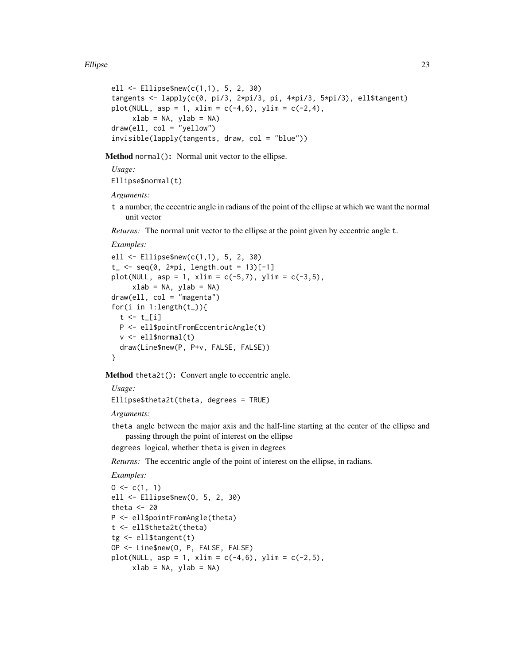```
ell <- Ellipse$new(c(1,1), 5, 2, 30)
tangents \leq lapply(c(0, pi/3, 2*pi/3, pi, 4*pi/3, 5*pi/3), ell$tangent)
plot(NULL, asp = 1, xlim = c(-4, 6), ylim = c(-2, 4),
     xlab = NA, ylab = NA)
draw(ell, col = "yellow")invisible(lapply(tangents, draw, col = "blue"))
```
<span id="page-22-0"></span>Method normal(): Normal unit vector to the ellipse.

*Usage:*

Ellipse\$normal(t)

*Arguments:*

t a number, the eccentric angle in radians of the point of the ellipse at which we want the normal unit vector

*Returns:* The normal unit vector to the ellipse at the point given by eccentric angle t.

*Examples:*

```
ell <- Ellipse$new(c(1,1), 5, 2, 30)
t_{-} <- seq(0, 2*pi, length.out = 13)[-1]
plot(NULL, asp = 1, xlim = c(-5,7), ylim = c(-3,5),xlab = NA, ylab = NAdraw(e11, col = "magenta")for(i in 1:length(t<sub>-</sub>)){
  t \leftarrow t[i]
 P <- ell$pointFromEccentricAngle(t)
  v <- ell$normal(t)
  draw(Line$new(P, P+v, FALSE, FALSE))
}
```
<span id="page-22-1"></span>Method theta2t(): Convert angle to eccentric angle.

*Usage:* Ellipse\$theta2t(theta, degrees = TRUE)

*Arguments:*

theta angle between the major axis and the half-line starting at the center of the ellipse and passing through the point of interest on the ellipse

degrees logical, whether theta is given in degrees

*Returns:* The eccentric angle of the point of interest on the ellipse, in radians.

```
Examples:
```

```
0 \leq c(1, 1)ell <- Ellipse$new(O, 5, 2, 30)
theta <-20P <- ell$pointFromAngle(theta)
t <- ell$theta2t(theta)
tg <- ell$tangent(t)
OP <- Line$new(O, P, FALSE, FALSE)
plot(NULL, asp = 1, xlim = c(-4, 6), ylim = c(-2, 5),xlab = NA, ylab = NA)
```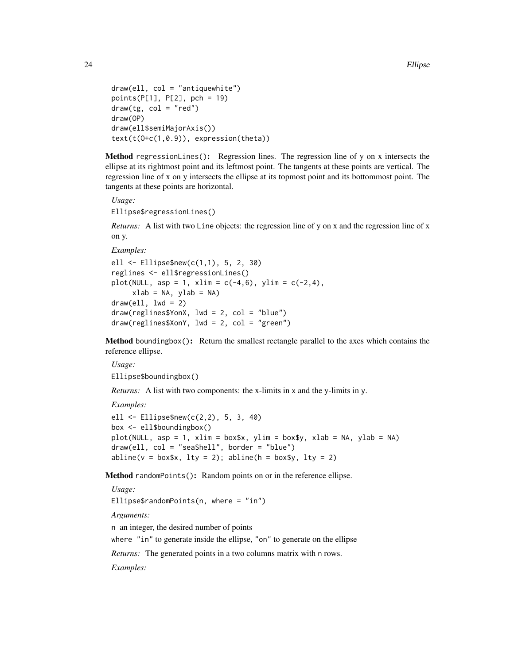```
draw(ell, col = "antiquewhite")
points(P[1], P[2], pch = 19)
draw(tg, col = "red")draw(OP)
draw(ell$semiMajorAxis())
text(t(O+c(1,0.9)), expression(theta))
```
<span id="page-23-0"></span>Method regressionLines $()$ : Regression lines. The regression line of y on x intersects the ellipse at its rightmost point and its leftmost point. The tangents at these points are vertical. The regression line of x on y intersects the ellipse at its topmost point and its bottommost point. The tangents at these points are horizontal.

*Usage:*

Ellipse\$regressionLines()

*Returns:* A list with two Line objects: the regression line of y on x and the regression line of x on y.

*Examples:*

```
ell <- Ellipse$new(c(1,1), 5, 2, 30)
reglines <- ell$regressionLines()
plot(NULL, asp = 1, xlim = c(-4, 6), ylim = c(-2, 4),xlab = NA, ylab = NA)
draw(e11, 1wd = 2)draw(reglines$YonX, lwd = 2, col = "blue")
draw(reglines$XonY, lwd = 2, col = "green")
```
<span id="page-23-1"></span>Method boundingbox(): Return the smallest rectangle parallel to the axes which contains the reference ellipse.

*Usage:* Ellipse\$boundingbox()

*Returns:* A list with two components: the x-limits in x and the y-limits in y.

*Examples:*

```
ell <- Ellipse$new(c(2,2), 5, 3, 40)
box <- ell$boundingbox()
plot(NULL, asp = 1, xlim = box$x, ylim = box$y, xlab = NA, ylab = NA)
draw(ell, col = "seaShell", border = "blue")
abline(v = box*x, lty = 2); abline(h = box*y, lty = 2)
```
Method randomPoints(): Random points on or in the reference ellipse.

*Usage:*

Ellipse\$randomPoints(n, where = "in")

*Arguments:*

n an integer, the desired number of points

where "in" to generate inside the ellipse, "on" to generate on the ellipse

*Returns:* The generated points in a two columns matrix with n rows.

*Examples:*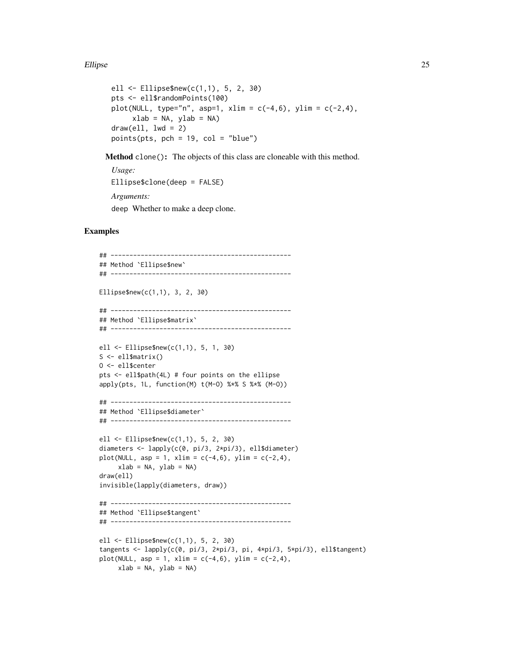#### Ellipse 25

```
ell <- Ellipse$new(c(1,1), 5, 2, 30)
pts <- ell$randomPoints(100)
plot(NULL, type="n", asp=1, xlim = c(-4, 6), ylim = c(-2, 4),xlab = NA, ylab = NAdraw(e11, 1wd = 2)points(pts, pch = 19, col = "blue")
```
Method clone(): The objects of this class are cloneable with this method.

```
Usage:
Ellipse$clone(deep = FALSE)
Arguments:
deep Whether to make a deep clone.
```
#### Examples

```
## ------------------------------------------------
## Method `Ellipse$new`
## ------------------------------------------------
Ellipse$new(c(1,1), 3, 2, 30)
## ------------------------------------------------
## Method `Ellipse$matrix`
## ------------------------------------------------
ell <- Ellipse$new(c(1,1), 5, 1, 30)
S <- ell$matrix()
O <- ell$center
pts <- ell$path(4L) # four points on the ellipse
apply(pts, 1L, function(M) t(M-O) %*% S %*% (M-O))
## ------------------------------------------------
## Method `Ellipse$diameter`
## ------------------------------------------------
ell <- Ellipse$new(c(1,1), 5, 2, 30)
diameters <- lapply(c(0, pi/3, 2*pi/3), ell$diameter)
plot(NULL, asp = 1, xlim = c(-4, 6), ylim = c(-2, 4),xlab = NA, ylab = NA)
draw(ell)
invisible(lapply(diameters, draw))
## ------------------------------------------------
## Method `Ellipse$tangent`
## ------------------------------------------------
ell <- Ellipse$new(c(1,1), 5, 2, 30)
tangents <- lapply(c(0, pi/3, 2*pi/3, pi, 4*pi/3, 5*pi/3), ell$tangent)
plot(NULL, asp = 1, xlim = c(-4, 6), ylim = c(-2, 4),xlab = NA, ylab = NA)
```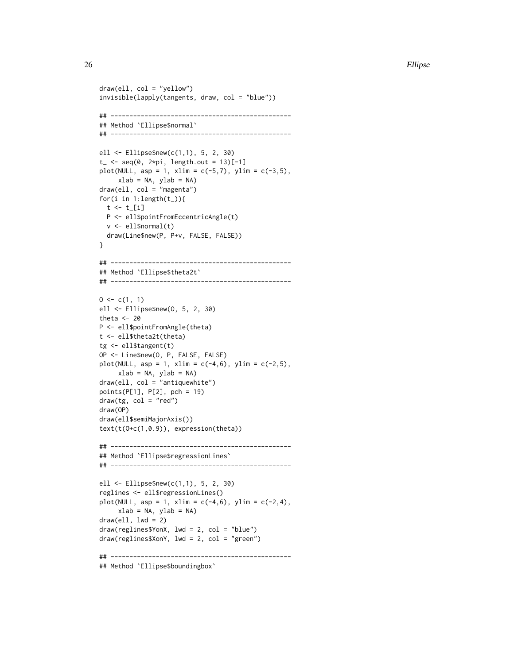26 Ellipse

```
draw(ell, col = "yellow")
invisible(lapply(tangents, draw, col = "blue"))
## ------------------------------------------------
## Method `Ellipse$normal`
## ------------------------------------------------
ell <- Ellipse$new(c(1,1), 5, 2, 30)
t_{-} <- seq(0, 2*pi, length.out = 13)[-1]
plot(NULL, asp = 1, xlim = c(-5,7), ylim = c(-3,5),xlab = NA, ylab = NA)
draw(ell, col = "magenta")
for(i in 1:length(t_)){
  t \leftarrow t[i]
  P <- ell$pointFromEccentricAngle(t)
  v <- ell$normal(t)
  draw(Line$new(P, P+v, FALSE, FALSE))
}
## ------------------------------------------------
## Method `Ellipse$theta2t`
## ------------------------------------------------
0 \leq c(1, 1)ell <- Ellipse$new(O, 5, 2, 30)
theta <-20P <- ell$pointFromAngle(theta)
t <- ell$theta2t(theta)
tg <- ell$tangent(t)
OP <- Line$new(O, P, FALSE, FALSE)
plot(NULL, asp = 1, xlim = c(-4, 6), ylim = c(-2, 5),xlab = NA, ylab = NA)
draw(ell, col = "antiquewhite")
points(P[1], P[2], pch = 19)
draw(tg, col = "red")draw(OP)
draw(ell$semiMajorAxis())
text(t(O+c(1,0.9)), expression(theta))
## ------------------------------------------------
## Method `Ellipse$regressionLines`
## ------------------------------------------------
ell <- Ellipse$new(c(1,1), 5, 2, 30)
reglines <- ell$regressionLines()
plot(NULL, asp = 1, xlim = c(-4, 6), ylim = c(-2, 4),xlab = NA, ylab = NA)
draw(ell, lwd = 2)draw(reglines$YonX, lwd = 2, col = "blue")
draw(reglines$XonY, lwd = 2, col = "green")
## ------------------------------------------------
## Method `Ellipse$boundingbox`
```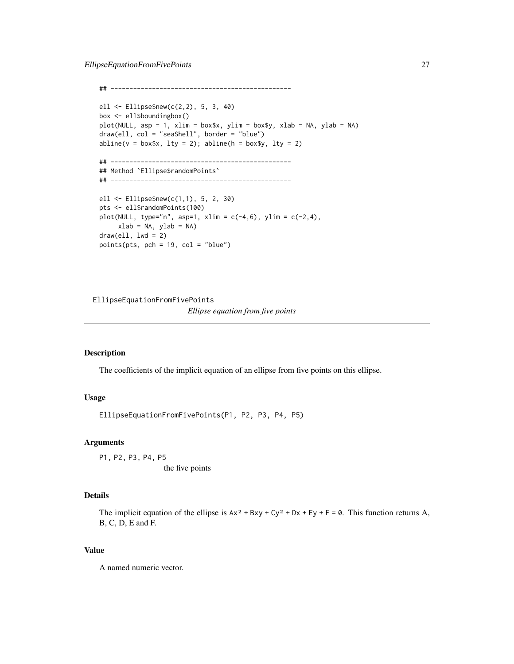```
## ------------------------------------------------
ell <- Ellipse$new(c(2,2), 5, 3, 40)
box <- ell$boundingbox()
plot(NULL, asp = 1, xlim = box$x, ylim = box$y, xlab = NA, ylab = NA)
draw(ell, col = "seaShell", border = "blue")
abline(v = box*x, lty = 2); abline(h = box*y, lty = 2)## ------------------------------------------------
## Method `Ellipse$randomPoints`
## ------------------------------------------------
ell <- Ellipse$new(c(1,1), 5, 2, 30)
pts <- ell$randomPoints(100)
plot(NULL, type="n", asp=1, xlim = c(-4, 6), ylim = c(-2, 4),xlab = NA, ylab = NA)
draw(e11, 1wd = 2)points(pts, pch = 19, col = "blue")
```
EllipseEquationFromFivePoints

*Ellipse equation from five points*

#### Description

The coefficients of the implicit equation of an ellipse from five points on this ellipse.

### Usage

EllipseEquationFromFivePoints(P1, P2, P3, P4, P5)

#### Arguments

P1, P2, P3, P4, P5 the five points

### Details

The implicit equation of the ellipse is  $Ax^2 + Bxy + Cy^2 + Dx + Ey + F = 0$ . This function returns A, B, C, D, E and F.

### Value

A named numeric vector.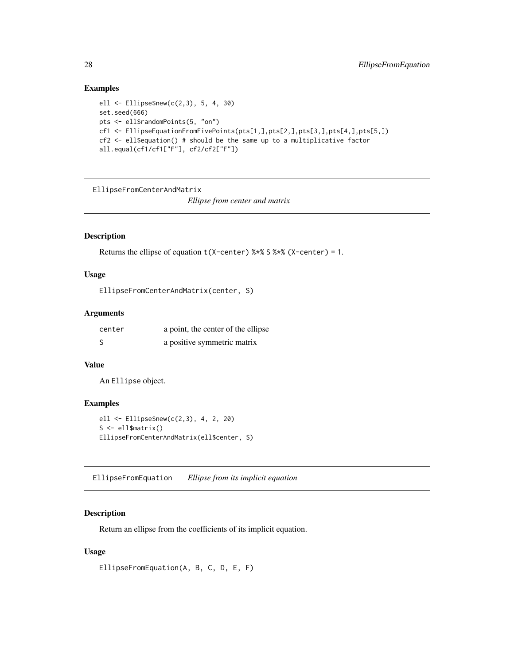### Examples

```
ell <- Ellipse$new(c(2,3), 5, 4, 30)
set.seed(666)
pts <- ell$randomPoints(5, "on")
cf1 <- EllipseEquationFromFivePoints(pts[1,],pts[2,],pts[3,],pts[4,],pts[5,])
cf2 <- ell$equation() # should be the same up to a multiplicative factor
all.equal(cf1/cf1["F"], cf2/cf2["F"])
```

```
EllipseFromCenterAndMatrix
```
*Ellipse from center and matrix*

### Description

```
Returns the ellipse of equation t(X-center) % x X S * (X-center) = 1.
```
#### Usage

```
EllipseFromCenterAndMatrix(center, S)
```
### Arguments

| center | a point, the center of the ellipse |
|--------|------------------------------------|
| - S    | a positive symmetric matrix        |

#### Value

An Ellipse object.

### Examples

```
ell <- Ellipse$new(c(2,3), 4, 2, 20)
S <- ell$matrix()
EllipseFromCenterAndMatrix(ell$center, S)
```
EllipseFromEquation *Ellipse from its implicit equation*

### Description

Return an ellipse from the coefficients of its implicit equation.

### Usage

EllipseFromEquation(A, B, C, D, E, F)

<span id="page-27-0"></span>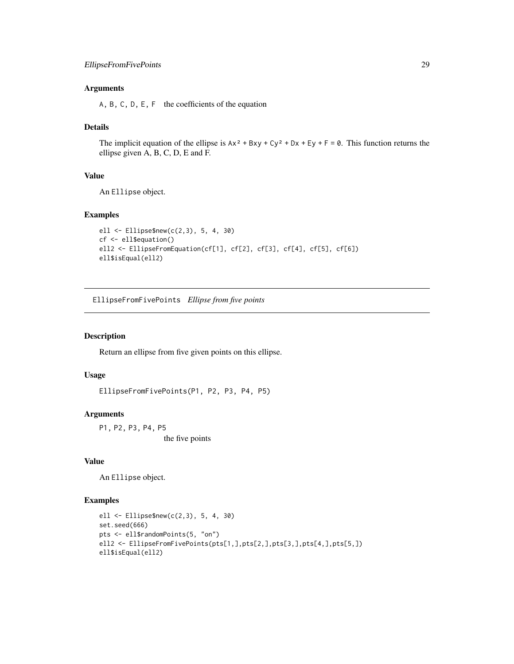### <span id="page-28-0"></span>Arguments

A, B, C, D, E, F the coefficients of the equation

### Details

The implicit equation of the ellipse is  $Ax^2 + Bxy + Cy^2 + Dx + Ey + F = 0$ . This function returns the ellipse given A, B, C, D, E and F.

### Value

An Ellipse object.

#### Examples

```
ell <- Ellipse$new(c(2,3), 5, 4, 30)
cf <- ell$equation()
ell2 <- EllipseFromEquation(cf[1], cf[2], cf[3], cf[4], cf[5], cf[6])
ell$isEqual(ell2)
```
EllipseFromFivePoints *Ellipse from five points*

### Description

Return an ellipse from five given points on this ellipse.

### Usage

EllipseFromFivePoints(P1, P2, P3, P4, P5)

#### Arguments

P1, P2, P3, P4, P5 the five points

### Value

An Ellipse object.

#### Examples

```
ell <- Ellipse$new(c(2,3), 5, 4, 30)
set.seed(666)
pts <- ell$randomPoints(5, "on")
ell2 <- EllipseFromFivePoints(pts[1,],pts[2,],pts[3,],pts[4,],pts[5,])
ell$isEqual(ell2)
```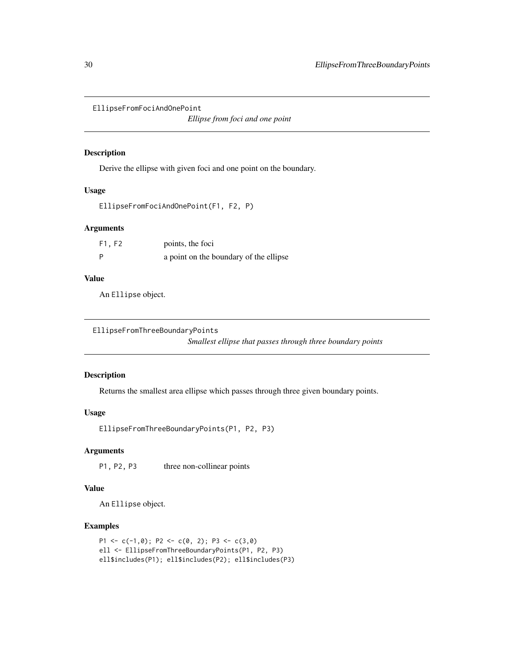```
EllipseFromFociAndOnePoint
```
*Ellipse from foci and one point*

### Description

Derive the ellipse with given foci and one point on the boundary.

#### Usage

```
EllipseFromFociAndOnePoint(F1, F2, P)
```
### Arguments

| F1, F2 | points, the foci                       |
|--------|----------------------------------------|
| - P    | a point on the boundary of the ellipse |

#### Value

An Ellipse object.

EllipseFromThreeBoundaryPoints *Smallest ellipse that passes through three boundary points*

#### Description

Returns the smallest area ellipse which passes through three given boundary points.

### Usage

EllipseFromThreeBoundaryPoints(P1, P2, P3)

### Arguments

P1, P2, P3 three non-collinear points

### Value

An Ellipse object.

### Examples

```
P1 <- c(-1,0); P2 <- c(0, 2); P3 <- c(3,0)
ell <- EllipseFromThreeBoundaryPoints(P1, P2, P3)
ell$includes(P1); ell$includes(P2); ell$includes(P3)
```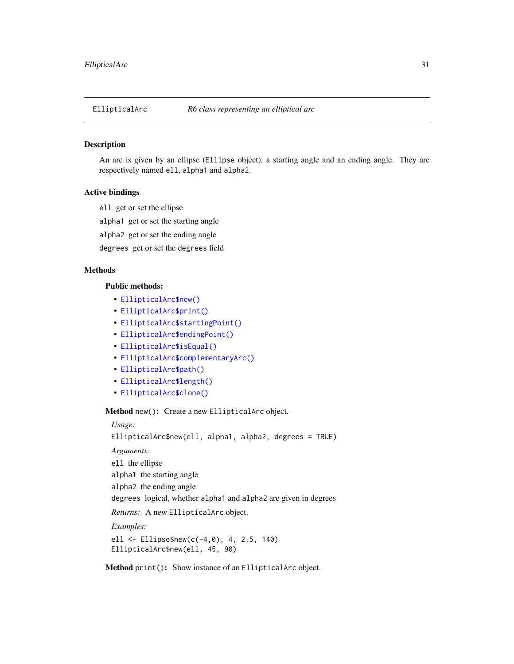<span id="page-30-0"></span>

### Description

An arc is given by an ellipse (Ellipse object), a starting angle and an ending angle. They are respectively named ell, alpha1 and alpha2.

#### Active bindings

ell get or set the ellipse

alpha1 get or set the starting angle

alpha2 get or set the ending angle

degrees get or set the degrees field

#### Methods

### Public methods:

- [EllipticalArc\\$new\(\)](#page-2-1)
- [EllipticalArc\\$print\(\)](#page-2-2)
- [EllipticalArc\\$startingPoint\(\)](#page-6-0)
- [EllipticalArc\\$endingPoint\(\)](#page-6-1)
- [EllipticalArc\\$isEqual\(\)](#page-6-2)
- [EllipticalArc\\$complementaryArc\(\)](#page-6-3)
- [EllipticalArc\\$path\(\)](#page-6-4)
- [EllipticalArc\\$length\(\)](#page-31-0)
- [EllipticalArc\\$clone\(\)](#page-3-5)

Method new(): Create a new EllipticalArc object.

*Usage:*

EllipticalArc\$new(ell, alpha1, alpha2, degrees = TRUE)

*Arguments:*

ell the ellipse

alpha1 the starting angle

alpha2 the ending angle

degrees logical, whether alpha1 and alpha2 are given in degrees

*Returns:* A new EllipticalArc object.

*Examples:*

ell <- Ellipse\$new(c(-4,0), 4, 2.5, 140) EllipticalArc\$new(ell, 45, 90)

Method print(): Show instance of an EllipticalArc object.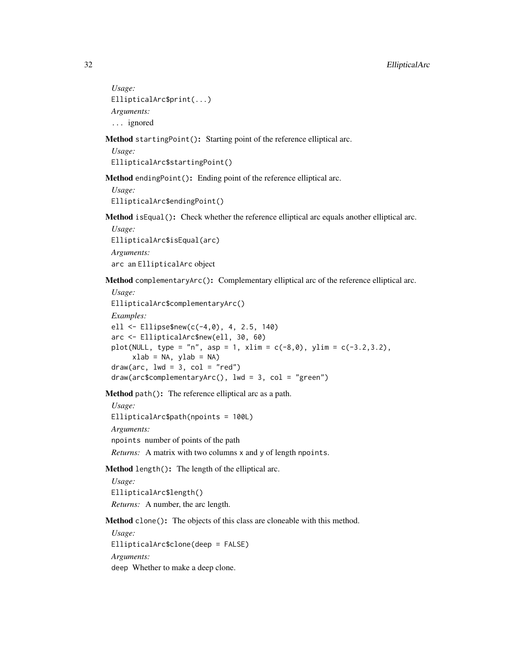```
Usage:
EllipticalArc$print(...)
Arguments:
... ignored
```
Method startingPoint(): Starting point of the reference elliptical arc.

*Usage:* EllipticalArc\$startingPoint()

Method endingPoint(): Ending point of the reference elliptical arc.

*Usage:* EllipticalArc\$endingPoint()

Method isEqual(): Check whether the reference elliptical arc equals another elliptical arc.

*Usage:* EllipticalArc\$isEqual(arc) *Arguments:* arc an EllipticalArc object

Method complementaryArc(): Complementary elliptical arc of the reference elliptical arc.

```
Usage:
EllipticalArc$complementaryArc()
Examples:
ell <- Ellipse$new(c(-4,0), 4, 2.5, 140)
arc <- EllipticalArc$new(ell, 30, 60)
plot(NULL, type = "n", asp = 1, xlim = c(-8, 0), ylim = c(-3.2, 3.2),
     xlab = NA, ylab = NA)
draw(arc, lwd = 3, col = "red")draw(arc$complementaryArc(), lwd = 3, col = "green")
```
Method path(): The reference elliptical arc as a path.

```
Usage:
EllipticalArc$path(npoints = 100L)
Arguments:
npoints number of points of the path
Returns: A matrix with two columns x and y of length npoints.
```
<span id="page-31-0"></span>Method length(): The length of the elliptical arc.

*Usage:* EllipticalArc\$length() *Returns:* A number, the arc length.

Method clone(): The objects of this class are cloneable with this method.

*Usage:* EllipticalArc\$clone(deep = FALSE) *Arguments:* deep Whether to make a deep clone.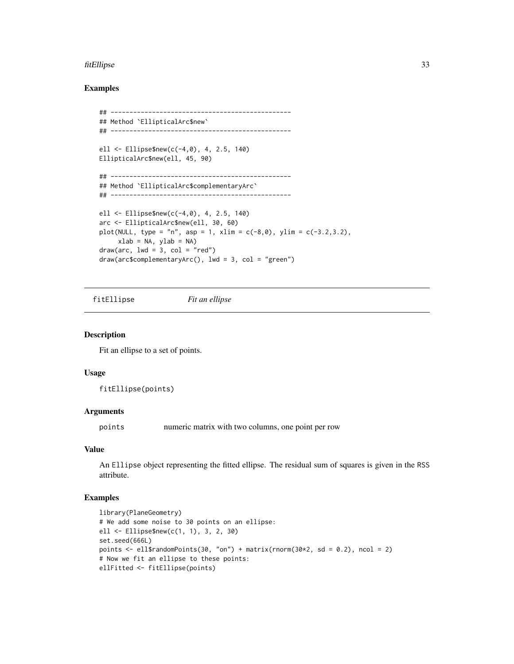#### <span id="page-32-0"></span>fitEllipse 33

### Examples

```
## ------------------------------------------------
## Method `EllipticalArc$new`
## ------------------------------------------------
ell <- Ellipse$new(c(-4,0), 4, 2.5, 140)
EllipticalArc$new(ell, 45, 90)
## ------------------------------------------------
## Method `EllipticalArc$complementaryArc`
## ------------------------------------------------
ell <- Ellipse$new(c(-4,0), 4, 2.5, 140)
arc <- EllipticalArc$new(ell, 30, 60)
plot(NULL, type = "n", asp = 1, xlim = c(-8, 0), ylim = c(-3.2, 3.2),
     xlab = NA, ylab = NAdraw(arc, lwd = 3, col = "red")draw(arc$complementaryArc(), lwd = 3, col = "green")
```
fitEllipse *Fit an ellipse*

#### Description

Fit an ellipse to a set of points.

### Usage

fitEllipse(points)

#### Arguments

points numeric matrix with two columns, one point per row

#### Value

An Ellipse object representing the fitted ellipse. The residual sum of squares is given in the RSS attribute.

### Examples

```
library(PlaneGeometry)
# We add some noise to 30 points on an ellipse:
ell <- Ellipse$new(c(1, 1), 3, 2, 30)
set.seed(666L)
points \le ell$randomPoints(30, "on") + matrix(rnorm(30*2, sd = 0.2), ncol = 2)
# Now we fit an ellipse to these points:
ellFitted <- fitEllipse(points)
```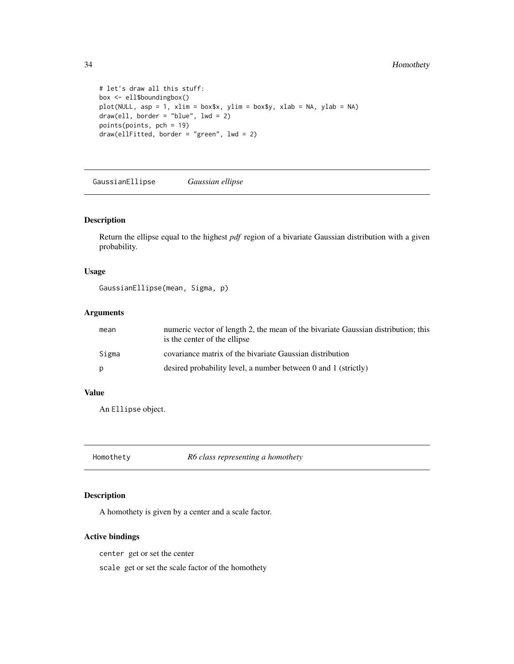### <span id="page-33-0"></span>34 Homothety

```
# let's draw all this stuff:
box <- ell$boundingbox()
plot(NULL, asp = 1, xlim = box$x, ylim = box$y, xlab = NA, ylab = NA)
draw(ell, border = "blue", lwd = 2)points(points, pch = 19)
draw(ellFitted, border = "green", lwd = 2)
```
GaussianEllipse *Gaussian ellipse*

#### Description

Return the ellipse equal to the highest *pdf* region of a bivariate Gaussian distribution with a given probability.

#### Usage

```
GaussianEllipse(mean, Sigma, p)
```
### Arguments

| mean  | numeric vector of length 2, the mean of the bivariate Gaussian distribution; this<br>is the center of the ellipse |
|-------|-------------------------------------------------------------------------------------------------------------------|
| Sigma | covariance matrix of the bivariate Gaussian distribution                                                          |
| p     | desired probability level, a number between $0$ and $1$ (strictly)                                                |

### Value

An Ellipse object.

Homothety *R6 class representing a homothety*

#### Description

A homothety is given by a center and a scale factor.

### Active bindings

center get or set the center

scale get or set the scale factor of the homothety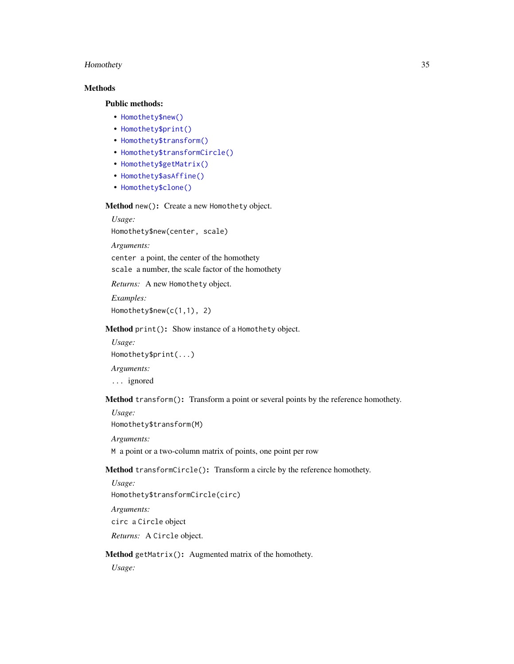#### Homothety 35

### Methods

### Public methods:

- [Homothety\\$new\(\)](#page-2-1)
- [Homothety\\$print\(\)](#page-2-2)
- [Homothety\\$transform\(\)](#page-3-2)
- [Homothety\\$transformCircle\(\)](#page-34-0)
- [Homothety\\$getMatrix\(\)](#page-34-1)
- [Homothety\\$asAffine\(\)](#page-35-1)
- [Homothety\\$clone\(\)](#page-3-5)

Method new(): Create a new Homothety object.

*Usage:* Homothety\$new(center, scale) *Arguments:* center a point, the center of the homothety

scale a number, the scale factor of the homothety

*Returns:* A new Homothety object.

*Examples:* Homothety\$new(c(1,1), 2)

Method print(): Show instance of a Homothety object.

*Usage:* Homothety\$print(...) *Arguments:*

... ignored

Method transform(): Transform a point or several points by the reference homothety.

Homothety\$transform(M)

*Arguments:*

*Usage:*

M a point or a two-column matrix of points, one point per row

<span id="page-34-0"></span>Method transformCircle(): Transform a circle by the reference homothety.

*Usage:* Homothety\$transformCircle(circ) *Arguments:* circ a Circle object *Returns:* A Circle object.

<span id="page-34-1"></span>Method getMatrix(): Augmented matrix of the homothety.

*Usage:*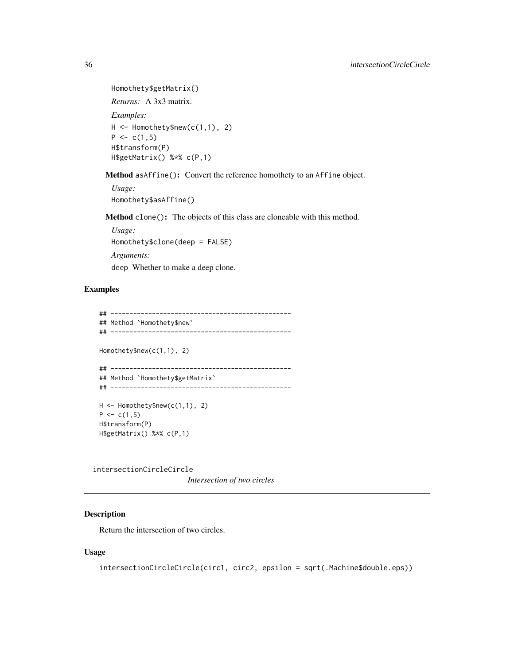```
Homothety$getMatrix()
Returns: A 3x3 matrix.
Examples:
H <- Homothety$new(c(1,1), 2)
P \leftarrow c(1,5)H$transform(P)
H$getMatrix() %*% c(P,1)
```
<span id="page-35-1"></span>Method asAffine(): Convert the reference homothety to an Affine object.

*Usage:* Homothety\$asAffine()

Method clone(): The objects of this class are cloneable with this method.

*Usage:* Homothety\$clone(deep = FALSE) *Arguments:* deep Whether to make a deep clone.

### Examples

```
## ------------------------------------------------
## Method `Homothety$new`
## ------------------------------------------------
Homothety$new(c(1,1), 2)
## ------------------------------------------------
## Method `Homothety$getMatrix`
## ------------------------------------------------
H <- Homothety$new(c(1,1), 2)
P \leftarrow c(1,5)H$transform(P)
H$getMatrix() %*% c(P,1)
```
intersectionCircleCircle

*Intersection of two circles*

### Description

Return the intersection of two circles.

### Usage

```
intersectionCircleCircle(circ1, circ2, epsilon = sqrt(.Machine$double.eps))
```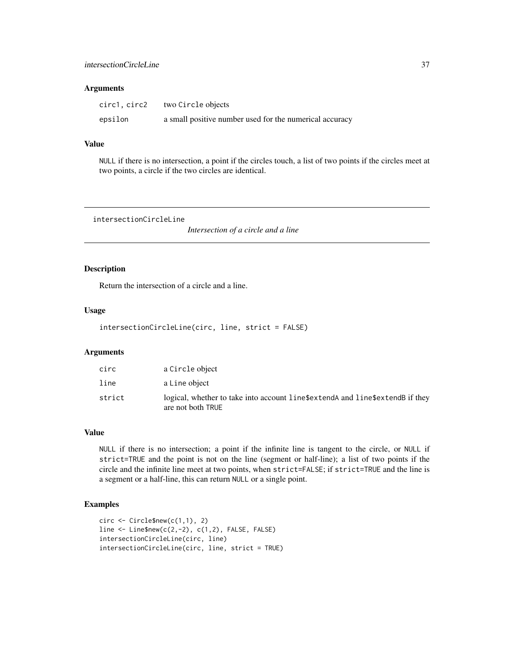# Arguments

| circ1, circ2 | two Circle objects                                      |
|--------------|---------------------------------------------------------|
| epsilon      | a small positive number used for the numerical accuracy |

# Value

NULL if there is no intersection, a point if the circles touch, a list of two points if the circles meet at two points, a circle if the two circles are identical.

intersectionCircleLine

*Intersection of a circle and a line*

# Description

Return the intersection of a circle and a line.

# Usage

```
intersectionCircleLine(circ, line, strict = FALSE)
```
# Arguments

| circ   | a Circle object                                                                                    |
|--------|----------------------------------------------------------------------------------------------------|
| line   | a Line object                                                                                      |
| strict | logical, whether to take into account line\$extendA and line\$extendB if they<br>are not both TRUE |

# Value

NULL if there is no intersection; a point if the infinite line is tangent to the circle, or NULL if strict=TRUE and the point is not on the line (segment or half-line); a list of two points if the circle and the infinite line meet at two points, when strict=FALSE; if strict=TRUE and the line is a segment or a half-line, this can return NULL or a single point.

# Examples

```
circ <- Circle$new(c(1,1), 2)
line <- Line$new(c(2,-2), c(1,2), FALSE, FALSE)
intersectionCircleLine(circ, line)
intersectionCircleLine(circ, line, strict = TRUE)
```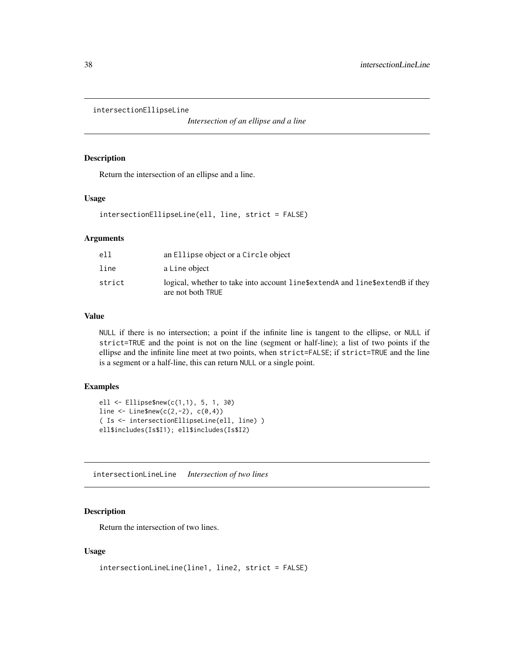intersectionEllipseLine

*Intersection of an ellipse and a line*

#### Description

Return the intersection of an ellipse and a line.

#### Usage

intersectionEllipseLine(ell, line, strict = FALSE)

# Arguments

| ell    | an Ellipse object or a Circle object                                                               |
|--------|----------------------------------------------------------------------------------------------------|
| line   | a Line object                                                                                      |
| strict | logical, whether to take into account line\$extendA and line\$extendB if they<br>are not both TRUE |

#### Value

NULL if there is no intersection; a point if the infinite line is tangent to the ellipse, or NULL if strict=TRUE and the point is not on the line (segment or half-line); a list of two points if the ellipse and the infinite line meet at two points, when strict=FALSE; if strict=TRUE and the line is a segment or a half-line, this can return NULL or a single point.

# Examples

```
ell <- Ellipse$new(c(1,1), 5, 1, 30)
line <- Line$new(c(2,-2), c(0,4))
( Is <- intersectionEllipseLine(ell, line) )
ell$includes(Is$I1); ell$includes(Is$I2)
```
intersectionLineLine *Intersection of two lines*

## Description

Return the intersection of two lines.

## Usage

```
intersectionLineLine(line1, line2, strict = FALSE)
```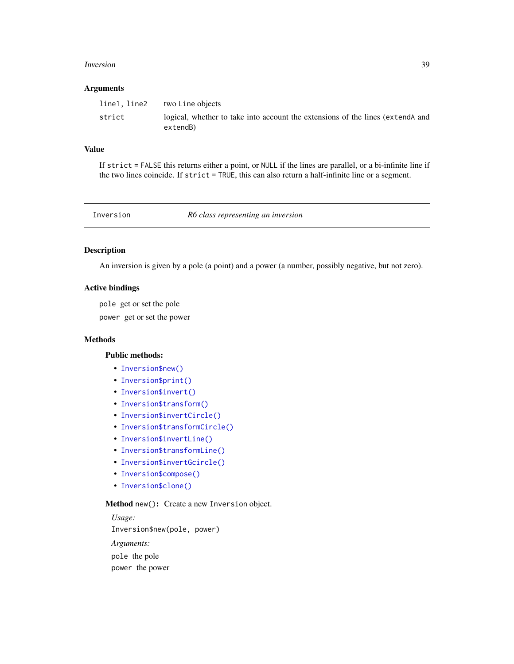#### **Inversion** 39

## Arguments

| line1, line2 | two Line objects                                                                          |
|--------------|-------------------------------------------------------------------------------------------|
| strict       | logical, whether to take into account the extensions of the lines (extend and<br>extendB) |

# Value

If strict = FALSE this returns either a point, or NULL if the lines are parallel, or a bi-infinite line if the two lines coincide. If strict = TRUE, this can also return a half-infinite line or a segment.

<span id="page-38-0"></span>

Inversion *R6 class representing an inversion*

# Description

An inversion is given by a pole (a point) and a power (a number, possibly negative, but not zero).

#### Active bindings

pole get or set the pole

power get or set the power

## **Methods**

# Public methods:

- [Inversion\\$new\(\)](#page-2-0)
- [Inversion\\$print\(\)](#page-2-1)
- [Inversion\\$invert\(\)](#page-12-0)
- [Inversion\\$transform\(\)](#page-3-0)
- [Inversion\\$invertCircle\(\)](#page-39-0)
- [Inversion\\$transformCircle\(\)](#page-34-0)
- [Inversion\\$invertLine\(\)](#page-40-0)
- [Inversion\\$transformLine\(\)](#page-3-1)
- [Inversion\\$invertGcircle\(\)](#page-40-1)
- [Inversion\\$compose\(\)](#page-3-2)
- [Inversion\\$clone\(\)](#page-3-3)

#### Method new(): Create a new Inversion object.

*Usage:* Inversion\$new(pole, power) *Arguments:* pole the pole power the power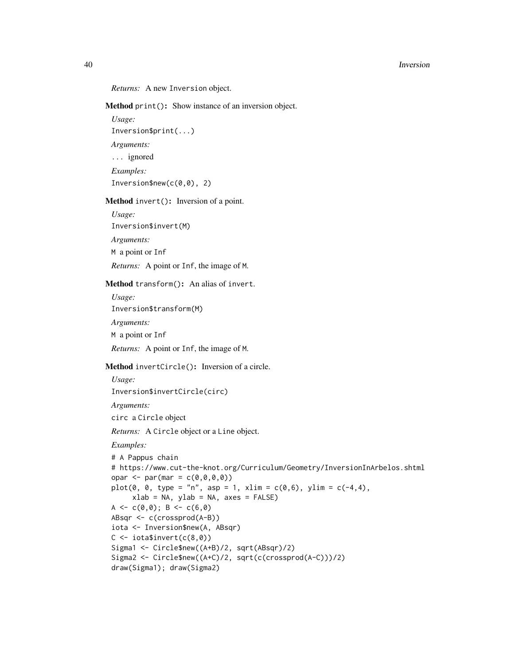#### 40 Inversion

#### *Returns:* A new Inversion object.

Method print(): Show instance of an inversion object.

*Usage:*

Inversion\$print(...)

*Arguments:*

... ignored

*Examples:*

Inversion\$new(c(0,0), 2)

Method invert(): Inversion of a point.

*Usage:*

Inversion\$invert(M)

*Arguments:*

M a point or Inf

*Returns:* A point or Inf, the image of M.

Method transform(): An alias of invert.

*Usage:*

Inversion\$transform(M)

*Arguments:*

M a point or Inf

*Returns:* A point or Inf, the image of M.

<span id="page-39-0"></span>Method invertCircle(): Inversion of a circle.

*Usage:*

Inversion\$invertCircle(circ)

*Arguments:*

circ a Circle object

*Returns:* A Circle object or a Line object.

*Examples:*

```
# A Pappus chain
# https://www.cut-the-knot.org/Curriculum/Geometry/InversionInArbelos.shtml
opar \leq par(mar = c(\emptyset, \emptyset, \emptyset, \emptyset))
plot(0, 0, type = "n", asp = 1, xlim = c(0,6), ylim = c(-4,4),
      xlab = NA, ylab = NA, axes = FALSE)
A \leftarrow c(\emptyset, \emptyset); B \leftarrow c(\emptyset, \emptyset)ABsqr <- c(crossprod(A-B))
iota <- Inversion$new(A, ABsqr)
C \leftarrow \text{iota$i\tiny{in}vert(c(8,0))Sigma1 <- Circle$new((A+B)/2, sqrt(ABsqr)/2)
Sigma2 <- Circle$new((A+C)/2, sqrt(c(crossprod(A-C)))/2)
draw(Sigma1); draw(Sigma2)
```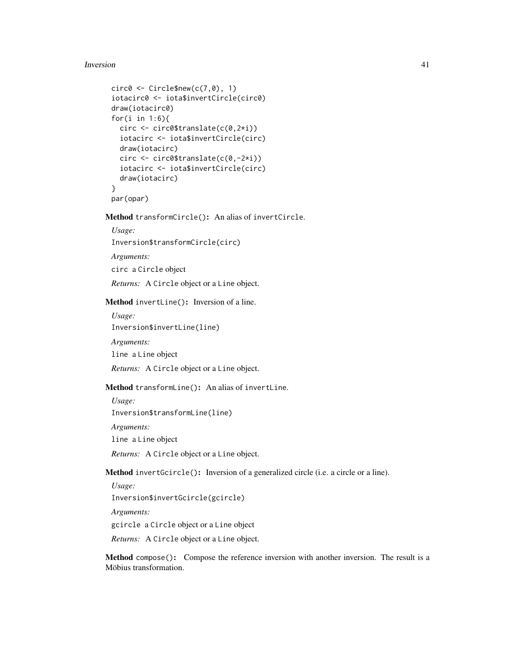#### Inversion 41

```
circ\theta \leftarrow Circle$new(c(7, \theta), 1)iotacirc0 <- iota$invertCircle(circ0)
draw(iotacirc0)
for(i in 1:6){
  circ <- circ0$translate(c(0,2*i))
  iotacirc <- iota$invertCircle(circ)
 draw(iotacirc)
  circ <- circ0$translate(c(0,-2*i))
  iotacirc <- iota$invertCircle(circ)
  draw(iotacirc)
}
par(opar)
```
Method transformCircle(): An alias of invertCircle.

*Usage:*

Inversion\$transformCircle(circ)

*Arguments:*

circ a Circle object

*Returns:* A Circle object or a Line object.

<span id="page-40-0"></span>Method invertLine(): Inversion of a line.

*Usage:*

Inversion\$invertLine(line)

*Arguments:*

line a Line object

*Returns:* A Circle object or a Line object.

Method transformLine(): An alias of invertLine.

*Usage:* Inversion\$transformLine(line) *Arguments:* line a Line object *Returns:* A Circle object or a Line object.

<span id="page-40-1"></span>Method invertGcircle(): Inversion of a generalized circle (i.e. a circle or a line).

*Usage:* Inversion\$invertGcircle(gcircle) *Arguments:* gcircle a Circle object or a Line object *Returns:* A Circle object or a Line object.

Method compose(): Compose the reference inversion with another inversion. The result is a Möbius transformation.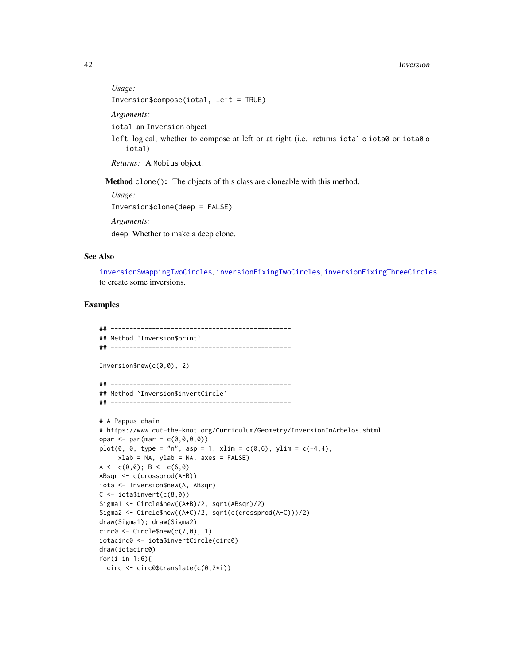```
Usage:
Inversion$compose(iota1, left = TRUE)
Arguments:
iota1 an Inversion object
left logical, whether to compose at left or at right (i.e. returns iota1 o iota0 or iota0 o
   iota1)
Returns: A Mobius object.
```
Method clone(): The objects of this class are cloneable with this method.

*Usage:* Inversion\$clone(deep = FALSE) *Arguments:* deep Whether to make a deep clone.

#### See Also

[inversionSwappingTwoCircles](#page-44-0), [inversionFixingTwoCircles](#page-42-0), [inversionFixingThreeCircles](#page-42-1) to create some inversions.

## Examples

```
## ------------------------------------------------
## Method `Inversion$print`
## ------------------------------------------------
Inversion$new(c(0,0), 2)
## ------------------------------------------------
## Method `Inversion$invertCircle`
## ------------------------------------------------
# A Pappus chain
# https://www.cut-the-knot.org/Curriculum/Geometry/InversionInArbelos.shtml
opar <- par(mar = c(\emptyset, \emptyset, \emptyset, \emptyset))
plot(0, 0, type = "n", asp = 1, xlim = c(0,6), ylim = c(-4,4),
     xlab = NA, ylab = NA, axes = FALSE)
A <- c(\emptyset, \emptyset); B <- c(6, \emptyset)ABsqr <- c(crossprod(A-B))
iota <- Inversion$new(A, ABsqr)
C \leftarrow \text{iota$i<br>never(<math>c(8,0)</math>)Sigma1 <- Circle$new((A+B)/2, sqrt(ABsqr)/2)
Sigma2 <- Circle$new((A+C)/2, sqrt(c(crossprod(A-C)))/2)
draw(Sigma1); draw(Sigma2)
circ\theta \leftarrow Circle$new(c(7, \theta), 1)iotacirc0 <- iota$invertCircle(circ0)
draw(iotacirc0)
for(i in 1:6){
  circ <- circ0$translate(c(0,2*i))
```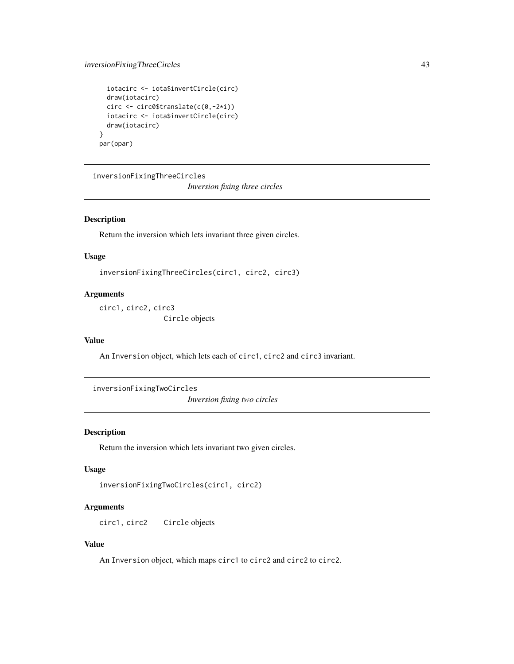# inversionFixingThreeCircles 43

```
iotacirc <- iota$invertCircle(circ)
  draw(iotacirc)
  circ <- circ0$translate(c(0,-2*i))
  iotacirc <- iota$invertCircle(circ)
  draw(iotacirc)
}
par(opar)
```
<span id="page-42-1"></span>inversionFixingThreeCircles

*Inversion fixing three circles*

# Description

Return the inversion which lets invariant three given circles.

#### Usage

inversionFixingThreeCircles(circ1, circ2, circ3)

#### Arguments

circ1, circ2, circ3 Circle objects

## Value

An Inversion object, which lets each of circ1, circ2 and circ3 invariant.

<span id="page-42-0"></span>inversionFixingTwoCircles *Inversion fixing two circles*

## Description

Return the inversion which lets invariant two given circles.

# Usage

```
inversionFixingTwoCircles(circ1, circ2)
```
# Arguments

circ1, circ2 Circle objects

# Value

An Inversion object, which maps circ1 to circ2 and circ2 to circ2.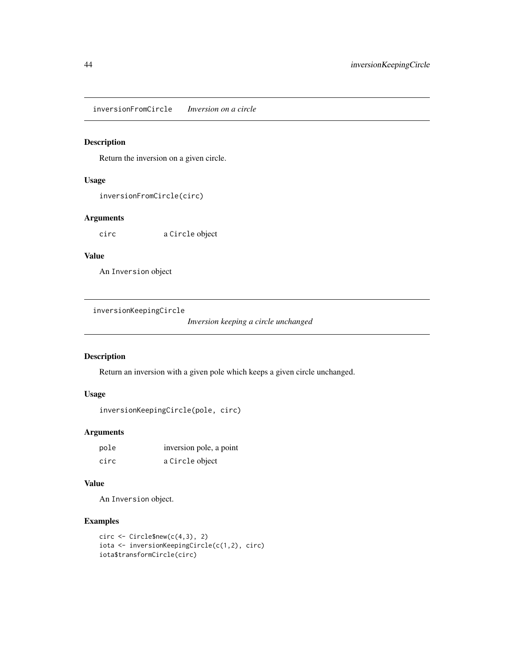inversionFromCircle *Inversion on a circle*

# Description

Return the inversion on a given circle.

## Usage

inversionFromCircle(circ)

## Arguments

circ a Circle object

# Value

An Inversion object

inversionKeepingCircle

*Inversion keeping a circle unchanged*

# Description

Return an inversion with a given pole which keeps a given circle unchanged.

# Usage

```
inversionKeepingCircle(pole, circ)
```
# Arguments

| pole | inversion pole, a point |
|------|-------------------------|
| circ | a Circle object         |

# Value

An Inversion object.

# Examples

```
circ \leftarrow Circle$new(c(4,3), 2)
iota <- inversionKeepingCircle(c(1,2), circ)
iota$transformCircle(circ)
```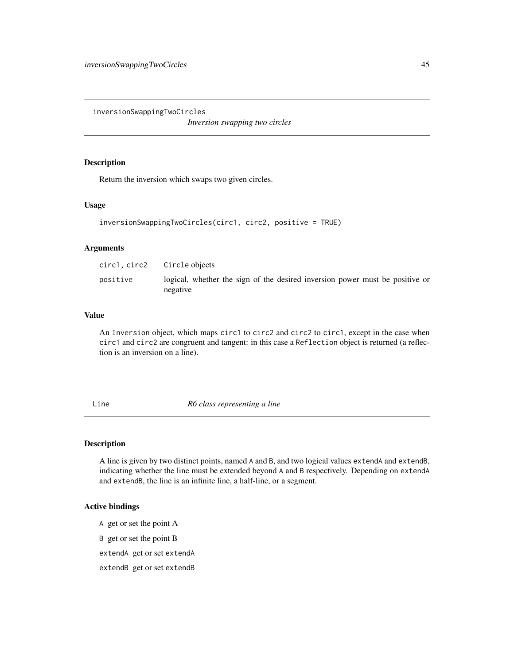<span id="page-44-0"></span>inversionSwappingTwoCircles

*Inversion swapping two circles*

# Description

Return the inversion which swaps two given circles.

## Usage

```
inversionSwappingTwoCircles(circ1, circ2, positive = TRUE)
```
# Arguments

| circ1, circ2 | Circle objects                                                                           |
|--------------|------------------------------------------------------------------------------------------|
| positive     | logical, whether the sign of the desired inversion power must be positive or<br>negative |

## Value

An Inversion object, which maps circ1 to circ2 and circ2 to circ1, except in the case when circ1 and circ2 are congruent and tangent: in this case a Reflection object is returned (a reflection is an inversion on a line).

<span id="page-44-1"></span>Line *R6 class representing a line*

# Description

A line is given by two distinct points, named A and B, and two logical values extendA and extendB, indicating whether the line must be extended beyond A and B respectively. Depending on extendA and extendB, the line is an infinite line, a half-line, or a segment.

## Active bindings

- A get or set the point A
- B get or set the point B
- extendA get or set extendA
- extendB get or set extendB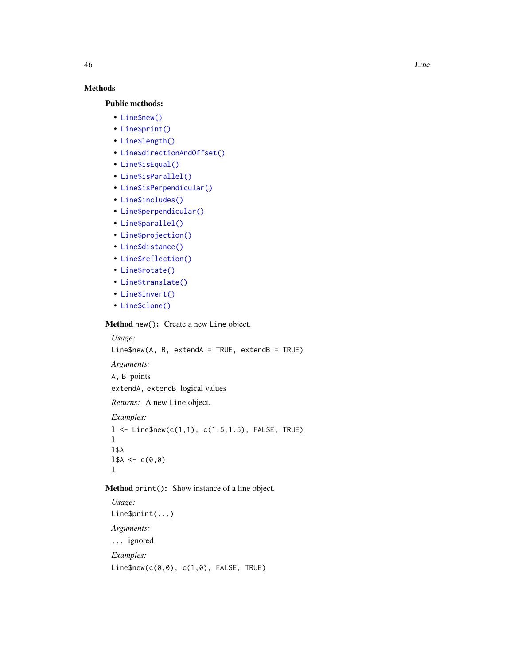# Methods

# Public methods:

- [Line\\$new\(\)](#page-2-0)
- [Line\\$print\(\)](#page-2-1)
- [Line\\$length\(\)](#page-31-0)
- [Line\\$directionAndOffset\(\)](#page-46-0)
- [Line\\$isEqual\(\)](#page-6-0)
- [Line\\$isParallel\(\)](#page-46-1)
- [Line\\$isPerpendicular\(\)](#page-46-2)
- [Line\\$includes\(\)](#page-10-0)
- [Line\\$perpendicular\(\)](#page-47-0)
- [Line\\$parallel\(\)](#page-47-1)
- [Line\\$projection\(\)](#page-47-2)
- [Line\\$distance\(\)](#page-47-3)
- [Line\\$reflection\(\)](#page-47-4)
- [Line\\$rotate\(\)](#page-12-1)
- [Line\\$translate\(\)](#page-12-2)
- [Line\\$invert\(\)](#page-12-0)
- [Line\\$clone\(\)](#page-3-3)

# Method new(): Create a new Line object.

```
Usage:
Line$new(A, B, extendA = TRUE, extendB = TRUE)
Arguments:
A, B points
extendA, extendB logical values
Returns: A new Line object.
Examples:
1 <- Line$new(c(1,1), c(1.5,1.5), FALSE, TRUE)
l
l$A
1$A <- c(0,0)
l
```
# Method print(): Show instance of a line object.

*Usage:* Line\$print(...) *Arguments:* ... ignored *Examples:* Line\$new(c(0,0), c(1,0), FALSE, TRUE)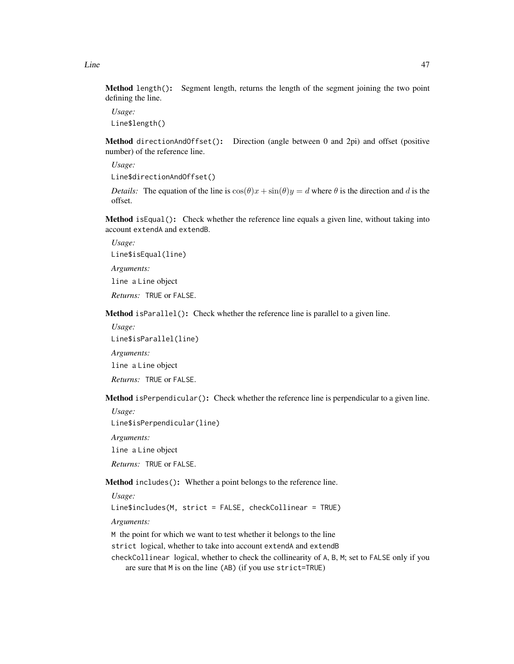Method length(): Segment length, returns the length of the segment joining the two point defining the line.

*Usage:* Line\$length()

<span id="page-46-0"></span>Method directionAndOffset(): Direction (angle between 0 and 2pi) and offset (positive number) of the reference line.

*Usage:* Line\$directionAndOffset()

*Details:* The equation of the line is  $cos(\theta)x + sin(\theta)y = d$  where  $\theta$  is the direction and d is the offset.

Method isEqual(): Check whether the reference line equals a given line, without taking into account extendA and extendB.

*Usage:*

Line\$isEqual(line)

*Arguments:*

line a Line object

*Returns:* TRUE or FALSE.

<span id="page-46-1"></span>Method isParallel(): Check whether the reference line is parallel to a given line.

*Usage:*

Line\$isParallel(line)

*Arguments:*

line a Line object

*Returns:* TRUE or FALSE.

<span id="page-46-2"></span>Method isPerpendicular(): Check whether the reference line is perpendicular to a given line.

*Usage:*

Line\$isPerpendicular(line)

*Arguments:*

line a Line object

*Returns:* TRUE or FALSE.

Method includes(): Whether a point belongs to the reference line.

*Usage:*

Line\$includes(M, strict = FALSE, checkCollinear = TRUE)

*Arguments:*

M the point for which we want to test whether it belongs to the line

strict logical, whether to take into account extendA and extendB

checkCollinear logical, whether to check the collinearity of A, B, M; set to FALSE only if you are sure that M is on the line (AB) (if you use strict=TRUE)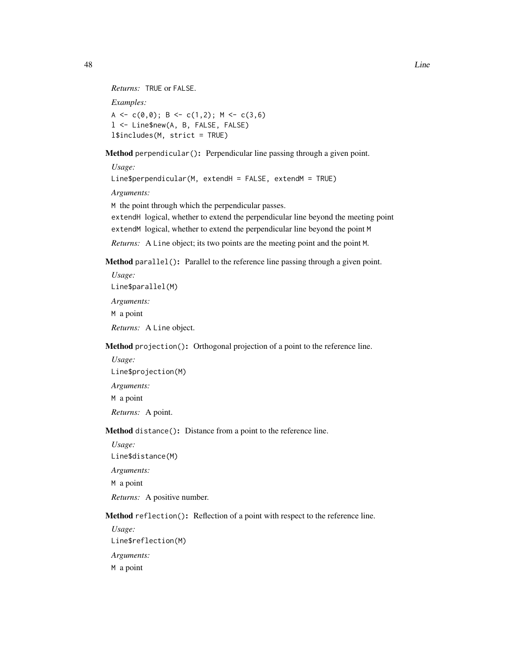```
Returns: TRUE or FALSE.
Examples:
A <- c(0,0); B <- c(1,2); M <- c(3,6)
l <- Line$new(A, B, FALSE, FALSE)
l$includes(M, strict = TRUE)
```
<span id="page-47-0"></span>Method perpendicular(): Perpendicular line passing through a given point.

*Usage:*

Line\$perpendicular(M, extendH = FALSE, extendM = TRUE)

*Arguments:*

M the point through which the perpendicular passes.

extendH logical, whether to extend the perpendicular line beyond the meeting point extendM logical, whether to extend the perpendicular line beyond the point M

*Returns:* A Line object; its two points are the meeting point and the point M.

<span id="page-47-1"></span>Method parallel(): Parallel to the reference line passing through a given point.

*Usage:* Line\$parallel(M) *Arguments:* M a point *Returns:* A Line object.

<span id="page-47-2"></span>Method projection(): Orthogonal projection of a point to the reference line.

*Usage:* Line\$projection(M) *Arguments:* M a point *Returns:* A point.

<span id="page-47-3"></span>Method distance(): Distance from a point to the reference line.

*Usage:*

Line\$distance(M)

*Arguments:*

M a point

*Returns:* A positive number.

<span id="page-47-4"></span>Method reflection(): Reflection of a point with respect to the reference line.

*Usage:* Line\$reflection(M) *Arguments:* M a point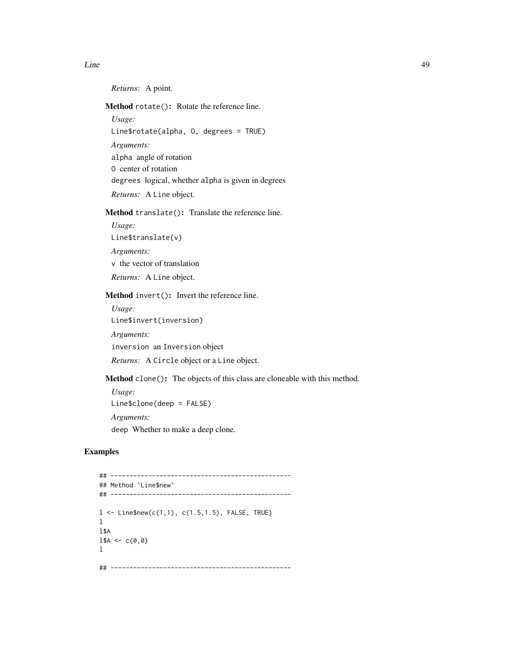*Returns:* A point.

Method rotate(): Rotate the reference line.

*Usage:*

Line\$rotate(alpha, O, degrees = TRUE)

*Arguments:*

alpha angle of rotation

O center of rotation

degrees logical, whether alpha is given in degrees

*Returns:* A Line object.

Method translate(): Translate the reference line.

*Usage:*

Line\$translate(v)

*Arguments:*

v the vector of translation

*Returns:* A Line object.

Method invert(): Invert the reference line.

*Usage:* Line\$invert(inversion)

*Arguments:*

inversion an Inversion object

*Returns:* A Circle object or a Line object.

Method clone(): The objects of this class are cloneable with this method.

*Usage:* Line\$clone(deep = FALSE) *Arguments:* deep Whether to make a deep clone.

# Examples

```
## ------------------------------------------------
## Method `Line$new`
## ------------------------------------------------
1 < - Line$new(c(1,1), c(1.5,1.5), FALSE, TRUE)
l
l$A
1$A <- c(0,0)
l
## ------------------------------------------------
```
Line 2008 and 2008 and 2008 and 2008 and 2008 and 2008 and 2008 and 2008 and 2008 and 2008 and 2008 and 2008 and 2008 and 2008 and 2008 and 2008 and 2008 and 2008 and 2008 and 2008 and 2008 and 2008 and 2008 and 2008 and 2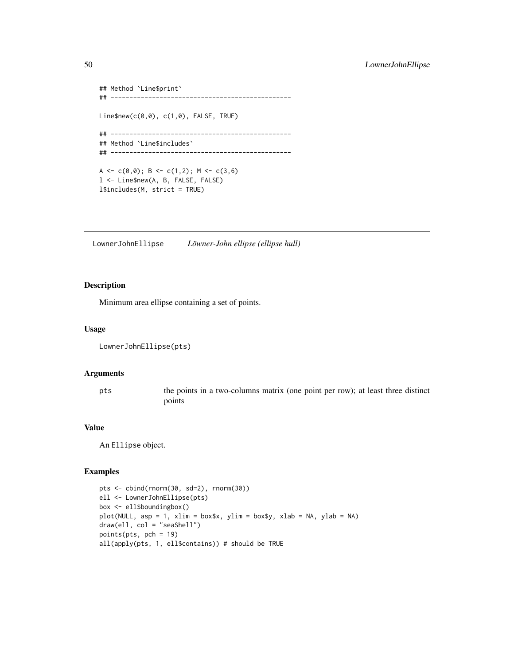```
## Method `Line$print`
## ------------------------------------------------
Line$new(c(0,0), c(1,0), FALSE, TRUE)
## ------------------------------------------------
## Method `Line$includes`
## ------------------------------------------------
A <- c(0,0); B <- c(1,2); M <- c(3,6)
l <- Line$new(A, B, FALSE, FALSE)
l$includes(M, strict = TRUE)
```
LownerJohnEllipse *Löwner-John ellipse (ellipse hull)*

# Description

Minimum area ellipse containing a set of points.

#### Usage

```
LownerJohnEllipse(pts)
```
#### Arguments

pts the points in a two-columns matrix (one point per row); at least three distinct points

#### Value

An Ellipse object.

## Examples

```
pts <- cbind(rnorm(30, sd=2), rnorm(30))
ell <- LownerJohnEllipse(pts)
box <- ell$boundingbox()
plot(NULL, asp = 1, xlim = box$x, ylim = box$y, xlab = NA, ylab = NA)
draw(ell, col = "seaShell")
points(pts, pch = 19)
all(apply(pts, 1, ell$contains)) # should be TRUE
```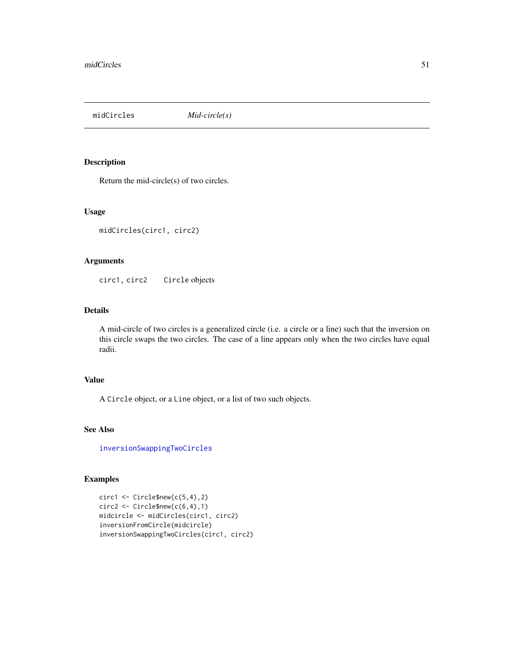midCircles *Mid-circle(s)*

# Description

Return the mid-circle(s) of two circles.

# Usage

```
midCircles(circ1, circ2)
```
#### Arguments

circ1, circ2 Circle objects

# Details

A mid-circle of two circles is a generalized circle (i.e. a circle or a line) such that the inversion on this circle swaps the two circles. The case of a line appears only when the two circles have equal radii.

# Value

A Circle object, or a Line object, or a list of two such objects.

#### See Also

[inversionSwappingTwoCircles](#page-44-0)

# Examples

```
circ1 \leftarrow Circle$new(c(5,4),2)
circ2 \leftarrow Circle$new(c(6,4),1)midcircle <- midCircles(circ1, circ2)
inversionFromCircle(midcircle)
inversionSwappingTwoCircles(circ1, circ2)
```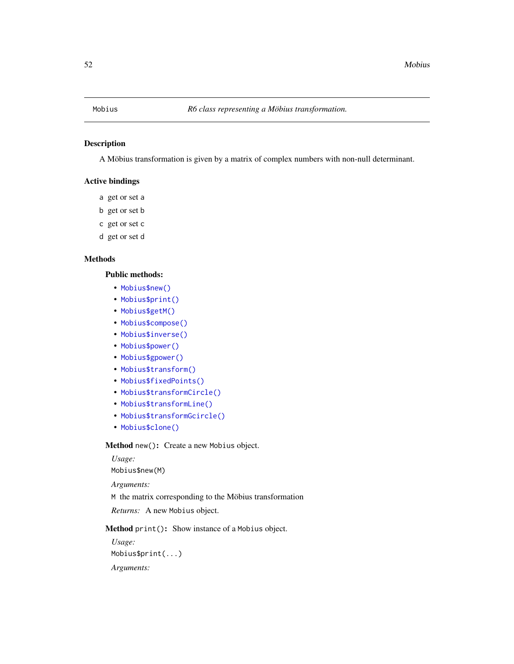# Description

A Möbius transformation is given by a matrix of complex numbers with non-null determinant.

# Active bindings

- a get or set a
- b get or set b
- c get or set c
- d get or set d

# Methods

# Public methods:

- [Mobius\\$new\(\)](#page-2-0)
- [Mobius\\$print\(\)](#page-2-1)
- [Mobius\\$getM\(\)](#page-52-0)
- [Mobius\\$compose\(\)](#page-3-2)
- [Mobius\\$inverse\(\)](#page-3-4)
- [Mobius\\$power\(\)](#page-11-0)
- [Mobius\\$gpower\(\)](#page-52-1)
- [Mobius\\$transform\(\)](#page-3-0)
- [Mobius\\$fixedPoints\(\)](#page-53-0)
- [Mobius\\$transformCircle\(\)](#page-34-0)
- [Mobius\\$transformLine\(\)](#page-3-1)
- [Mobius\\$transformGcircle\(\)](#page-53-1)
- [Mobius\\$clone\(\)](#page-3-3)

Method new(): Create a new Mobius object.

*Usage:* Mobius\$new(M) *Arguments:* M the matrix corresponding to the Möbius transformation

*Returns:* A new Mobius object.

Method print(): Show instance of a Mobius object.

*Usage:* Mobius\$print(...)

*Arguments:*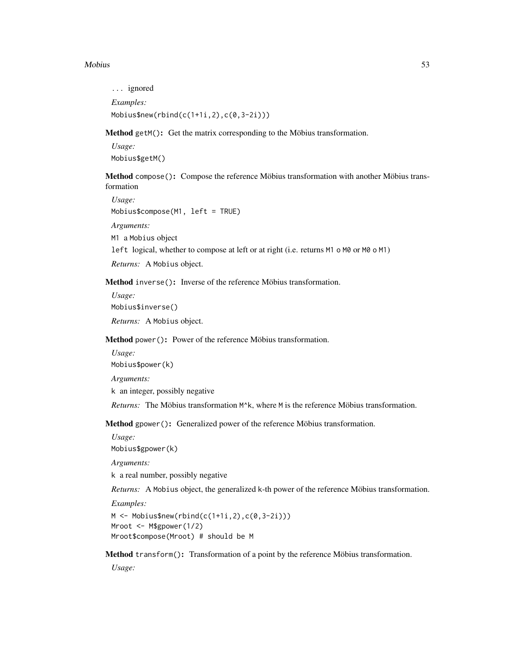#### Mobius 53

... ignored *Examples:* Mobius\$new(rbind(c(1+1i,2),c(0,3-2i)))

<span id="page-52-0"></span>Method getM(): Get the matrix corresponding to the Möbius transformation.

*Usage:* Mobius\$getM()

Method compose(): Compose the reference Möbius transformation with another Möbius transformation

```
Usage:
Mobius$compose(M1, left = TRUE)
Arguments:
M1 a Mobius object
left logical, whether to compose at left or at right (i.e. returns M1 o M0 or M0 o M1)
```
*Returns:* A Mobius object.

Method inverse(): Inverse of the reference Möbius transformation.

*Usage:* Mobius\$inverse()

*Returns:* A Mobius object.

Method power(): Power of the reference Möbius transformation.

*Usage:*

Mobius\$power(k)

*Arguments:*

k an integer, possibly negative

*Returns:* The Möbius transformation M^k, where M is the reference Möbius transformation.

<span id="page-52-1"></span>Method gpower(): Generalized power of the reference Möbius transformation.

*Usage:*

Mobius\$gpower(k)

*Arguments:*

k a real number, possibly negative

*Returns:* A Mobius object, the generalized k-th power of the reference Möbius transformation.

*Examples:*

 $M < -$  Mobius\$new(rbind(c(1+1i,2),c(0,3-2i))) Mroot <- M\$gpower(1/2) Mroot\$compose(Mroot) # should be M

Method transform(): Transformation of a point by the reference Möbius transformation.

*Usage:*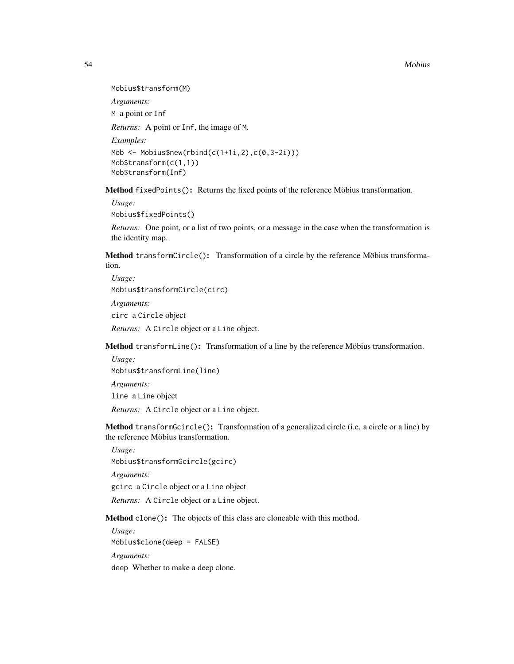#### 54 Mobius

Mobius\$transform(M)

*Arguments:*

M a point or Inf

*Returns:* A point or Inf, the image of M.

*Examples:*

Mob  $\leq$  Mobius\$new(rbind(c(1+1i,2),c(0,3-2i))) Mob\$transform(c(1,1)) Mob\$transform(Inf)

<span id="page-53-0"></span>Method fixedPoints(): Returns the fixed points of the reference Möbius transformation.

*Usage:*

Mobius\$fixedPoints()

*Returns:* One point, or a list of two points, or a message in the case when the transformation is the identity map.

Method transformCircle(): Transformation of a circle by the reference Möbius transformation.

*Usage:* Mobius\$transformCircle(circ)

*Arguments:*

circ a Circle object

*Returns:* A Circle object or a Line object.

Method transformLine(): Transformation of a line by the reference Möbius transformation.

*Usage:* Mobius\$transformLine(line) *Arguments:* line a Line object *Returns:* A Circle object or a Line object.

<span id="page-53-1"></span>Method transformGcircle(): Transformation of a generalized circle (i.e. a circle or a line) by the reference Möbius transformation.

*Usage:* Mobius\$transformGcircle(gcirc)

*Arguments:*

gcirc a Circle object or a Line object

*Returns:* A Circle object or a Line object.

Method clone(): The objects of this class are cloneable with this method.

*Usage:* Mobius\$clone(deep = FALSE) *Arguments:* deep Whether to make a deep clone.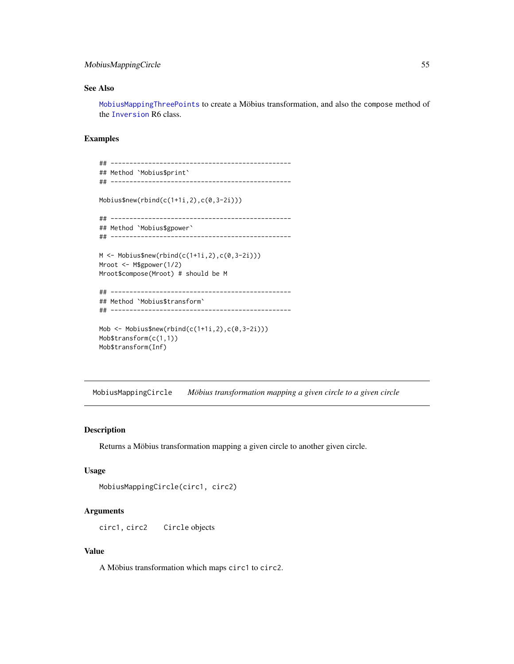# MobiusMappingCircle 55

# See Also

[MobiusMappingThreePoints](#page-55-0) to create a Möbius transformation, and also the compose method of the [Inversion](#page-38-0) R6 class.

# Examples

```
## ------------------------------------------------
## Method `Mobius$print`
## ------------------------------------------------
Mobius$new(rbind(c(1+1i,2),c(0,3-2i)))
## ------------------------------------------------
## Method `Mobius$gpower`
## ------------------------------------------------
M <- Mobius$new(rbind(c(1+1i,2),c(0,3-2i)))
Mroot <- M$gpower(1/2)
Mroot$compose(Mroot) # should be M
## ------------------------------------------------
## Method `Mobius$transform`
## ------------------------------------------------
Mob \leq Mobius$new(rbind(c(1+1i,2),c(0,3-2i)))
Mob$transform(c(1,1))
```
MobiusMappingCircle *Möbius transformation mapping a given circle to a given circle*

# Description

Mob\$transform(Inf)

Returns a Möbius transformation mapping a given circle to another given circle.

#### Usage

```
MobiusMappingCircle(circ1, circ2)
```
## Arguments

circ1, circ2 Circle objects

#### Value

A Möbius transformation which maps circ1 to circ2.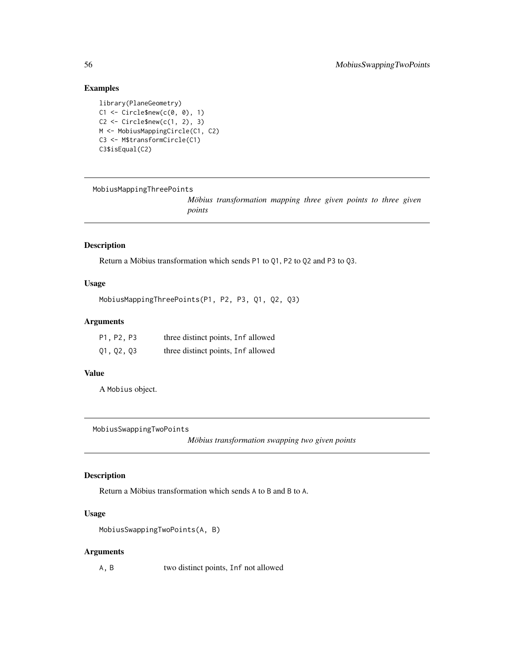# Examples

```
library(PlaneGeometry)
C1 \leftarrow Circle$new(c(0, 0), 1)
C2 \leq C1 Circle$new(c(1, 2), 3)
M <- MobiusMappingCircle(C1, C2)
C3 <- M$transformCircle(C1)
C3$isEqual(C2)
```
<span id="page-55-0"></span>MobiusMappingThreePoints

*Möbius transformation mapping three given points to three given points*

# Description

Return a Möbius transformation which sends P1 to Q1, P2 to Q2 and P3 to Q3.

## Usage

```
MobiusMappingThreePoints(P1, P2, P3, Q1, Q2, Q3)
```
## Arguments

| P1, P2, P3 | three distinct points, Inf allowed |
|------------|------------------------------------|
| Q1, Q2, Q3 | three distinct points, Inf allowed |

# Value

A Mobius object.

MobiusSwappingTwoPoints

*Möbius transformation swapping two given points*

# Description

Return a Möbius transformation which sends A to B and B to A.

## Usage

```
MobiusSwappingTwoPoints(A, B)
```
#### Arguments

A, B two distinct points, Inf not allowed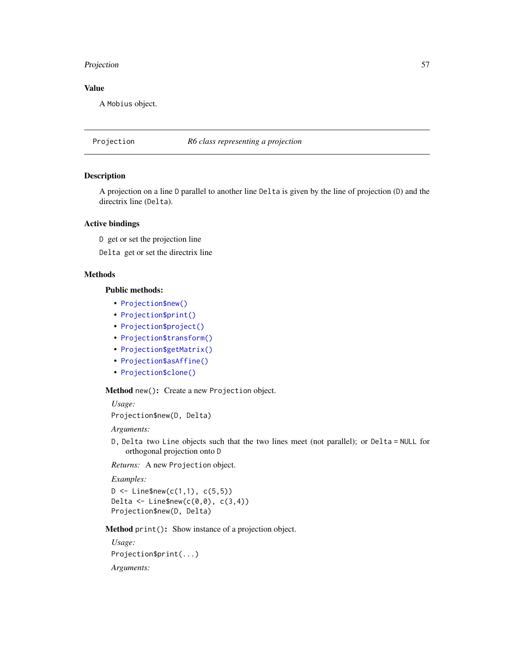# Projection 57

## Value

A Mobius object.

Projection *R6 class representing a projection*

# Description

A projection on a line D parallel to another line Delta is given by the line of projection (D) and the directrix line (Delta).

## Active bindings

D get or set the projection line

Delta get or set the directrix line

# Methods

# Public methods:

- [Projection\\$new\(\)](#page-2-0)
- [Projection\\$print\(\)](#page-2-1)
- [Projection\\$project\(\)](#page-57-0)
- [Projection\\$transform\(\)](#page-3-0)
- [Projection\\$getMatrix\(\)](#page-34-1)
- [Projection\\$asAffine\(\)](#page-35-0)
- [Projection\\$clone\(\)](#page-3-3)

Method new(): Create a new Projection object.

*Usage:*

```
Projection$new(D, Delta)
```
*Arguments:*

D, Delta two Line objects such that the two lines meet (not parallel); or Delta = NULL for orthogonal projection onto D

*Returns:* A new Projection object.

*Examples:*

 $D \le -$  Line\$new(c(1,1), c(5,5)) Delta  $\leq$  Line\$new(c(0,0), c(3,4)) Projection\$new(D, Delta)

Method print(): Show instance of a projection object.

```
Usage:
Projection$print(...)
Arguments:
```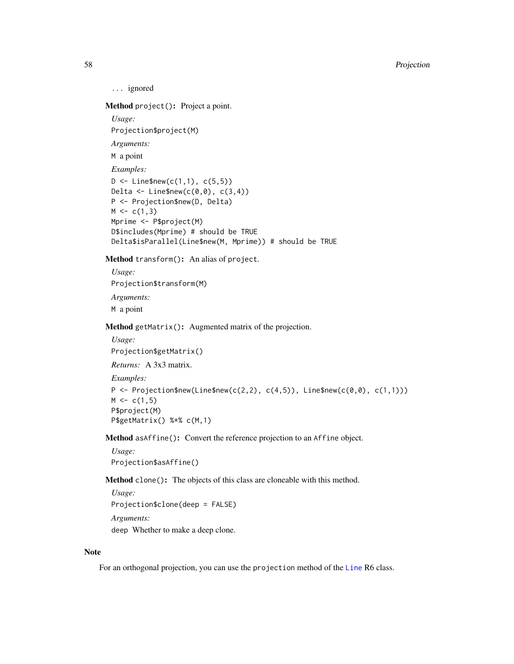... ignored

<span id="page-57-0"></span>Method project(): Project a point.

*Usage:*

Projection\$project(M)

*Arguments:*

M a point

*Examples:*

```
D \le - Line$new(c(1,1), c(5,5))
Delta \leq Line$new(c(0,0), c(3,4))
P <- Projection$new(D, Delta)
M \leftarrow c(1,3)Mprime <- P$project(M)
D$includes(Mprime) # should be TRUE
Delta$isParallel(Line$new(M, Mprime)) # should be TRUE
```
Method transform(): An alias of project.

*Usage:* Projection\$transform(M) *Arguments:* M a point

Method getMatrix(): Augmented matrix of the projection.

```
Usage:
Projection$getMatrix()
Returns: A 3x3 matrix.
Examples:
P <- Projection$new(Line$new(c(2,2), c(4,5)), Line$new(c(0,0), c(1,1)))
M \leftarrow c(1,5)P$project(M)
P$getMatrix() %*% c(M,1)
```
Method asAffine(): Convert the reference projection to an Affine object.

*Usage:* Projection\$asAffine()

Method clone(): The objects of this class are cloneable with this method.

*Usage:* Projection\$clone(deep = FALSE) *Arguments:* deep Whether to make a deep clone.

#### Note

For an orthogonal projection, you can use the projection method of the [Line](#page-44-1) R6 class.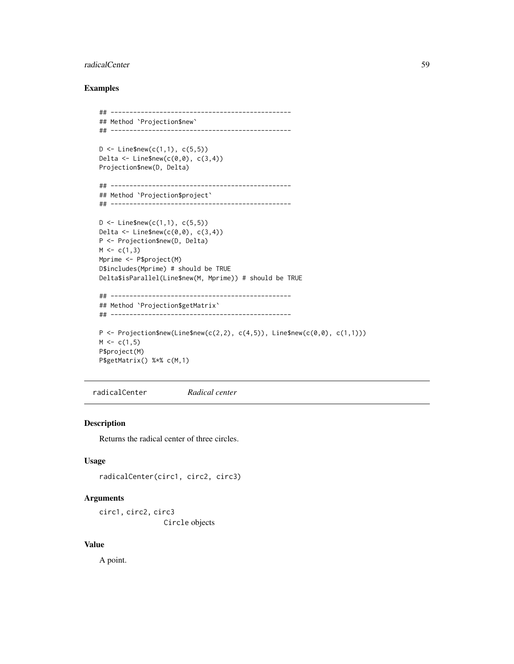#### radicalCenter 59

## Examples

```
## ------------------------------------------------
## Method `Projection$new`
## ------------------------------------------------
D \le - Line$new(c(1,1), c(5,5))
Delta \leq Line$new(c(0,0), c(3,4))
Projection$new(D, Delta)
## ------------------------------------------------
## Method `Projection$project`
## ------------------------------------------------
D \le - Line$new(c(1,1), c(5,5))
Delta \leq Line$new(c(0,0), c(3,4))
P <- Projection$new(D, Delta)
M \leftarrow c(1,3)Mprime <- P$project(M)
D$includes(Mprime) # should be TRUE
Delta$isParallel(Line$new(M, Mprime)) # should be TRUE
## ------------------------------------------------
## Method `Projection$getMatrix`
## ------------------------------------------------
P \leq Projection$new(Line$new(c(2,2), c(4,5)), Line$new(c(0,0), c(1,1)))
M \leftarrow c(1, 5)P$project(M)
P$getMatrix() %*% c(M,1)
```
radicalCenter *Radical center*

## Description

Returns the radical center of three circles.

# Usage

radicalCenter(circ1, circ2, circ3)

# Arguments

circ1, circ2, circ3 Circle objects

#### Value

A point.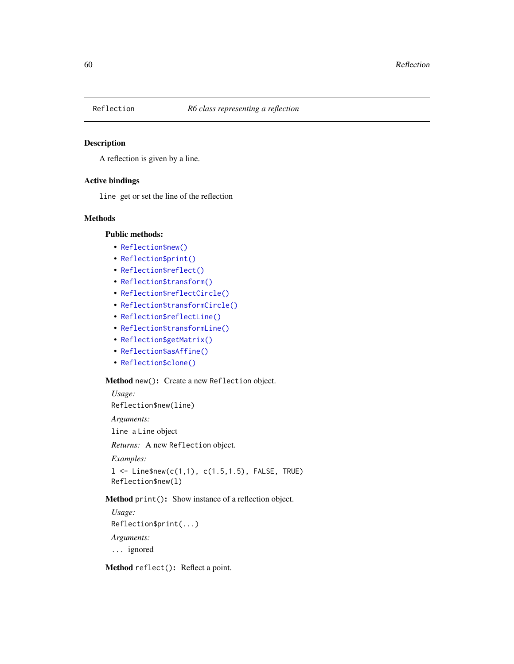# Description

A reflection is given by a line.

#### Active bindings

line get or set the line of the reflection

# Methods

# Public methods:

- [Reflection\\$new\(\)](#page-2-0)
- [Reflection\\$print\(\)](#page-2-1)
- [Reflection\\$reflect\(\)](#page-59-0)
- [Reflection\\$transform\(\)](#page-3-0)
- [Reflection\\$reflectCircle\(\)](#page-60-0)
- [Reflection\\$transformCircle\(\)](#page-34-0)
- [Reflection\\$reflectLine\(\)](#page-60-1)
- [Reflection\\$transformLine\(\)](#page-3-1)
- [Reflection\\$getMatrix\(\)](#page-34-1)
- [Reflection\\$asAffine\(\)](#page-35-0)
- [Reflection\\$clone\(\)](#page-3-3)

## Method new(): Create a new Reflection object.

*Usage:* Reflection\$new(line)

*Arguments:*

line a Line object

*Returns:* A new Reflection object.

*Examples:*

 $l < -$  Line\$new(c(1,1), c(1.5,1.5), FALSE, TRUE) Reflection\$new(l)

# Method print(): Show instance of a reflection object.

*Usage:* Reflection\$print(...) *Arguments:* ... ignored

<span id="page-59-0"></span>Method reflect(): Reflect a point.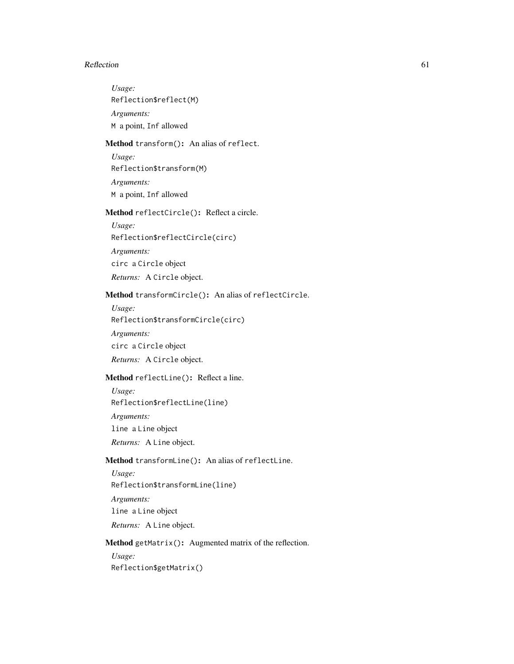#### Reflection 61

*Usage:* Reflection\$reflect(M) *Arguments:* M a point, Inf allowed

# Method transform(): An alias of reflect.

*Usage:* Reflection\$transform(M) *Arguments:* M a point, Inf allowed

# <span id="page-60-0"></span>Method reflectCircle(): Reflect a circle.

*Usage:* Reflection\$reflectCircle(circ) *Arguments:* circ a Circle object *Returns:* A Circle object.

# Method transformCircle(): An alias of reflectCircle.

*Usage:* Reflection\$transformCircle(circ) *Arguments:* circ a Circle object *Returns:* A Circle object.

# <span id="page-60-1"></span>Method reflectLine(): Reflect a line.

*Usage:*

Reflection\$reflectLine(line)

*Arguments:*

line a Line object

*Returns:* A Line object.

# Method transformLine(): An alias of reflectLine.

*Usage:*

Reflection\$transformLine(line)

*Arguments:* line a Line object

*Returns:* A Line object.

# Method getMatrix(): Augmented matrix of the reflection.

*Usage:* Reflection\$getMatrix()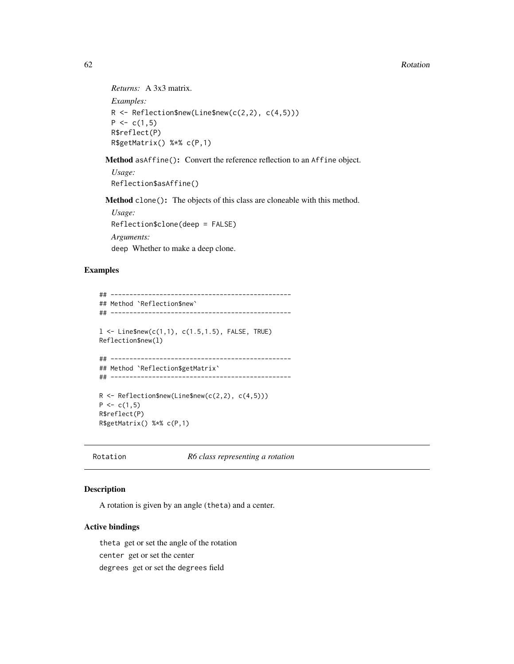#### 62 Rotation Research 2008 Rotation Research 2008 Rotation Research 2008 Rotation Research 2008 Rotation Research 2008 Rotation Research 2008 Rotation Research 2008 Rotation Research 2008 Rotation Research 2008 Rotation Res

```
Returns: A 3x3 matrix.
Examples:
R \leq R Reflection$new(Line$new(c(2,2), c(4,5)))
P \leftarrow c(1,5)R$reflect(P)
R$getMatrix() %*% c(P,1)
```
Method asAffine(): Convert the reference reflection to an Affine object.

*Usage:* Reflection\$asAffine()

Method clone(): The objects of this class are cloneable with this method.

*Usage:* Reflection\$clone(deep = FALSE) *Arguments:* deep Whether to make a deep clone.

## Examples

```
## ------------------------------------------------
## Method `Reflection$new`
## ------------------------------------------------
1 <- Line$new(c(1,1), c(1.5,1.5), FALSE, TRUE)
Reflection$new(l)
## ------------------------------------------------
## Method `Reflection$getMatrix`
## ------------------------------------------------
R \leq R \leq R Reflection$new(Line$new(c(2,2), c(4,5)))
P \leftarrow c(1,5)R$reflect(P)
R$getMatrix() %*% c(P,1)
```
Rotation *R6 class representing a rotation*

# Description

A rotation is given by an angle (theta) and a center.

#### Active bindings

theta get or set the angle of the rotation

center get or set the center

degrees get or set the degrees field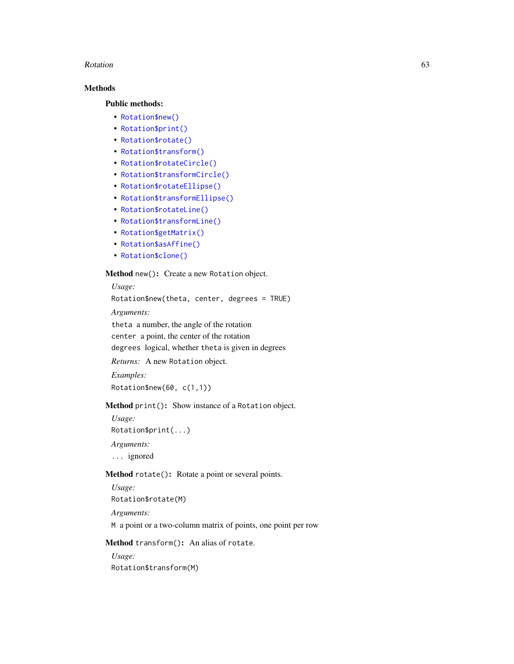#### Rotation 63

# Methods

## Public methods:

- [Rotation\\$new\(\)](#page-2-0)
- [Rotation\\$print\(\)](#page-2-1)
- [Rotation\\$rotate\(\)](#page-12-1)
- [Rotation\\$transform\(\)](#page-3-0)
- [Rotation\\$rotateCircle\(\)](#page-63-0)
- [Rotation\\$transformCircle\(\)](#page-34-0)
- [Rotation\\$rotateEllipse\(\)](#page-63-1)
- [Rotation\\$transformEllipse\(\)](#page-3-5)
- [Rotation\\$rotateLine\(\)](#page-63-2)
- [Rotation\\$transformLine\(\)](#page-3-1)
- [Rotation\\$getMatrix\(\)](#page-34-1)
- [Rotation\\$asAffine\(\)](#page-35-0)
- [Rotation\\$clone\(\)](#page-3-3)

#### Method new(): Create a new Rotation object.

*Usage:*

Rotation\$new(theta, center, degrees = TRUE)

*Arguments:*

theta a number, the angle of the rotation

center a point, the center of the rotation

degrees logical, whether theta is given in degrees

*Returns:* A new Rotation object.

*Examples:*

Rotation\$new(60, c(1,1))

# Method print(): Show instance of a Rotation object.

*Usage:* Rotation\$print(...)

*Arguments:*

... ignored

# Method rotate(): Rotate a point or several points.

*Usage:*

Rotation\$rotate(M)

*Arguments:*

M a point or a two-column matrix of points, one point per row

Method transform(): An alias of rotate.

*Usage:* Rotation\$transform(M)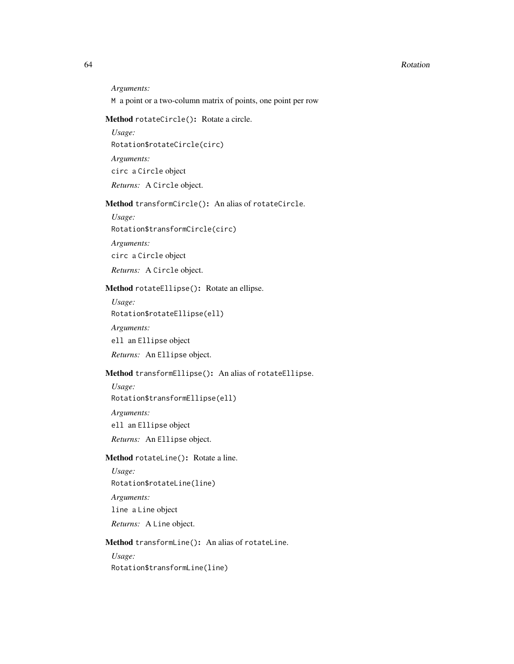#### 64 Rotation Research 2012 12:30 Rotation Research 2013 12:30 Rotation Research 2013

*Arguments:*

M a point or a two-column matrix of points, one point per row

# <span id="page-63-0"></span>Method rotateCircle(): Rotate a circle.

*Usage:* Rotation\$rotateCircle(circ) *Arguments:* circ a Circle object *Returns:* A Circle object.

# Method transformCircle(): An alias of rotateCircle.

*Usage:* Rotation\$transformCircle(circ)

*Arguments:*

circ a Circle object

*Returns:* A Circle object.

# <span id="page-63-1"></span>Method rotateEllipse(): Rotate an ellipse.

*Usage:*

Rotation\$rotateEllipse(ell)

*Arguments:*

ell an Ellipse object

*Returns:* An Ellipse object.

# Method transformEllipse(): An alias of rotateEllipse.

*Usage:* Rotation\$transformEllipse(ell) *Arguments:* ell an Ellipse object *Returns:* An Ellipse object.

## <span id="page-63-2"></span>Method rotateLine(): Rotate a line.

*Usage:* Rotation\$rotateLine(line) *Arguments:* line a Line object

*Returns:* A Line object.

## Method transformLine(): An alias of rotateLine.

*Usage:*

Rotation\$transformLine(line)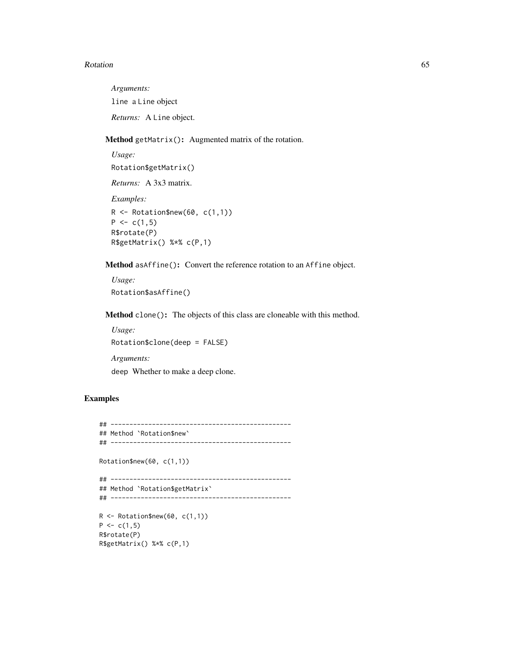#### Rotation 65

*Arguments:* line a Line object *Returns:* A Line object.

Method getMatrix(): Augmented matrix of the rotation.

```
Usage:
Rotation$getMatrix()
Returns: A 3x3 matrix.
Examples:
R <- Rotation$new(60, c(1,1))
P \leftarrow c(1,5)R$rotate(P)
R$getMatrix() %*% c(P,1)
```
Method asAffine(): Convert the reference rotation to an Affine object.

```
Usage:
Rotation$asAffine()
```
Method clone(): The objects of this class are cloneable with this method.

```
Usage:
Rotation$clone(deep = FALSE)
Arguments:
deep Whether to make a deep clone.
```
# Examples

```
## ------------------------------------------------
## Method `Rotation$new`
## ------------------------------------------------
Rotation$new(60, c(1,1))
## ------------------------------------------------
## Method `Rotation$getMatrix`
## ------------------------------------------------
R \leftarrow \text{Rotation$new}(60, c(1,1))P \leftarrow c(1,5)R$rotate(P)
R$getMatrix() %*% c(P,1)
```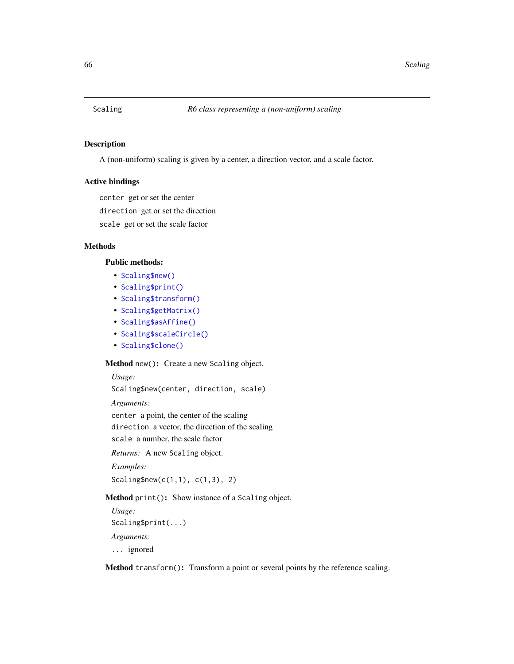## Description

A (non-uniform) scaling is given by a center, a direction vector, and a scale factor.

#### Active bindings

center get or set the center

direction get or set the direction

scale get or set the scale factor

# Methods

#### Public methods:

- [Scaling\\$new\(\)](#page-2-0)
- [Scaling\\$print\(\)](#page-2-1)
- [Scaling\\$transform\(\)](#page-3-0)
- [Scaling\\$getMatrix\(\)](#page-34-1)
- [Scaling\\$asAffine\(\)](#page-35-0)
- [Scaling\\$scaleCircle\(\)](#page-66-0)
- [Scaling\\$clone\(\)](#page-3-3)

# Method new(): Create a new Scaling object.

## *Usage:*

Scaling\$new(center, direction, scale)

*Arguments:*

center a point, the center of the scaling direction a vector, the direction of the scaling scale a number, the scale factor

*Returns:* A new Scaling object.

*Examples:* Scaling\$new(c(1,1), c(1,3), 2)

Method print(): Show instance of a Scaling object.

*Usage:* Scaling\$print(...) *Arguments:* ... ignored

Method transform(): Transform a point or several points by the reference scaling.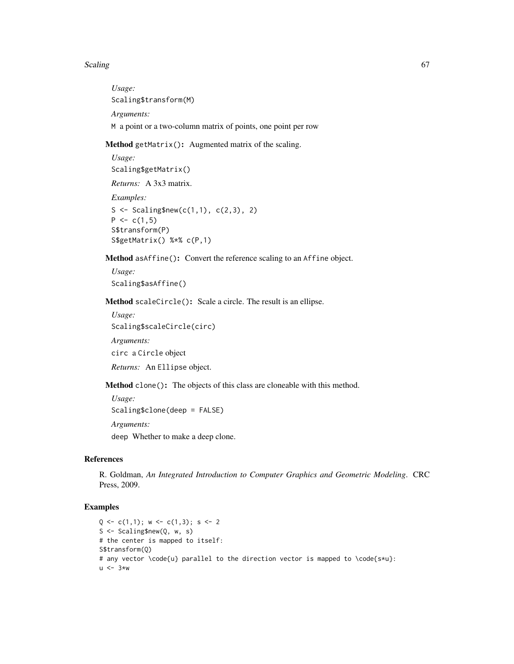#### Scaling 67 and 57 and 57 and 57 and 57 and 57 and 57 and 57 and 57 and 57 and 57 and 57 and 57 and 57 and 57 and 57 and 57 and 57 and 57 and 57 and 57 and 57 and 57 and 57 and 57 and 57 and 57 and 57 and 57 and 57 and 57 a

*Usage:* Scaling\$transform(M) *Arguments:* M a point or a two-column matrix of points, one point per row

Method getMatrix(): Augmented matrix of the scaling.

```
Usage:
Scaling$getMatrix()
Returns: A 3x3 matrix.
Examples:
S <- Scaling$new(c(1,1), c(2,3), 2)
P \leftarrow c(1,5)S$transform(P)
S$getMatrix() %*% c(P,1)
```
Method asAffine(): Convert the reference scaling to an Affine object.

```
Usage:
Scaling$asAffine()
```
<span id="page-66-0"></span>Method scaleCircle(): Scale a circle. The result is an ellipse.

```
Usage:
Scaling$scaleCircle(circ)
Arguments:
circ a Circle object
Returns: An Ellipse object.
```
Method clone(): The objects of this class are cloneable with this method.

*Usage:* Scaling\$clone(deep = FALSE)

*Arguments:*

deep Whether to make a deep clone.

# References

R. Goldman, *An Integrated Introduction to Computer Graphics and Geometric Modeling*. CRC Press, 2009.

# Examples

```
Q \leftarrow c(1,1); w \leftarrow c(1,3); s \leftarrow 2S <- Scaling$new(Q, w, s)
# the center is mapped to itself:
S$transform(Q)
# any vector \code{u} parallel to the direction vector is mapped to \code{s*u}:
u \le -3*w
```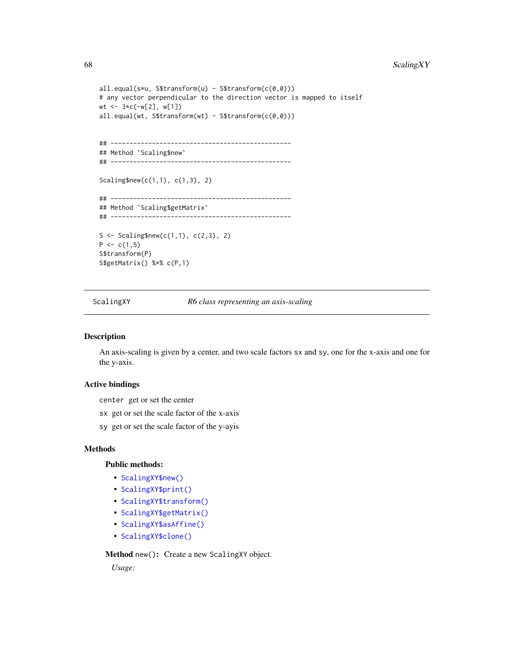```
all.equal(s*u, S$transform(u) - S$transform(c(\theta, \theta)))
# any vector perpendicular to the direction vector is mapped to itself
wt <- 3*c(-w[2], w[1])
all.equal(wt, S$transform(wt) - S$transform(c(\theta, \theta)))
## ------------------------------------------------
## Method `Scaling$new`
## ------------------------------------------------
Scaling$new(c(1,1), c(1,3), 2)
## ------------------------------------------------
## Method `Scaling$getMatrix`
## ------------------------------------------------
S <- Scaling$new(c(1,1), c(2,3), 2)
P \leftarrow c(1,5)S$transform(P)
S$getMatrix() %*% c(P,1)
```
ScalingXY *R6 class representing an axis-scaling*

#### **Description**

An axis-scaling is given by a center, and two scale factors sx and sy, one for the x-axis and one for the y-axis.

#### Active bindings

center get or set the center

- sx get or set the scale factor of the x-axis
- sy get or set the scale factor of the y-ayis

#### Methods

#### Public methods:

- [ScalingXY\\$new\(\)](#page-2-0)
- [ScalingXY\\$print\(\)](#page-2-1)
- [ScalingXY\\$transform\(\)](#page-3-0)
- [ScalingXY\\$getMatrix\(\)](#page-34-1)
- [ScalingXY\\$asAffine\(\)](#page-35-0)
- [ScalingXY\\$clone\(\)](#page-3-3)

Method new(): Create a new ScalingXY object.

*Usage:*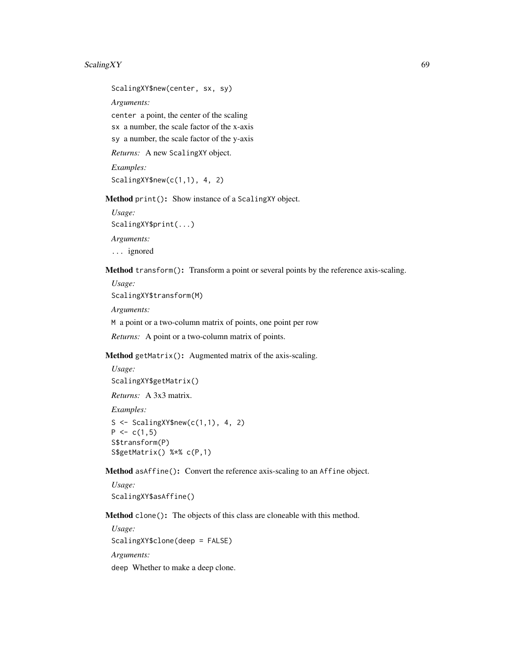# ScalingXY 69

ScalingXY\$new(center, sx, sy) *Arguments:* center a point, the center of the scaling sx a number, the scale factor of the x-axis

sy a number, the scale factor of the y-axis

*Returns:* A new ScalingXY object.

*Examples:* ScalingXY\$new(c(1,1), 4, 2)

Method print(): Show instance of a ScalingXY object.

*Usage:* ScalingXY\$print(...)

*Arguments:*

... ignored

Method transform(): Transform a point or several points by the reference axis-scaling.

*Usage:*

ScalingXY\$transform(M)

*Arguments:*

M a point or a two-column matrix of points, one point per row

*Returns:* A point or a two-column matrix of points.

Method getMatrix(): Augmented matrix of the axis-scaling.

```
Usage:
ScalingXY$getMatrix()
Returns: A 3x3 matrix.
Examples:
S \leq ScalingXY$new(c(1,1), 4, 2)
P \leq -c(1,5)S$transform(P)
S$getMatrix() %*% c(P,1)
```
Method asAffine(): Convert the reference axis-scaling to an Affine object.

*Usage:* ScalingXY\$asAffine()

Method clone(): The objects of this class are cloneable with this method.

*Usage:* ScalingXY\$clone(deep = FALSE) *Arguments:* deep Whether to make a deep clone.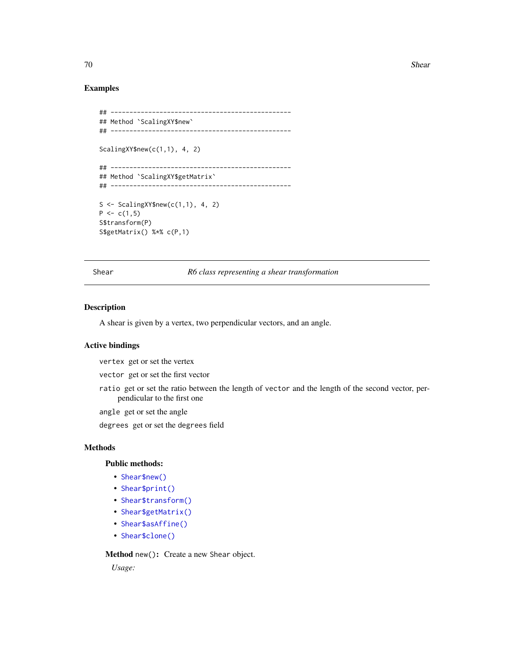70 Shear Shear Shear Shear Shear Shear Shear Shear Shear Shear Shear Shear Shear Shear Shear Shear Shear Shear

## Examples

```
## ------------------------------------------------
## Method `ScalingXY$new`
## ------------------------------------------------
ScalingXY$new(c(1,1), 4, 2)
## ------------------------------------------------
## Method `ScalingXY$getMatrix`
## ------------------------------------------------
S <- ScalingXY$new(c(1,1), 4, 2)
P \leftarrow c(1,5)S$transform(P)
S$getMatrix() %*% c(P,1)
```
Shear *R6 class representing a shear transformation*

#### Description

A shear is given by a vertex, two perpendicular vectors, and an angle.

# Active bindings

vertex get or set the vertex

vector get or set the first vector

ratio get or set the ratio between the length of vector and the length of the second vector, perpendicular to the first one

angle get or set the angle

degrees get or set the degrees field

## Methods

# Public methods:

- [Shear\\$new\(\)](#page-2-0)
- [Shear\\$print\(\)](#page-2-1)
- [Shear\\$transform\(\)](#page-3-0)
- [Shear\\$getMatrix\(\)](#page-34-1)
- [Shear\\$asAffine\(\)](#page-35-0)
- [Shear\\$clone\(\)](#page-3-3)

Method new(): Create a new Shear object.

*Usage:*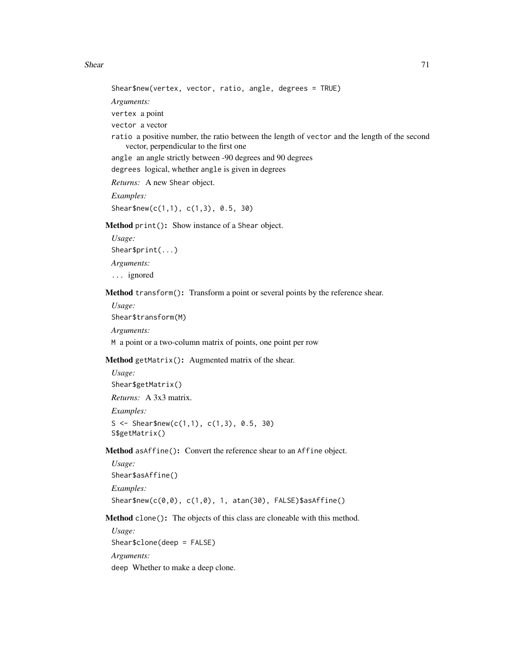#### Shear 71

Shear\$new(vertex, vector, ratio, angle, degrees = TRUE) *Arguments:* vertex a point vector a vector ratio a positive number, the ratio between the length of vector and the length of the second vector, perpendicular to the first one angle an angle strictly between -90 degrees and 90 degrees degrees logical, whether angle is given in degrees *Returns:* A new Shear object. *Examples:* Shear\$new(c(1,1), c(1,3), 0.5, 30) Method print(): Show instance of a Shear object. *Usage:* Shear\$print(...)

*Arguments:* ... ignored

Method transform(): Transform a point or several points by the reference shear.

*Usage:* Shear\$transform(M) *Arguments:*

M a point or a two-column matrix of points, one point per row

Method getMatrix(): Augmented matrix of the shear.

```
Usage:
Shear$getMatrix()
Returns: A 3x3 matrix.
Examples:
S <- Shear$new(c(1,1), c(1,3), 0.5, 30)
S$getMatrix()
```
Method asAffine(): Convert the reference shear to an Affine object.

*Usage:* Shear\$asAffine() *Examples:* Shear\$new( $c(\emptyset, \emptyset)$ ,  $c(1, \emptyset)$ , 1, atan(30), FALSE)\$asAffine()

Method clone(): The objects of this class are cloneable with this method.

*Usage:* Shear\$clone(deep = FALSE) *Arguments:* deep Whether to make a deep clone.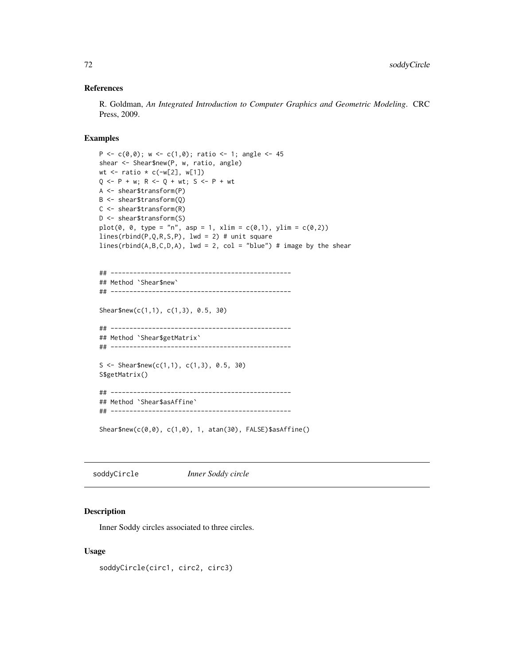## References

R. Goldman, *An Integrated Introduction to Computer Graphics and Geometric Modeling*. CRC Press, 2009.

# Examples

```
P <- c(0,0); w <- c(1,0); ratio <- 1; angle <- 45
shear <- Shear$new(P, w, ratio, angle)
wt \le ratio \star c(-w[2], w[1])
Q \le -P + w; R \le -Q + wt; S \le -P + wtA <- shear$transform(P)
B <- shear$transform(Q)
C <- shear$transform(R)
D <- shear$transform(S)
plot(0, 0, type = "n", asp = 1, xlim = c(0,1), ylim = c(0,2))
lines(rbind(P,Q,R,S,P), lwd = 2) # unit square
lines(rbind(A,B,C,D,A), lwd = 2, col = "blue") # image by the shear
## ------------------------------------------------
## Method `Shear$new`
## ------------------------------------------------
Shear$new(c(1,1), c(1,3), 0.5, 30)
## ------------------------------------------------
## Method `Shear$getMatrix`
## ------------------------------------------------
S <- Shear$new(c(1,1), c(1,3), 0.5, 30)
S$getMatrix()
## ------------------------------------------------
## Method `Shear$asAffine`
## ------------------------------------------------
Shear$new(c(0,0), c(1,0), 1, atan(30), FALSE)$asAffine()
```
soddyCircle *Inner Soddy circle*

## Description

Inner Soddy circles associated to three circles.

## Usage

soddyCircle(circ1, circ2, circ3)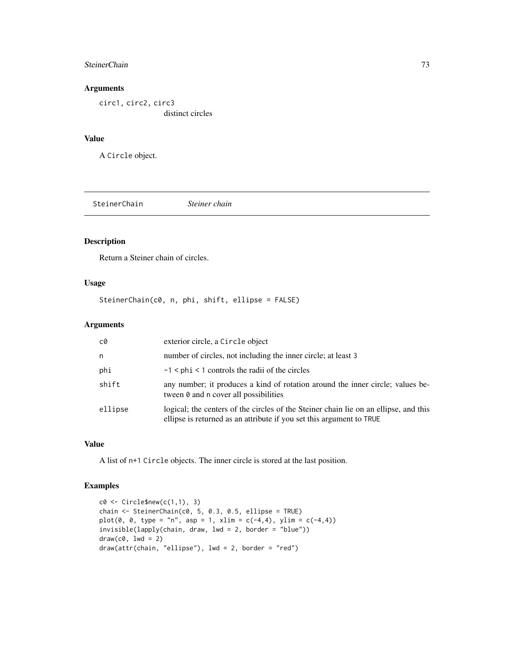#### <span id="page-72-0"></span>SteinerChain 73

## Arguments

circ1, circ2, circ3 distinct circles

# Value

A Circle object.

SteinerChain *Steiner chain*

# Description

Return a Steiner chain of circles.

# Usage

SteinerChain(c0, n, phi, shift, ellipse = FALSE)

# Arguments

| c0      | exterior circle, a Circle object                                                                                                                             |
|---------|--------------------------------------------------------------------------------------------------------------------------------------------------------------|
| n       | number of circles, not including the inner circle; at least 3                                                                                                |
| phi     | $-1$ < phi < 1 controls the radii of the circles                                                                                                             |
| shift   | any number; it produces a kind of rotation around the inner circle; values be-<br>tween 0 and n cover all possibilities                                      |
| ellipse | logical; the centers of the circles of the Steiner chain lie on an ellipse, and this<br>ellipse is returned as an attribute if you set this argument to TRUE |

## Value

A list of n+1 Circle objects. The inner circle is stored at the last position.

## Examples

```
c0 \leftarrow Circle$new(c(1,1), 3)
chain <- SteinerChain(c0, 5, 0.3, 0.5, ellipse = TRUE)
plot(0, 0, type = "n", asp = 1, xlim = c(-4, 4), ylim = c(-4, 4))
invisible(lapply(chain, draw, lwd = 2, border = "blue"))
draw(c0, 1wd = 2)draw(attr(chain, "ellipse"), lwd = 2, border = "red")
```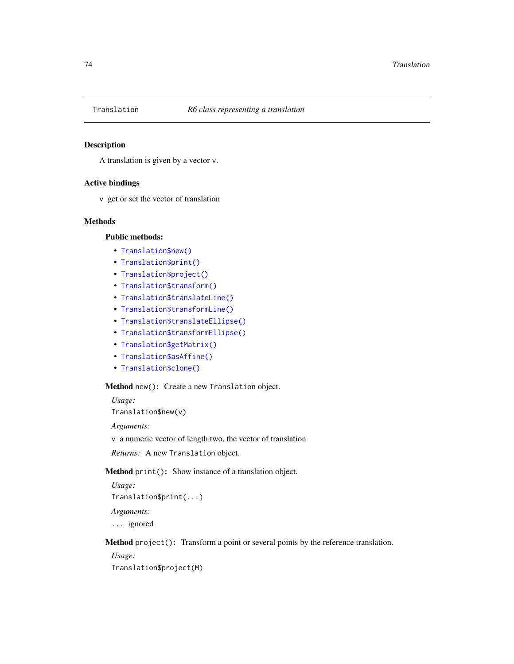<span id="page-73-0"></span>

## Description

A translation is given by a vector v.

#### Active bindings

v get or set the vector of translation

## Methods

## Public methods:

- [Translation\\$new\(\)](#page-2-0)
- [Translation\\$print\(\)](#page-2-1)
- [Translation\\$project\(\)](#page-57-0)
- [Translation\\$transform\(\)](#page-3-0)
- [Translation\\$translateLine\(\)](#page-74-0)
- [Translation\\$transformLine\(\)](#page-3-1)
- [Translation\\$translateEllipse\(\)](#page-74-1)
- [Translation\\$transformEllipse\(\)](#page-3-2)
- [Translation\\$getMatrix\(\)](#page-34-0)
- [Translation\\$asAffine\(\)](#page-35-0)
- [Translation\\$clone\(\)](#page-3-3)

# Method new(): Create a new Translation object.

*Usage:* Translation\$new(v)

*Arguments:*

v a numeric vector of length two, the vector of translation

*Returns:* A new Translation object.

Method print(): Show instance of a translation object.

*Usage:* Translation\$print(...) *Arguments:*

... ignored

Method project(): Transform a point or several points by the reference translation.

*Usage:*

Translation\$project(M)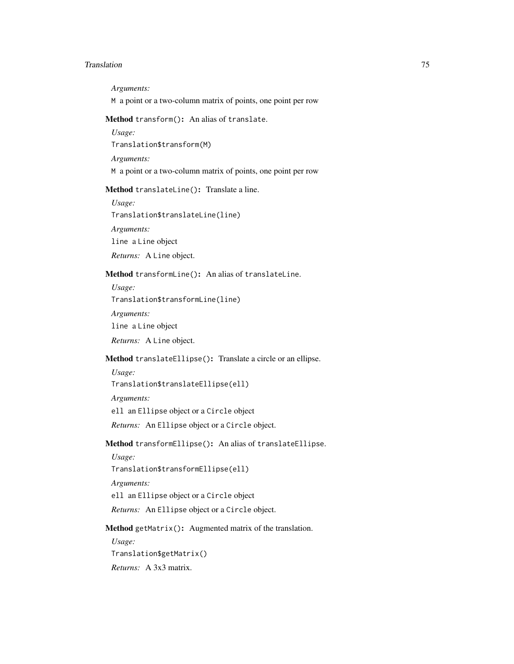#### Translation 75

*Arguments:*

M a point or a two-column matrix of points, one point per row

Method transform(): An alias of translate.

*Usage:*

Translation\$transform(M)

*Arguments:*

M a point or a two-column matrix of points, one point per row

<span id="page-74-0"></span>Method translateLine(): Translate a line.

*Usage:*

Translation\$translateLine(line)

*Arguments:*

line a Line object

*Returns:* A Line object.

## Method transformLine(): An alias of translateLine.

*Usage:*

Translation\$transformLine(line)

*Arguments:*

line a Line object

*Returns:* A Line object.

# <span id="page-74-1"></span>Method translateEllipse(): Translate a circle or an ellipse.

*Usage:* Translation\$translateEllipse(ell) *Arguments:* ell an Ellipse object or a Circle object *Returns:* An Ellipse object or a Circle object.

# Method transformEllipse(): An alias of translateEllipse.

*Usage:* Translation\$transformEllipse(ell) *Arguments:* ell an Ellipse object or a Circle object *Returns:* An Ellipse object or a Circle object.

#### Method getMatrix(): Augmented matrix of the translation.

*Usage:* Translation\$getMatrix() *Returns:* A 3x3 matrix.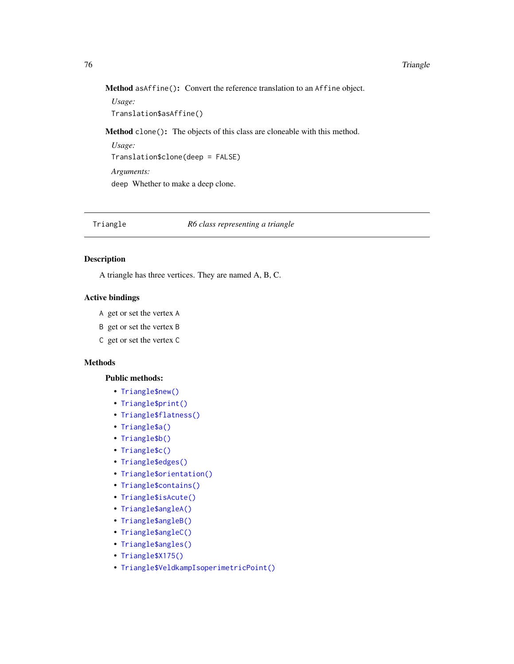<span id="page-75-0"></span>Method asAffine(): Convert the reference translation to an Affine object.

*Usage:* Translation\$asAffine()

Method clone(): The objects of this class are cloneable with this method.

*Usage:* Translation\$clone(deep = FALSE) *Arguments:* deep Whether to make a deep clone.

## Triangle *R6 class representing a triangle*

## Description

A triangle has three vertices. They are named A, B, C.

## Active bindings

- A get or set the vertex A
- B get or set the vertex B
- C get or set the vertex C

## Methods

## Public methods:

- [Triangle\\$new\(\)](#page-2-0)
- [Triangle\\$print\(\)](#page-2-1)
- [Triangle\\$flatness\(\)](#page-77-0)
- [Triangle\\$a\(\)](#page-77-1)
- [Triangle\\$b\(\)](#page-77-2)
- [Triangle\\$c\(\)](#page-77-3)
- [Triangle\\$edges\(\)](#page-77-4)
- [Triangle\\$orientation\(\)](#page-78-0)
- [Triangle\\$contains\(\)](#page-20-0)
- [Triangle\\$isAcute\(\)](#page-78-1)
- [Triangle\\$angleA\(\)](#page-78-2)
- [Triangle\\$angleB\(\)](#page-78-3)
- [Triangle\\$angleC\(\)](#page-78-4)
- [Triangle\\$angles\(\)](#page-78-5)
- [Triangle\\$X175\(\)](#page-78-6)
- [Triangle\\$VeldkampIsoperimetricPoint\(\)](#page-79-0)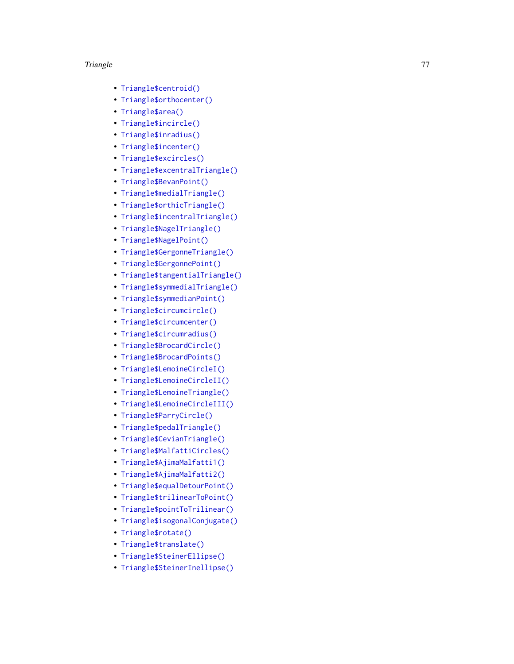- [Triangle\\$centroid\(\)](#page-79-1)
- [Triangle\\$orthocenter\(\)](#page-79-2)
- [Triangle\\$area\(\)](#page-79-3)
- [Triangle\\$incircle\(\)](#page-79-4)
- [Triangle\\$inradius\(\)](#page-79-5)
- [Triangle\\$incenter\(\)](#page-79-6)
- [Triangle\\$excircles\(\)](#page-79-7)
- [Triangle\\$excentralTriangle\(\)](#page-79-8)
- [Triangle\\$BevanPoint\(\)](#page-79-9)
- [Triangle\\$medialTriangle\(\)](#page-80-0)
- [Triangle\\$orthicTriangle\(\)](#page-80-1)
- [Triangle\\$incentralTriangle\(\)](#page-80-2)
- [Triangle\\$NagelTriangle\(\)](#page-80-3)
- [Triangle\\$NagelPoint\(\)](#page-80-4)
- [Triangle\\$GergonneTriangle\(\)](#page-81-0)
- [Triangle\\$GergonnePoint\(\)](#page-81-1)
- [Triangle\\$tangentialTriangle\(\)](#page-81-2)
- [Triangle\\$symmedialTriangle\(\)](#page-81-3)
- [Triangle\\$symmedianPoint\(\)](#page-81-4)
- [Triangle\\$circumcircle\(\)](#page-82-0)
- [Triangle\\$circumcenter\(\)](#page-82-1)
- [Triangle\\$circumradius\(\)](#page-82-2)
- [Triangle\\$BrocardCircle\(\)](#page-82-3)
- [Triangle\\$BrocardPoints\(\)](#page-82-4)
- [Triangle\\$LemoineCircleI\(\)](#page-82-5)
- [Triangle\\$LemoineCircleII\(\)](#page-82-6)
- [Triangle\\$LemoineTriangle\(\)](#page-82-7)
- [Triangle\\$LemoineCircleIII\(\)](#page-83-0)
- [Triangle\\$ParryCircle\(\)](#page-83-1)
- [Triangle\\$pedalTriangle\(\)](#page-83-2)
- [Triangle\\$CevianTriangle\(\)](#page-83-3)
- [Triangle\\$MalfattiCircles\(\)](#page-83-4)
- [Triangle\\$AjimaMalfatti1\(\)](#page-83-5)
- [Triangle\\$AjimaMalfatti2\(\)](#page-84-0)
- [Triangle\\$equalDetourPoint\(\)](#page-84-1)
- [Triangle\\$trilinearToPoint\(\)](#page-84-2)
- [Triangle\\$pointToTrilinear\(\)](#page-84-3)
- [Triangle\\$isogonalConjugate\(\)](#page-84-4)
- [Triangle\\$rotate\(\)](#page-12-0)
- [Triangle\\$translate\(\)](#page-12-1)
- [Triangle\\$SteinerEllipse\(\)](#page-85-0)
- [Triangle\\$SteinerInellipse\(\)](#page-85-1)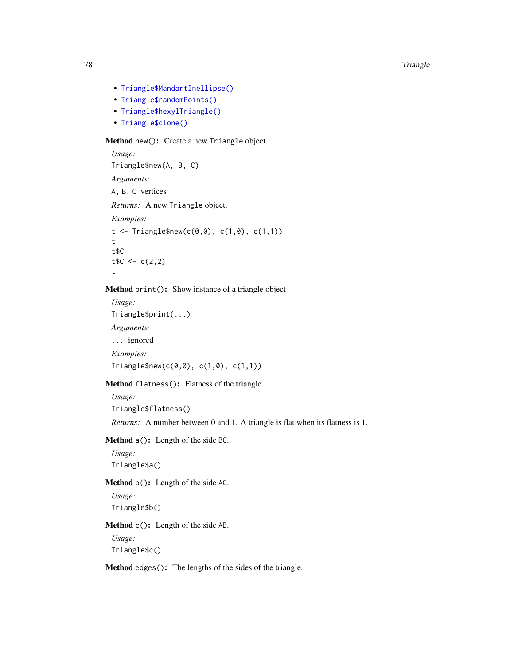- [Triangle\\$MandartInellipse\(\)](#page-85-2)
- [Triangle\\$randomPoints\(\)](#page-12-2)
- [Triangle\\$hexylTriangle\(\)](#page-86-0)
- [Triangle\\$clone\(\)](#page-3-3)

## Method new(): Create a new Triangle object.

```
Usage:
Triangle$new(A, B, C)
Arguments:
A, B, C vertices
Returns: A new Triangle object.
Examples:
t <- Triangle$new(c(0,0), c(1,0), c(1,1))
t
t$C
tC < -c(2, 2)t
```
## Method print(): Show instance of a triangle object

```
Usage:
Triangle$print(...)
Arguments:
... ignored
Examples:
Triangle$new(c(0,0), c(1,0), c(1,1))
```
## <span id="page-77-0"></span>Method flatness(): Flatness of the triangle.

*Usage:* Triangle\$flatness()

*Returns:* A number between 0 and 1. A triangle is flat when its flatness is 1.

<span id="page-77-1"></span>Method a(): Length of the side BC.

*Usage:* Triangle\$a()

<span id="page-77-2"></span>Method b(): Length of the side AC.

*Usage:* Triangle\$b()

<span id="page-77-3"></span>Method c(): Length of the side AB.

*Usage:* Triangle\$c()

<span id="page-77-4"></span>Method edges(): The lengths of the sides of the triangle.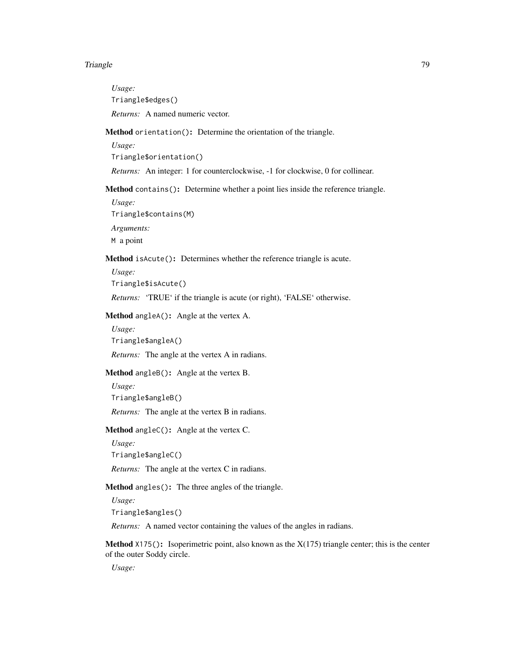*Usage:* Triangle\$edges() *Returns:* A named numeric vector.

## <span id="page-78-0"></span>Method orientation(): Determine the orientation of the triangle.

*Usage:*

Triangle\$orientation()

*Returns:* An integer: 1 for counterclockwise, -1 for clockwise, 0 for collinear.

Method contains(): Determine whether a point lies inside the reference triangle.

*Usage:*

Triangle\$contains(M)

*Arguments:*

M a point

<span id="page-78-1"></span>Method isAcute(): Determines whether the reference triangle is acute.

*Usage:*

Triangle\$isAcute()

*Returns:* 'TRUE' if the triangle is acute (or right), 'FALSE' otherwise.

<span id="page-78-2"></span>Method angleA(): Angle at the vertex A.

*Usage:* Triangle\$angleA()

*Returns:* The angle at the vertex A in radians.

<span id="page-78-3"></span>Method angleB(): Angle at the vertex B.

*Usage:* Triangle\$angleB() *Returns:* The angle at the vertex B in radians.

<span id="page-78-4"></span>Method angleC(): Angle at the vertex C.

*Usage:* Triangle\$angleC()

*Returns:* The angle at the vertex C in radians.

<span id="page-78-5"></span>Method angles(): The three angles of the triangle.

*Usage:*

Triangle\$angles()

*Returns:* A named vector containing the values of the angles in radians.

<span id="page-78-6"></span>**Method**  $X175()$ : Isoperimetric point, also known as the  $X(175)$  triangle center; this is the center of the outer Soddy circle.

*Usage:*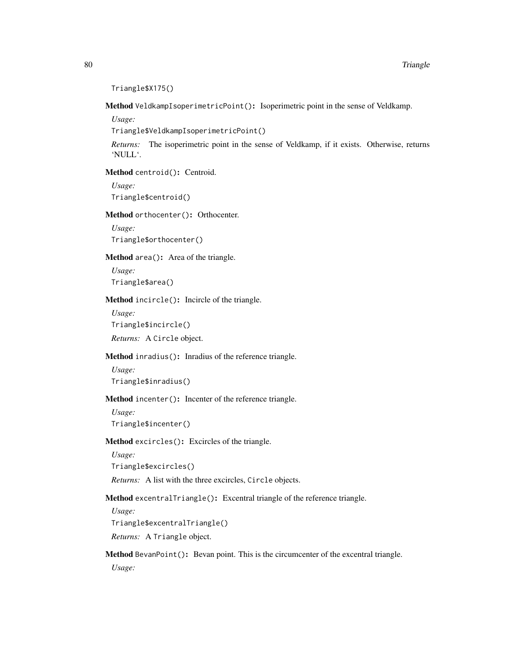```
Triangle$X175()
```
<span id="page-79-0"></span>Method VeldkampIsoperimetricPoint(): Isoperimetric point in the sense of Veldkamp.

*Usage:*

Triangle\$VeldkampIsoperimetricPoint()

*Returns:* The isoperimetric point in the sense of Veldkamp, if it exists. Otherwise, returns 'NULL'.

<span id="page-79-1"></span>Method centroid(): Centroid.

*Usage:* Triangle\$centroid()

<span id="page-79-2"></span>Method orthocenter(): Orthocenter.

*Usage:* Triangle\$orthocenter()

<span id="page-79-3"></span>Method area(): Area of the triangle.

*Usage:* Triangle\$area()

<span id="page-79-4"></span>Method incircle(): Incircle of the triangle.

*Usage:*

Triangle\$incircle()

*Returns:* A Circle object.

# <span id="page-79-5"></span>Method inradius(): Inradius of the reference triangle.

*Usage:* Triangle\$inradius()

<span id="page-79-6"></span>Method incenter(): Incenter of the reference triangle.

*Usage:* Triangle\$incenter()

<span id="page-79-7"></span>Method excircles(): Excircles of the triangle.

*Usage:* Triangle\$excircles()

*Returns:* A list with the three excircles, Circle objects.

<span id="page-79-8"></span>Method excentralTriangle(): Excentral triangle of the reference triangle.

*Usage:*

Triangle\$excentralTriangle()

*Returns:* A Triangle object.

<span id="page-79-9"></span>Method BevanPoint(): Bevan point. This is the circumcenter of the excentral triangle. *Usage:*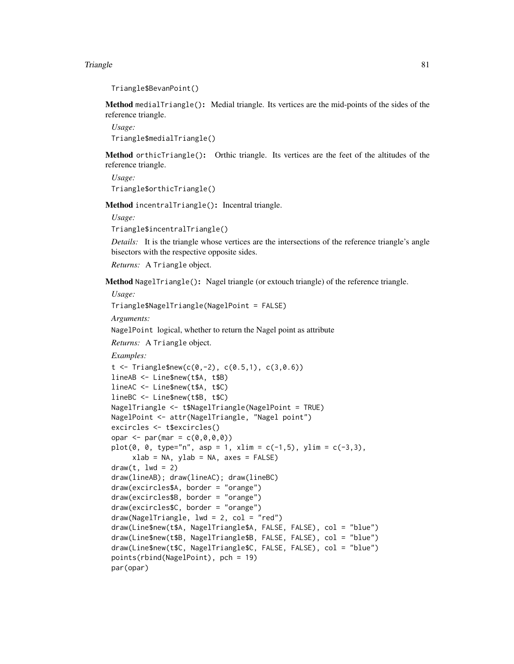```
Triangle$BevanPoint()
```
<span id="page-80-0"></span>Method medialTriangle(): Medial triangle. Its vertices are the mid-points of the sides of the reference triangle.

*Usage:* Triangle\$medialTriangle()

<span id="page-80-1"></span>Method orthicTriangle(): Orthic triangle. Its vertices are the feet of the altitudes of the reference triangle.

```
Usage:
Triangle$orthicTriangle()
```
<span id="page-80-2"></span>Method incentralTriangle(): Incentral triangle.

*Usage:*

Triangle\$incentralTriangle()

*Details:* It is the triangle whose vertices are the intersections of the reference triangle's angle bisectors with the respective opposite sides.

*Returns:* A Triangle object.

<span id="page-80-3"></span>Method NagelTriangle(): Nagel triangle (or extouch triangle) of the reference triangle.

*Usage:*

Triangle\$NagelTriangle(NagelPoint = FALSE)

*Arguments:*

NagelPoint logical, whether to return the Nagel point as attribute

*Returns:* A Triangle object.

*Examples:*

```
t \le - Triangle$new(c(0,-2), c(0.5,1), c(3,0.6))
lineAB <- Line$new(t$A, t$B)
lineAC <- Line$new(t$A, t$C)
lineBC <- Line$new(t$B, t$C)
NagelTriangle <- t$NagelTriangle(NagelPoint = TRUE)
NagelPoint <- attr(NagelTriangle, "Nagel point")
excircles <- t$excircles()
opar <- par(mar = c(\emptyset, \emptyset, \emptyset, \emptyset))
plot(0, 0, type="n", asp = 1, xlim = c(-1, 5), ylim = c(-3, 3),xlab = NA, ylab = NA, axes = FALSE)
draw(t, lwd = 2)draw(lineAB); draw(lineAC); draw(lineBC)
draw(excircles$A, border = "orange")
draw(excircles$B, border = "orange")
draw(excircles$C, border = "orange")
draw(NagelTriangle, lwd = 2, col = "red")draw(Line$new(t$A, NagelTriangle$A, FALSE, FALSE), col = "blue")
draw(Line$new(t$B, NagelTriangle$B, FALSE, FALSE), col = "blue")
draw(Line$new(t$C, NagelTriangle$C, FALSE, FALSE), col = "blue")
points(rbind(NagelPoint), pch = 19)
par(opar)
```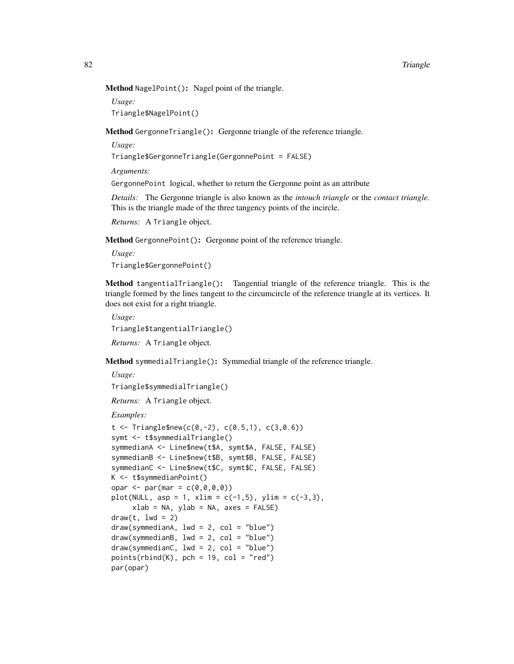Method NagelPoint(): Nagel point of the triangle.

*Usage:*

Triangle\$NagelPoint()

<span id="page-81-0"></span>Method GergonneTriangle(): Gergonne triangle of the reference triangle.

*Usage:*

Triangle\$GergonneTriangle(GergonnePoint = FALSE)

*Arguments:*

GergonnePoint logical, whether to return the Gergonne point as an attribute

*Details:* The Gergonne triangle is also known as the *intouch triangle* or the *contact triangle*. This is the triangle made of the three tangency points of the incircle.

*Returns:* A Triangle object.

<span id="page-81-1"></span>Method GergonnePoint(): Gergonne point of the reference triangle.

*Usage:* Triangle\$GergonnePoint()

<span id="page-81-2"></span>Method tangentialTriangle(): Tangential triangle of the reference triangle. This is the triangle formed by the lines tangent to the circumcircle of the reference triangle at its vertices. It does not exist for a right triangle.

*Usage:* Triangle\$tangentialTriangle() *Returns:* A Triangle object.

<span id="page-81-3"></span>Method symmedialTriangle(): Symmedial triangle of the reference triangle.

*Usage:*

Triangle\$symmedialTriangle()

*Returns:* A Triangle object.

*Examples:*

```
t < - Triangle$new(c(0,-2), c(0.5,1), c(3,0.6))
symt <- t$symmedialTriangle()
symmedianA <- Line$new(t$A, symt$A, FALSE, FALSE)
symmedianB <- Line$new(t$B, symt$B, FALSE, FALSE)
symmedianC <- Line$new(t$C, symt$C, FALSE, FALSE)
K <- t$symmedianPoint()
opar <- par(mar = c(\emptyset, \emptyset, \emptyset, \emptyset))
plot(NULL, asp = 1, xlim = c(-1,5), ylim = c(-3,3),xlab = NA, ylab = NA, axes = FALSE)
draw(t, lwd = 2)draw(symmedianA, lwd = 2, col = "blue")draw(symmedianB, lwd = 2, col = "blue")draw(symmedianC, lwd = 2, col = "blue")points(rbind(K), pch = 19, col = "red")par(opar)
```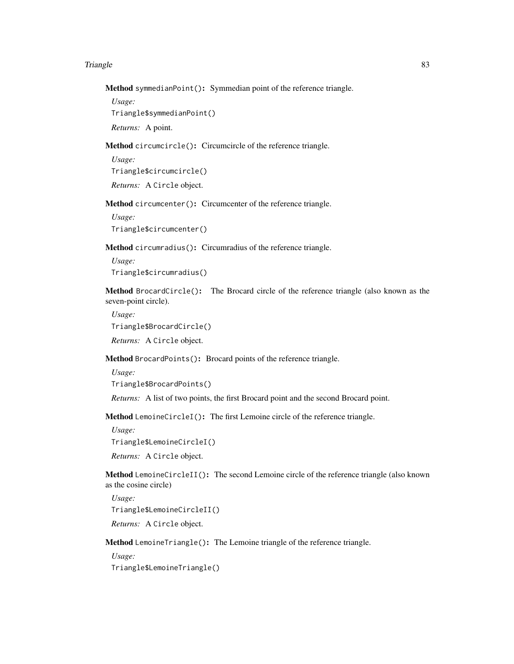Method symmedianPoint(): Symmedian point of the reference triangle.

*Usage:*

Triangle\$symmedianPoint()

*Returns:* A point.

<span id="page-82-0"></span>Method circumcircle(): Circumcircle of the reference triangle.

*Usage:* Triangle\$circumcircle()

*Returns:* A Circle object.

<span id="page-82-1"></span>Method circumcenter(): Circumcenter of the reference triangle.

*Usage:* Triangle\$circumcenter()

<span id="page-82-2"></span>Method circumradius(): Circumradius of the reference triangle.

*Usage:* Triangle\$circumradius()

<span id="page-82-3"></span>Method BrocardCircle(): The Brocard circle of the reference triangle (also known as the seven-point circle).

*Usage:* Triangle\$BrocardCircle()

*Returns:* A Circle object.

<span id="page-82-4"></span>Method BrocardPoints(): Brocard points of the reference triangle.

*Usage:*

```
Triangle$BrocardPoints()
```
*Returns:* A list of two points, the first Brocard point and the second Brocard point.

<span id="page-82-5"></span>Method LemoineCircleI(): The first Lemoine circle of the reference triangle.

*Usage:*

Triangle\$LemoineCircleI()

*Returns:* A Circle object.

<span id="page-82-6"></span>Method LemoineCircleII(): The second Lemoine circle of the reference triangle (also known as the cosine circle)

*Usage:* Triangle\$LemoineCircleII()

*Returns:* A Circle object.

<span id="page-82-7"></span>Method LemoineTriangle(): The Lemoine triangle of the reference triangle.

*Usage:*

Triangle\$LemoineTriangle()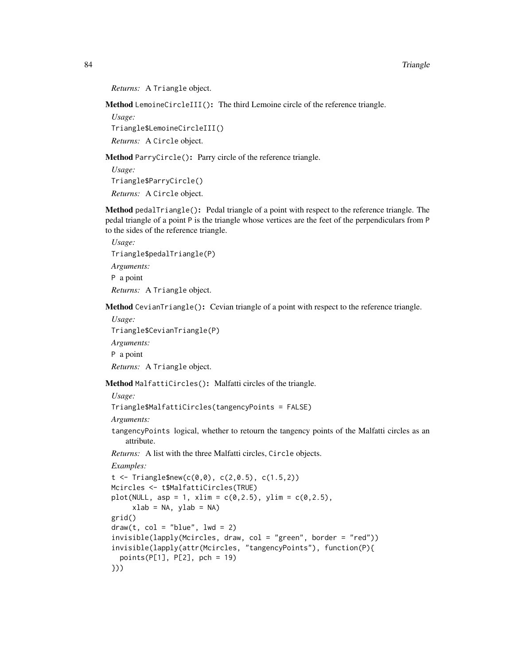```
Returns: A Triangle object.
```
<span id="page-83-0"></span>Method LemoineCircleIII(): The third Lemoine circle of the reference triangle.

*Usage:* Triangle\$LemoineCircleIII() *Returns:* A Circle object.

<span id="page-83-1"></span>Method ParryCircle(): Parry circle of the reference triangle.

*Usage:* Triangle\$ParryCircle() *Returns:* A Circle object.

<span id="page-83-2"></span>Method pedalTriangle(): Pedal triangle of a point with respect to the reference triangle. The pedal triangle of a point P is the triangle whose vertices are the feet of the perpendiculars from P to the sides of the reference triangle.

*Usage:* Triangle\$pedalTriangle(P) *Arguments:* P a point *Returns:* A Triangle object.

<span id="page-83-3"></span>Method CevianTriangle(): Cevian triangle of a point with respect to the reference triangle.

*Usage:*

Triangle\$CevianTriangle(P)

*Arguments:*

P a point

*Returns:* A Triangle object.

<span id="page-83-4"></span>Method MalfattiCircles(): Malfatti circles of the triangle.

*Usage:*

```
Triangle$MalfattiCircles(tangencyPoints = FALSE)
```
*Arguments:*

tangencyPoints logical, whether to retourn the tangency points of the Malfatti circles as an attribute.

*Returns:* A list with the three Malfatti circles, Circle objects.

*Examples:*

```
t \le Triangle$new(c(0,0), c(2,0.5), c(1.5,2))
Mcircles <- t$MalfattiCircles(TRUE)
plot(NULL, asp = 1, xlim = c(0, 2.5), ylim = c(0, 2.5),xlab = NA, ylab = NA)
grid()
draw(t, col = "blue", lw = 2)invisible(lapply(Mcircles, draw, col = "green", border = "red"))
invisible(lapply(attr(Mcircles, "tangencyPoints"), function(P){
 points(P[1], P[2], pch = 19)
}))
```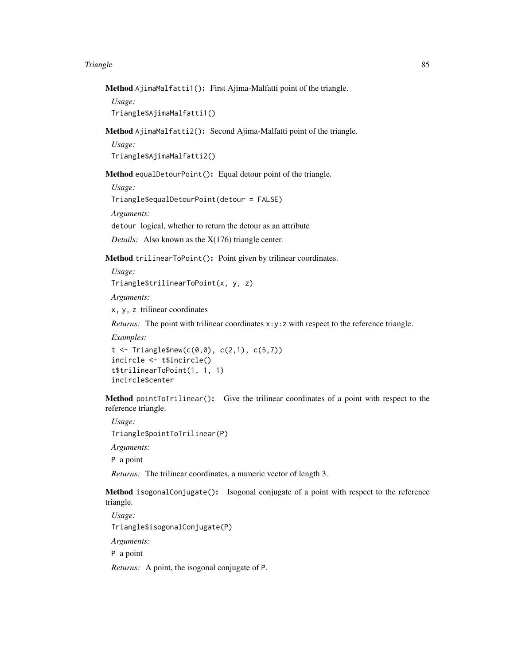Method AjimaMalfatti1(): First Ajima-Malfatti point of the triangle.

*Usage:* Triangle\$AjimaMalfatti1()

<span id="page-84-0"></span>Method AjimaMalfatti2(): Second Ajima-Malfatti point of the triangle.

*Usage:*

Triangle\$AjimaMalfatti2()

<span id="page-84-1"></span>Method equalDetourPoint(): Equal detour point of the triangle.

*Usage:*

Triangle\$equalDetourPoint(detour = FALSE)

*Arguments:*

detour logical, whether to return the detour as an attribute

*Details:* Also known as the X(176) triangle center.

<span id="page-84-2"></span>Method trilinearToPoint(): Point given by trilinear coordinates.

*Usage:*

Triangle\$trilinearToPoint(x, y, z)

*Arguments:*

x, y, z trilinear coordinates

*Returns:* The point with trilinear coordinates x: y: z with respect to the reference triangle.

*Examples:*

```
t < - Triangle$new(c(0,0), c(2,1), c(5,7))
incircle <- t$incircle()
t$trilinearToPoint(1, 1, 1)
incircle$center
```
<span id="page-84-3"></span>Method pointToTrilinear(): Give the trilinear coordinates of a point with respect to the reference triangle.

*Usage:* Triangle\$pointToTrilinear(P) *Arguments:* P a point

*Returns:* The trilinear coordinates, a numeric vector of length 3.

<span id="page-84-4"></span>Method isogonalConjugate(): Isogonal conjugate of a point with respect to the reference triangle.

*Usage:* Triangle\$isogonalConjugate(P)

*Arguments:*

P a point

*Returns:* A point, the isogonal conjugate of P.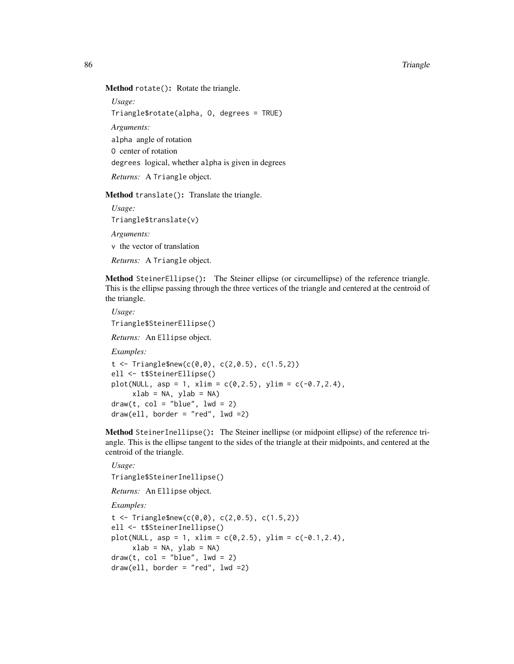Method rotate(): Rotate the triangle.

*Usage:*

Triangle\$rotate(alpha, O, degrees = TRUE)

*Arguments:*

alpha angle of rotation

O center of rotation

degrees logical, whether alpha is given in degrees

*Returns:* A Triangle object.

Method translate(): Translate the triangle.

*Usage:* Triangle\$translate(v) *Arguments:* v the vector of translation

*Returns:* A Triangle object.

<span id="page-85-0"></span>Method SteinerEllipse(): The Steiner ellipse (or circumellipse) of the reference triangle. This is the ellipse passing through the three vertices of the triangle and centered at the centroid of the triangle.

*Usage:* Triangle\$SteinerEllipse() *Returns:* An Ellipse object. *Examples:*  $t < -$  Triangle\$new(c(0,0), c(2,0.5), c(1.5,2)) ell <- t\$SteinerEllipse() plot(NULL, asp = 1, xlim =  $c(0, 2.5)$ , ylim =  $c(-0.7, 2.4)$ ,  $xlab = NA$ ,  $ylab = NA$ )  $draw(t, col = "blue", lw = 2)$  $draw(ell, border = "red", lwd = 2)$ 

<span id="page-85-1"></span>Method SteinerInellipse(): The Steiner inellipse (or midpoint ellipse) of the reference triangle. This is the ellipse tangent to the sides of the triangle at their midpoints, and centered at the centroid of the triangle.

```
Usage:
Triangle$SteinerInellipse()
Returns: An Ellipse object.
Examples:
t \le Triangle$new(c(0,0), c(2,0.5), c(1.5,2))
ell <- t$SteinerInellipse()
plot(NULL, asp = 1, xlim = c(0, 2.5), ylim = c(-0.1, 2.4),
     xlab = NA, ylab = NA)
draw(t, col = "blue", lw = 2)draw(e11, border = "red", Ind =2)
```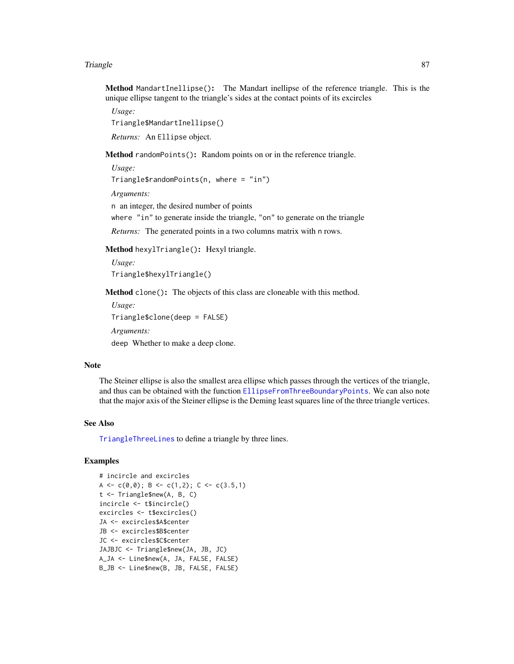<span id="page-86-1"></span>Method MandartInellipse(): The Mandart inellipse of the reference triangle. This is the unique ellipse tangent to the triangle's sides at the contact points of its excircles

*Usage:* Triangle\$MandartInellipse()

*Returns:* An Ellipse object.

Method randomPoints(): Random points on or in the reference triangle.

*Usage:* Triangle\$randomPoints(n, where = "in") *Arguments:* n an integer, the desired number of points where "in" to generate inside the triangle, "on" to generate on the triangle *Returns:* The generated points in a two columns matrix with n rows.

<span id="page-86-0"></span>Method hexylTriangle(): Hexyl triangle.

*Usage:* Triangle\$hexylTriangle()

Method clone(): The objects of this class are cloneable with this method.

```
Usage:
Triangle$clone(deep = FALSE)
Arguments:
deep Whether to make a deep clone.
```
#### **Note**

The Steiner ellipse is also the smallest area ellipse which passes through the vertices of the triangle, and thus can be obtained with the function [EllipseFromThreeBoundaryPoints](#page-29-0). We can also note that the major axis of the Steiner ellipse is the Deming least squares line of the three triangle vertices.

## See Also

[TriangleThreeLines](#page-89-0) to define a triangle by three lines.

# Examples

```
# incircle and excircles
A <- c(0,0); B <- c(1,2); C <- c(3.5,1)
t <- Triangle$new(A, B, C)
incircle <- t$incircle()
excircles <- t$excircles()
JA <- excircles$A$center
JB <- excircles$B$center
JC <- excircles$C$center
JAJBJC <- Triangle$new(JA, JB, JC)
A_JA <- Line$new(A, JA, FALSE, FALSE)
B_JB <- Line$new(B, JB, FALSE, FALSE)
```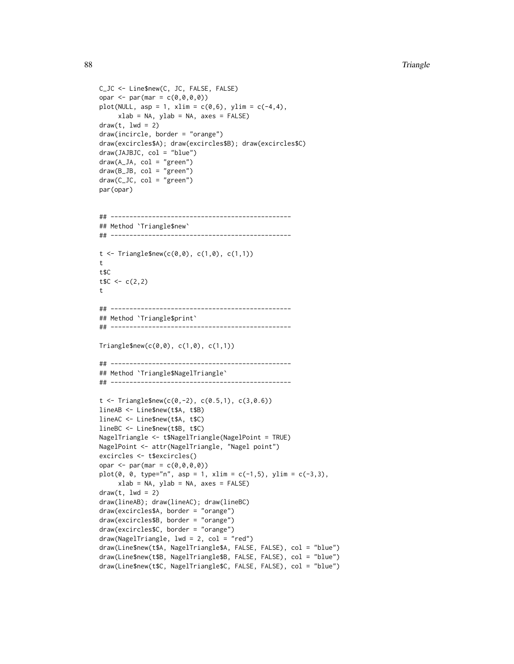```
C_JC <- Line$new(C, JC, FALSE, FALSE)
opar <- par(mar = c(\emptyset, \emptyset, \emptyset, \emptyset))
plot(NULL, asp = 1, xlim = c(0,6), ylim = c(-4,4),xlab = NA, ylab = NA, axes = FALSE)
draw(t, lwd = 2)draw(incircle, border = "orange")
draw(excircles$A); draw(excircles$B); draw(excircles$C)
draw(JAJBJC, col = "blue")
draw(A_JA, col = "green")draw(B_JB, col = "green")
draw(C_JC, col = "green")
par(opar)
## ------------------------------------------------
## Method `Triangle$new`
## ------------------------------------------------
t < - Triangle$new(c(0,0), c(1,0), c(1,1))
t
t$C
tC < -c(2, 2)t
## ------------------------------------------------
## Method `Triangle$print`
## ------------------------------------------------
Triangle$new(c(0,0), c(1,0), c(1,1))
## ------------------------------------------------
## Method `Triangle$NagelTriangle`
## ------------------------------------------------
t < - Triangle$new(c(0,-2), c(0.5,1), c(3,0.6))
lineAB <- Line$new(t$A, t$B)
lineAC <- Line$new(t$A, t$C)
lineBC <- Line$new(t$B, t$C)
NagelTriangle <- t$NagelTriangle(NagelPoint = TRUE)
NagelPoint <- attr(NagelTriangle, "Nagel point")
excircles <- t$excircles()
opar <- par(mar = c(0,0,0,0))
plot(0, 0, type="n", asp = 1, xlim = c(-1,5), ylim = c(-3,3),xlab = NA, ylab = NA, axes = FALSE)
draw(t, lwd = 2)draw(lineAB); draw(lineAC); draw(lineBC)
draw(excircles$A, border = "orange")
draw(excircles$B, border = "orange")
draw(excircles$C, border = "orange")
draw(NagelTriangle, lwd = 2, col = "red")
draw(Line$new(t$A, NagelTriangle$A, FALSE, FALSE), col = "blue")
draw(Line$new(t$B, NagelTriangle$B, FALSE, FALSE), col = "blue")
draw(Line$new(t$C, NagelTriangle$C, FALSE, FALSE), col = "blue")
```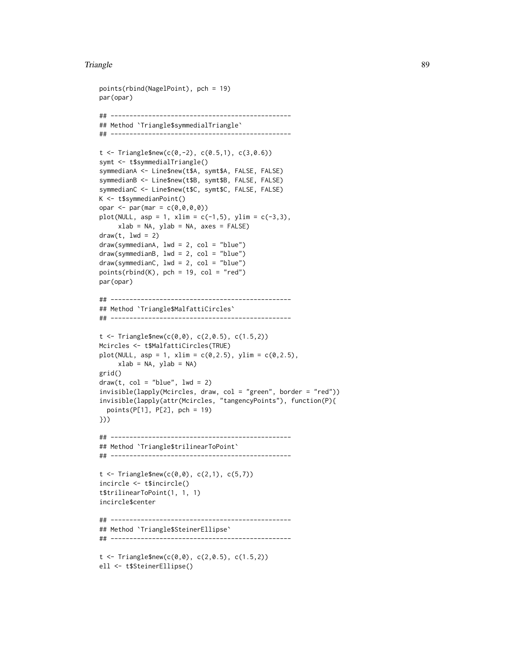```
points(rbind(NagelPoint), pch = 19)
par(opar)
## ------------------------------------------------
## Method `Triangle$symmedialTriangle`
## ------------------------------------------------
t < - Triangle$new(c(0,-2), c(0.5,1), c(3,0.6))
symt <- t$symmedialTriangle()
symmedianA <- Line$new(t$A, symt$A, FALSE, FALSE)
symmedianB <- Line$new(t$B, symt$B, FALSE, FALSE)
symmedianC <- Line$new(t$C, symt$C, FALSE, FALSE)
K <- t$symmedianPoint()
opar <- par(mar = c(0,0,0,0))
plot(NULL, asp = 1, xlim = c(-1,5), ylim = c(-3,3),xlab = NA, ylab = NA, axes = FALSE)
draw(t, lwd = 2)draw(symmedianA, lwd = 2, col = "blue")
draw(symmedianB, lwd = 2, col = "blue")
draw(symmedianC, lwd = 2, col = "blue")
points(rbind(K), pch = 19, col = "red")par(opar)
## ------------------------------------------------
## Method `Triangle$MalfattiCircles`
## ------------------------------------------------
t < - Triangle$new(c(0,0), c(2,0.5), c(1.5,2))
Mcircles <- t$MalfattiCircles(TRUE)
plot(NULL, asp = 1, xlim = c(0, 2.5), ylim = c(0, 2.5),xlab = NA, ylab = NA)
grid()
draw(t, col = "blue", lw = 2)invisible(lapply(Mcircles, draw, col = "green", border = "red"))
invisible(lapply(attr(Mcircles, "tangencyPoints"), function(P){
  points(P[1], P[2], pch = 19)
}))
## ------------------------------------------------
## Method `Triangle$trilinearToPoint`
## ------------------------------------------------
t < - Triangle$new(c(0,0), c(2,1), c(5,7))
incircle <- t$incircle()
t$trilinearToPoint(1, 1, 1)
incircle$center
## ------------------------------------------------
## Method `Triangle$SteinerEllipse`
## ------------------------------------------------
t < - Triangle$new(c(0,0), c(2,0.5), c(1.5,2))
```

```
ell <- t$SteinerEllipse()
```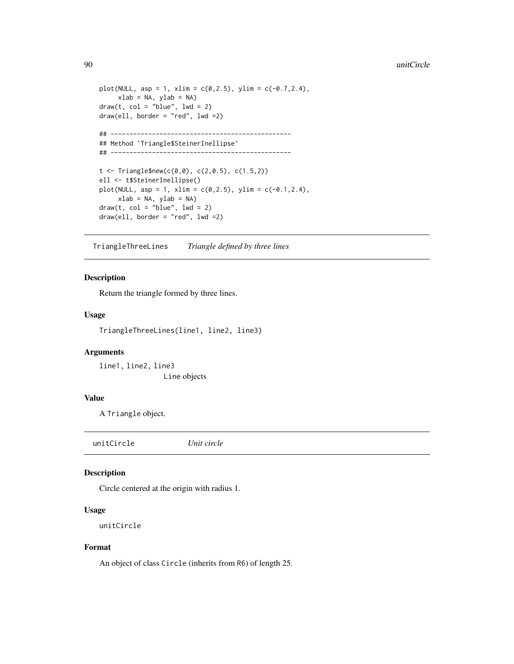```
plot(NULL, asp = 1, xlim = c(0, 2.5), ylim = c(-0.7, 2.4),
    xlab = NA, ylab = NA)
draw(t, col = "blue", lw = 2)draw(ell, border = "red", lwd = 2)## ------------------------------------------------
## Method `Triangle$SteinerInellipse`
## ------------------------------------------------
t < - Triangle$new(c(0,0), c(2,0.5), c(1.5,2))
ell <- t$SteinerInellipse()
plot(NULL, asp = 1, xlim = c(0, 2.5), ylim = c(-0.1, 2.4),
     xlab = NA, ylab = NA)
draw(t, col = "blue", lwd = 2)draw(ell, border = "red", lwd =2)
```
<span id="page-89-0"></span>TriangleThreeLines *Triangle defined by three lines*

# Description

Return the triangle formed by three lines.

#### Usage

TriangleThreeLines(line1, line2, line3)

#### Arguments

line1, line2, line3 Line objects

## Value

A Triangle object.

unitCircle *Unit circle*

## Description

Circle centered at the origin with radius 1.

## Usage

unitCircle

## Format

An object of class Circle (inherits from R6) of length 25.